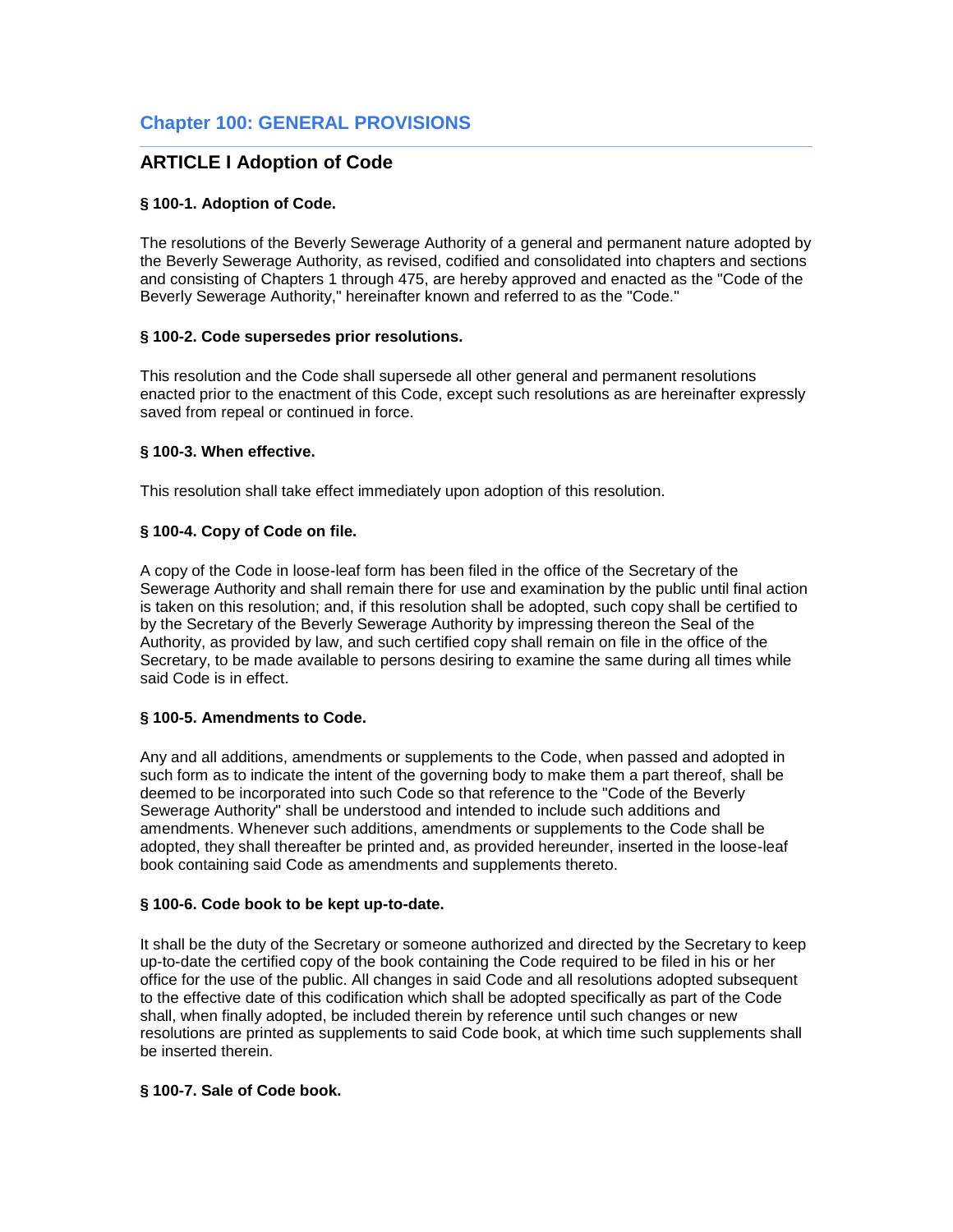# **ARTICLE I Adoption of Code**

## **§ 100-1. Adoption of Code.**

The resolutions of the Beverly Sewerage Authority of a general and permanent nature adopted by the Beverly Sewerage Authority, as revised, codified and consolidated into chapters and sections and consisting of Chapters 1 through 475, are hereby approved and enacted as the "Code of the Beverly Sewerage Authority," hereinafter known and referred to as the "Code."

## **§ 100-2. Code supersedes prior resolutions.**

This resolution and the Code shall supersede all other general and permanent resolutions enacted prior to the enactment of this Code, except such resolutions as are hereinafter expressly saved from repeal or continued in force.

## **§ 100-3. When effective.**

This resolution shall take effect immediately upon adoption of this resolution.

# **§ 100-4. Copy of Code on file.**

A copy of the Code in loose-leaf form has been filed in the office of the Secretary of the Sewerage Authority and shall remain there for use and examination by the public until final action is taken on this resolution; and, if this resolution shall be adopted, such copy shall be certified to by the Secretary of the Beverly Sewerage Authority by impressing thereon the Seal of the Authority, as provided by law, and such certified copy shall remain on file in the office of the Secretary, to be made available to persons desiring to examine the same during all times while said Code is in effect.

# **§ 100-5. Amendments to Code.**

Any and all additions, amendments or supplements to the Code, when passed and adopted in such form as to indicate the intent of the governing body to make them a part thereof, shall be deemed to be incorporated into such Code so that reference to the "Code of the Beverly Sewerage Authority" shall be understood and intended to include such additions and amendments. Whenever such additions, amendments or supplements to the Code shall be adopted, they shall thereafter be printed and, as provided hereunder, inserted in the loose-leaf book containing said Code as amendments and supplements thereto.

### **§ 100-6. Code book to be kept up-to-date.**

It shall be the duty of the Secretary or someone authorized and directed by the Secretary to keep up-to-date the certified copy of the book containing the Code required to be filed in his or her office for the use of the public. All changes in said Code and all resolutions adopted subsequent to the effective date of this codification which shall be adopted specifically as part of the Code shall, when finally adopted, be included therein by reference until such changes or new resolutions are printed as supplements to said Code book, at which time such supplements shall be inserted therein.

# **§ 100-7. Sale of Code book.**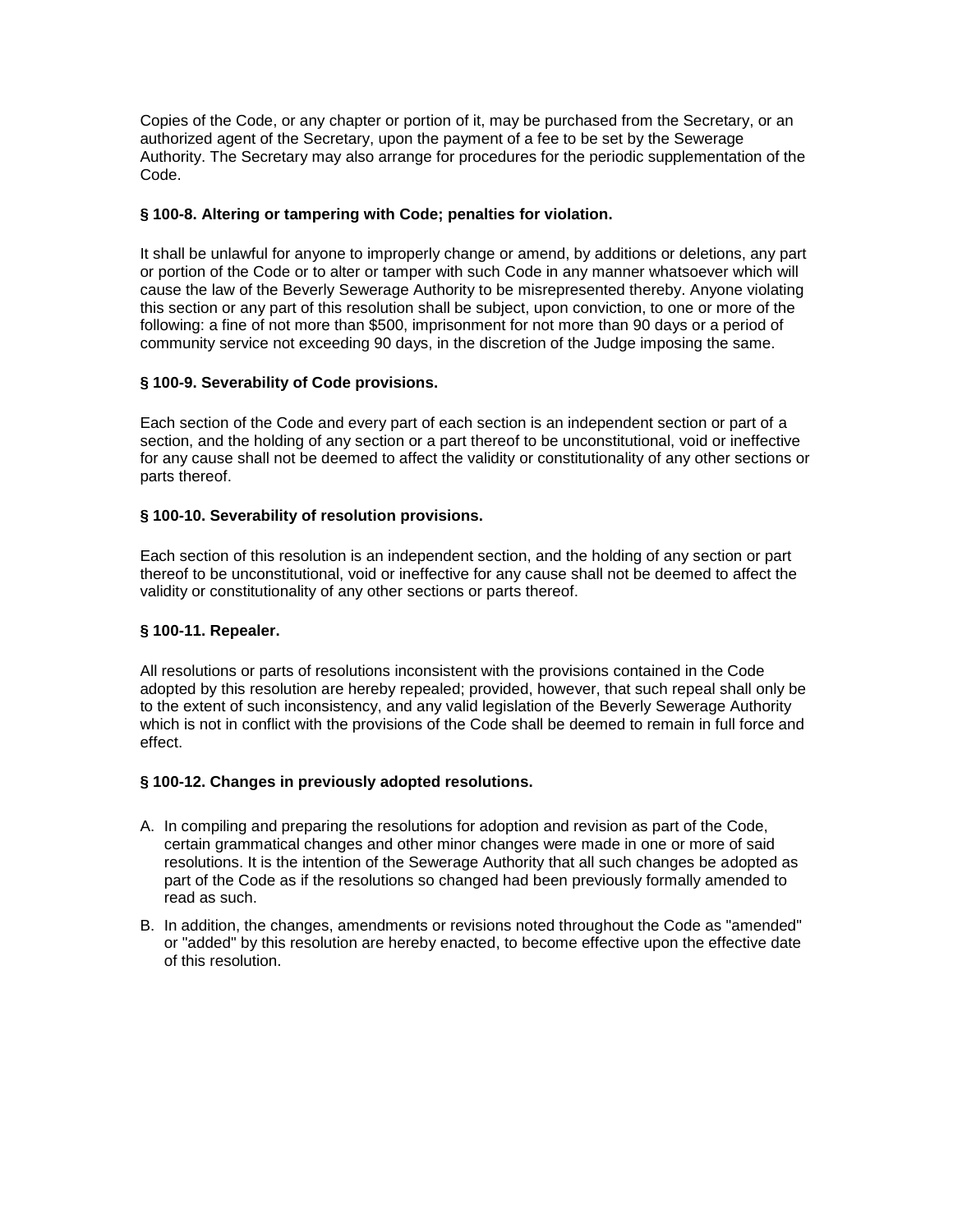Copies of the Code, or any chapter or portion of it, may be purchased from the Secretary, or an authorized agent of the Secretary, upon the payment of a fee to be set by the Sewerage Authority. The Secretary may also arrange for procedures for the periodic supplementation of the Code.

# **§ 100-8. Altering or tampering with Code; penalties for violation.**

It shall be unlawful for anyone to improperly change or amend, by additions or deletions, any part or portion of the Code or to alter or tamper with such Code in any manner whatsoever which will cause the law of the Beverly Sewerage Authority to be misrepresented thereby. Anyone violating this section or any part of this resolution shall be subject, upon conviction, to one or more of the following: a fine of not more than \$500, imprisonment for not more than 90 days or a period of community service not exceeding 90 days, in the discretion of the Judge imposing the same.

# **§ 100-9. Severability of Code provisions.**

Each section of the Code and every part of each section is an independent section or part of a section, and the holding of any section or a part thereof to be unconstitutional, void or ineffective for any cause shall not be deemed to affect the validity or constitutionality of any other sections or parts thereof.

### **§ 100-10. Severability of resolution provisions.**

Each section of this resolution is an independent section, and the holding of any section or part thereof to be unconstitutional, void or ineffective for any cause shall not be deemed to affect the validity or constitutionality of any other sections or parts thereof.

### **§ 100-11. Repealer.**

All resolutions or parts of resolutions inconsistent with the provisions contained in the Code adopted by this resolution are hereby repealed; provided, however, that such repeal shall only be to the extent of such inconsistency, and any valid legislation of the Beverly Sewerage Authority which is not in conflict with the provisions of the Code shall be deemed to remain in full force and effect.

### **§ 100-12. Changes in previously adopted resolutions.**

- A. In compiling and preparing the resolutions for adoption and revision as part of the Code, certain grammatical changes and other minor changes were made in one or more of said resolutions. It is the intention of the Sewerage Authority that all such changes be adopted as part of the Code as if the resolutions so changed had been previously formally amended to read as such.
- B. In addition, the changes, amendments or revisions noted throughout the Code as "amended" or "added" by this resolution are hereby enacted, to become effective upon the effective date of this resolution.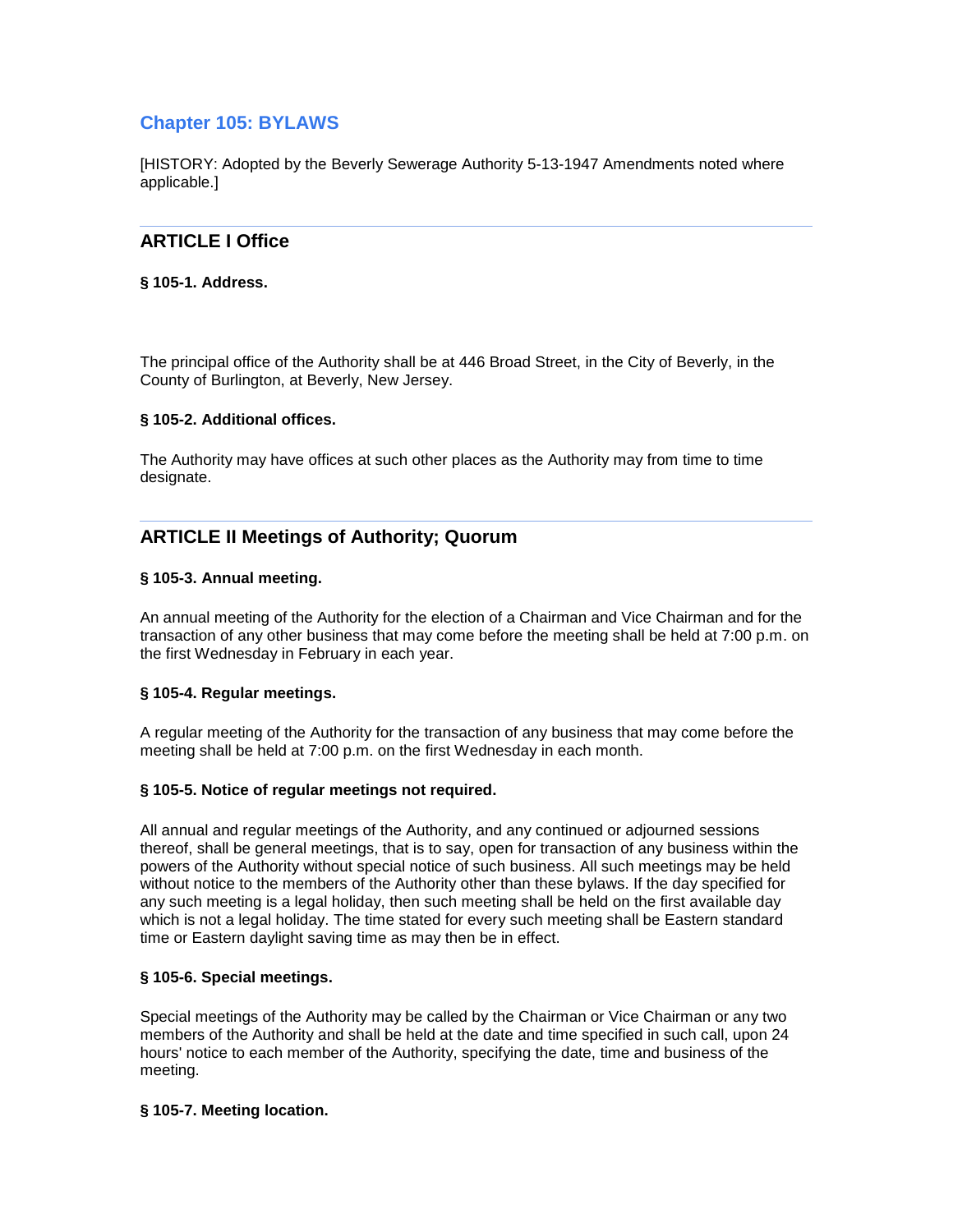# **Chapter 105: BYLAWS**

[HISTORY: Adopted by the Beverly Sewerage Authority 5-13-1947 Amendments noted where applicable.]

# **ARTICLE I Office**

### **§ 105-1. Address.**

The principal office of the Authority shall be at 446 Broad Street, in the City of Beverly, in the County of Burlington, at Beverly, New Jersey.

## **§ 105-2. Additional offices.**

The Authority may have offices at such other places as the Authority may from time to time designate.

# **ARTICLE II Meetings of Authority; Quorum**

## **§ 105-3. Annual meeting.**

An annual meeting of the Authority for the election of a Chairman and Vice Chairman and for the transaction of any other business that may come before the meeting shall be held at 7:00 p.m. on the first Wednesday in February in each year.

### **§ 105-4. Regular meetings.**

A regular meeting of the Authority for the transaction of any business that may come before the meeting shall be held at 7:00 p.m. on the first Wednesday in each month.

### **§ 105-5. Notice of regular meetings not required.**

All annual and regular meetings of the Authority, and any continued or adjourned sessions thereof, shall be general meetings, that is to say, open for transaction of any business within the powers of the Authority without special notice of such business. All such meetings may be held without notice to the members of the Authority other than these bylaws. If the day specified for any such meeting is a legal holiday, then such meeting shall be held on the first available day which is not a legal holiday. The time stated for every such meeting shall be Eastern standard time or Eastern daylight saving time as may then be in effect.

### **§ 105-6. Special meetings.**

Special meetings of the Authority may be called by the Chairman or Vice Chairman or any two members of the Authority and shall be held at the date and time specified in such call, upon 24 hours' notice to each member of the Authority, specifying the date, time and business of the meeting.

### **§ 105-7. Meeting location.**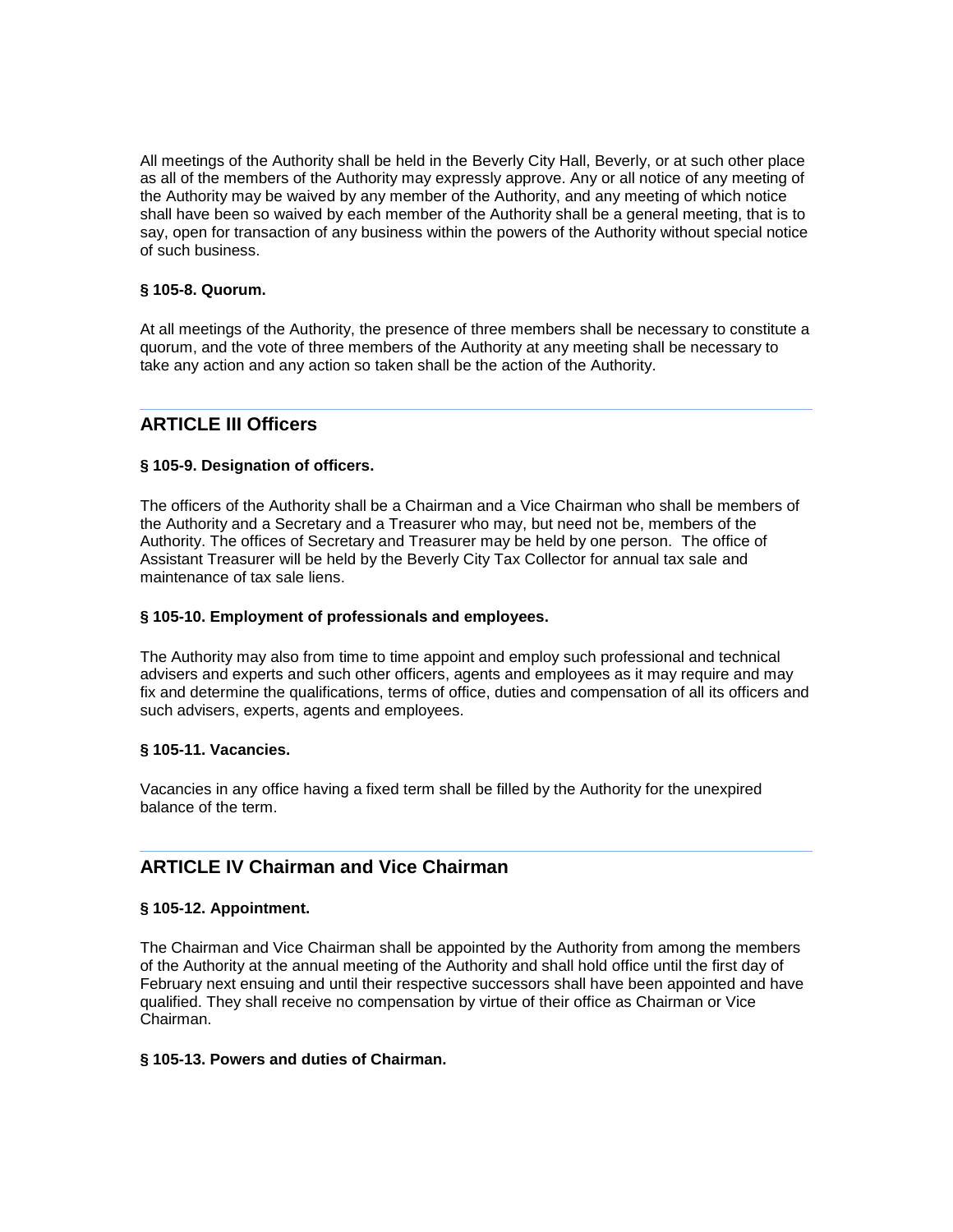All meetings of the Authority shall be held in the Beverly City Hall, Beverly, or at such other place as all of the members of the Authority may expressly approve. Any or all notice of any meeting of the Authority may be waived by any member of the Authority, and any meeting of which notice shall have been so waived by each member of the Authority shall be a general meeting, that is to say, open for transaction of any business within the powers of the Authority without special notice of such business.

### **§ 105-8. Quorum.**

At all meetings of the Authority, the presence of three members shall be necessary to constitute a quorum, and the vote of three members of the Authority at any meeting shall be necessary to take any action and any action so taken shall be the action of the Authority.

# **ARTICLE III Officers**

## **§ 105-9. Designation of officers.**

The officers of the Authority shall be a Chairman and a Vice Chairman who shall be members of the Authority and a Secretary and a Treasurer who may, but need not be, members of the Authority. The offices of Secretary and Treasurer may be held by one person. The office of Assistant Treasurer will be held by the Beverly City Tax Collector for annual tax sale and maintenance of tax sale liens.

### **§ 105-10. Employment of professionals and employees.**

The Authority may also from time to time appoint and employ such professional and technical advisers and experts and such other officers, agents and employees as it may require and may fix and determine the qualifications, terms of office, duties and compensation of all its officers and such advisers, experts, agents and employees.

### **§ 105-11. Vacancies.**

Vacancies in any office having a fixed term shall be filled by the Authority for the unexpired balance of the term.

# **ARTICLE IV Chairman and Vice Chairman**

### **§ 105-12. Appointment.**

The Chairman and Vice Chairman shall be appointed by the Authority from among the members of the Authority at the annual meeting of the Authority and shall hold office until the first day of February next ensuing and until their respective successors shall have been appointed and have qualified. They shall receive no compensation by virtue of their office as Chairman or Vice Chairman.

### **§ 105-13. Powers and duties of Chairman.**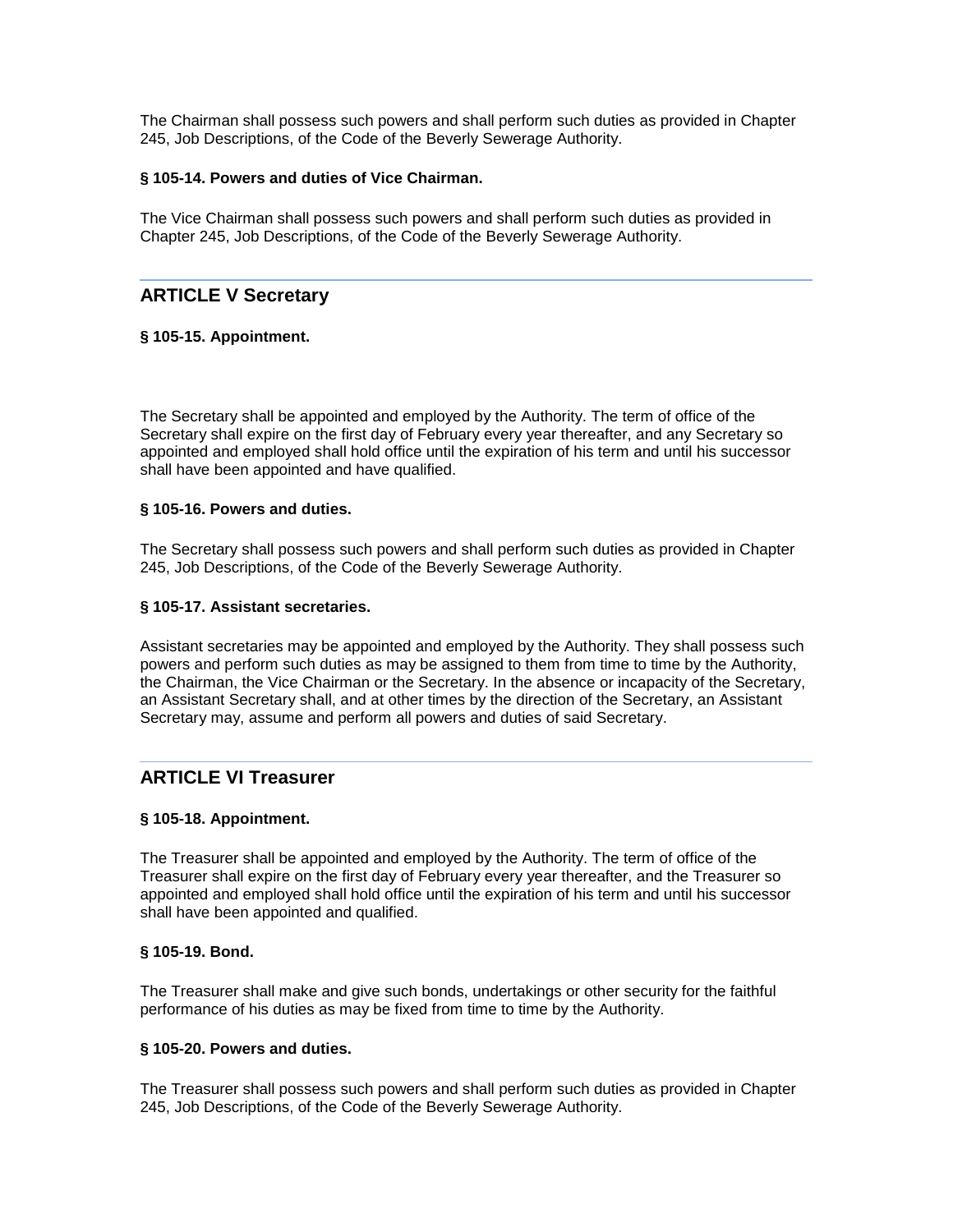The Chairman shall possess such powers and shall perform such duties as provided in Chapter 245, Job Descriptions, of the Code of the Beverly Sewerage Authority.

## **§ 105-14. Powers and duties of Vice Chairman.**

The Vice Chairman shall possess such powers and shall perform such duties as provided in Chapter 245, Job Descriptions, of the Code of the Beverly Sewerage Authority.

# **ARTICLE V Secretary**

## **§ 105-15. Appointment.**

The Secretary shall be appointed and employed by the Authority. The term of office of the Secretary shall expire on the first day of February every year thereafter, and any Secretary so appointed and employed shall hold office until the expiration of his term and until his successor shall have been appointed and have qualified.

## **§ 105-16. Powers and duties.**

The Secretary shall possess such powers and shall perform such duties as provided in Chapter 245, Job Descriptions, of the Code of the Beverly Sewerage Authority.

### **§ 105-17. Assistant secretaries.**

Assistant secretaries may be appointed and employed by the Authority. They shall possess such powers and perform such duties as may be assigned to them from time to time by the Authority, the Chairman, the Vice Chairman or the Secretary. In the absence or incapacity of the Secretary, an Assistant Secretary shall, and at other times by the direction of the Secretary, an Assistant Secretary may, assume and perform all powers and duties of said Secretary.

# **ARTICLE VI Treasurer**

# **§ 105-18. Appointment.**

The Treasurer shall be appointed and employed by the Authority. The term of office of the Treasurer shall expire on the first day of February every year thereafter, and the Treasurer so appointed and employed shall hold office until the expiration of his term and until his successor shall have been appointed and qualified.

### **§ 105-19. Bond.**

The Treasurer shall make and give such bonds, undertakings or other security for the faithful performance of his duties as may be fixed from time to time by the Authority.

### **§ 105-20. Powers and duties.**

The Treasurer shall possess such powers and shall perform such duties as provided in Chapter 245, Job Descriptions, of the Code of the Beverly Sewerage Authority.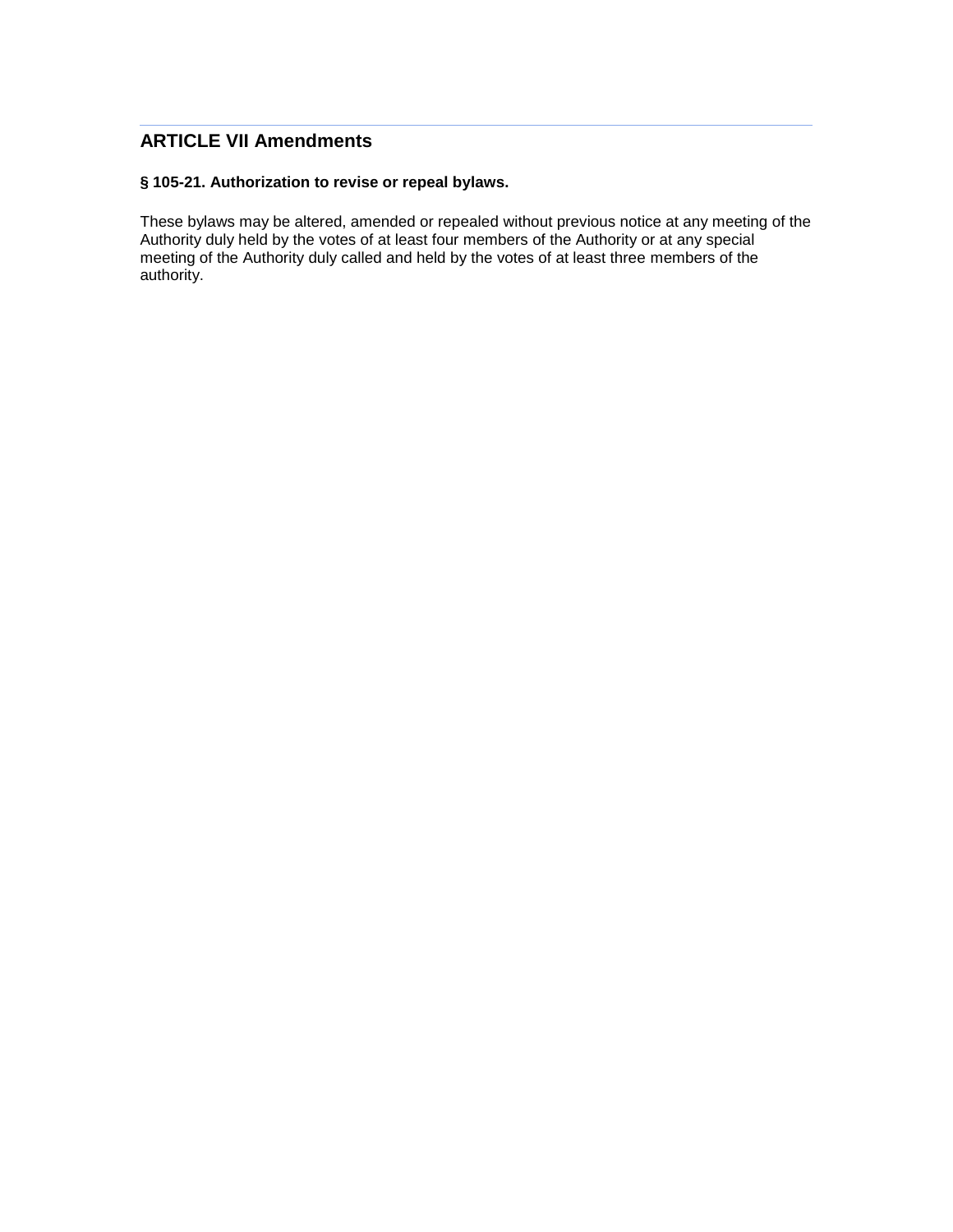# **ARTICLE VII Amendments**

# **§ 105-21. Authorization to revise or repeal bylaws.**

These bylaws may be altered, amended or repealed without previous notice at any meeting of the Authority duly held by the votes of at least four members of the Authority or at any special meeting of the Authority duly called and held by the votes of at least three members of the authority.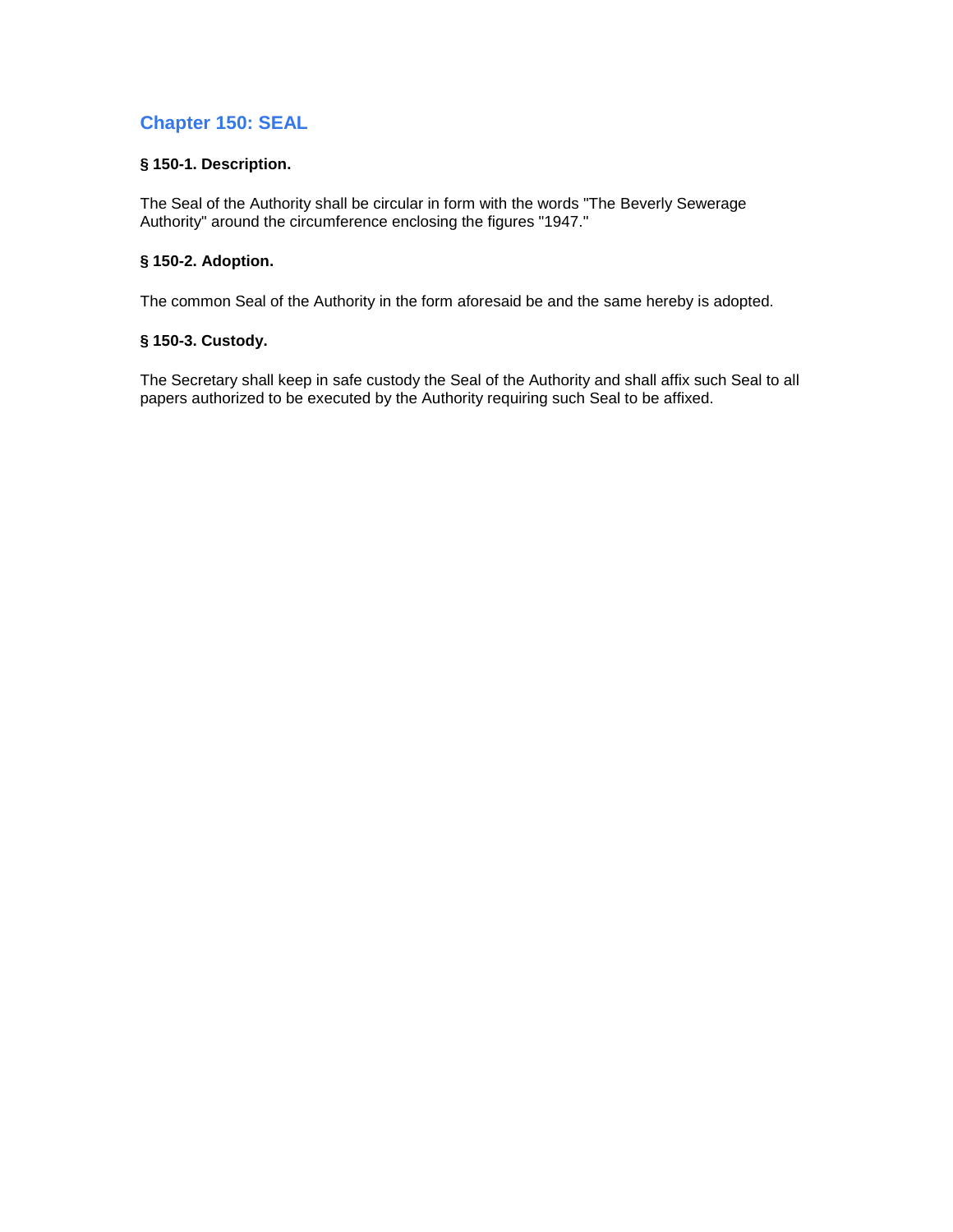# **Chapter 150: SEAL**

# **§ 150-1. Description.**

The Seal of the Authority shall be circular in form with the words "The Beverly Sewerage Authority" around the circumference enclosing the figures "1947."

# **§ 150-2. Adoption.**

The common Seal of the Authority in the form aforesaid be and the same hereby is adopted.

# **§ 150-3. Custody.**

The Secretary shall keep in safe custody the Seal of the Authority and shall affix such Seal to all papers authorized to be executed by the Authority requiring such Seal to be affixed.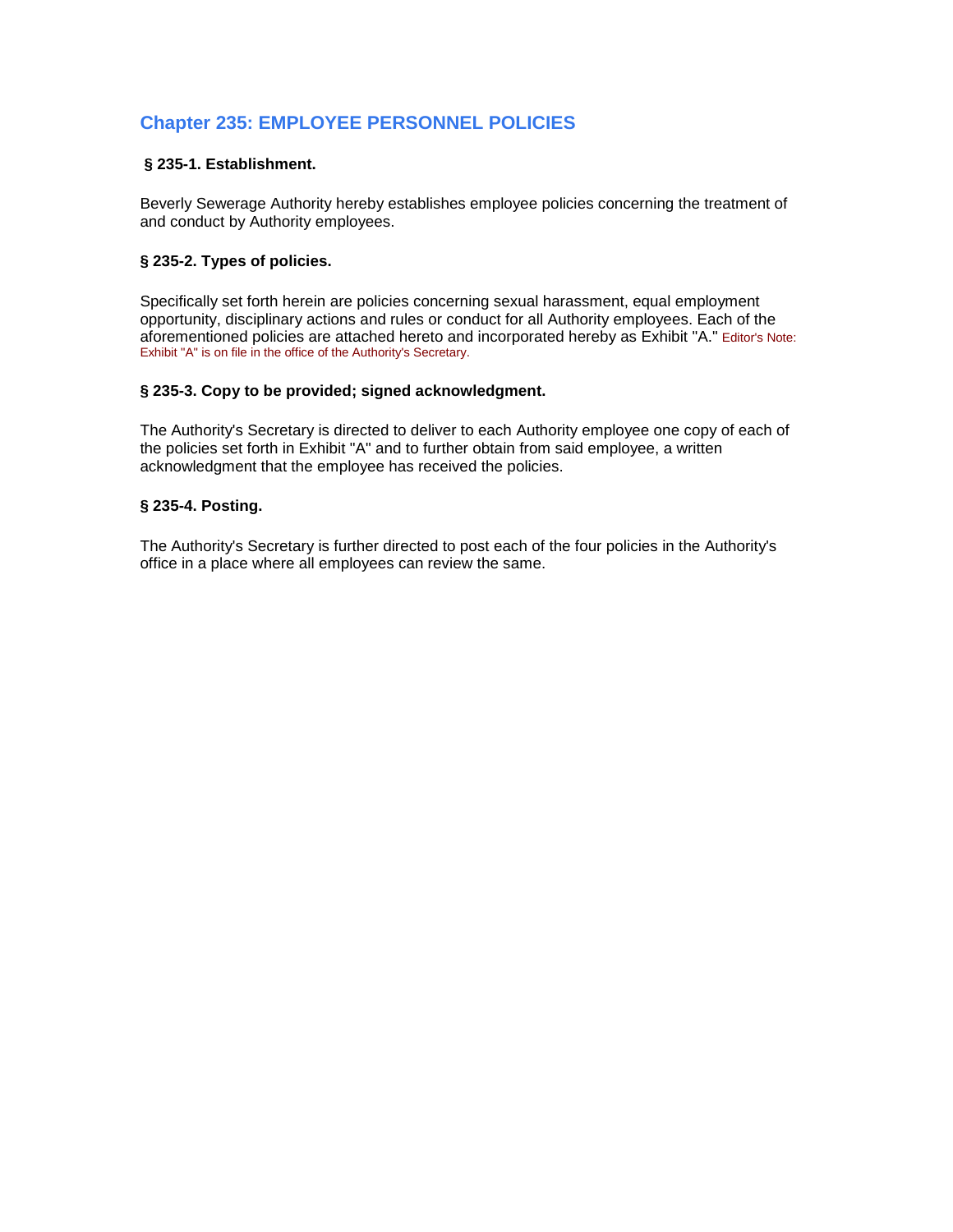# **Chapter 235: EMPLOYEE PERSONNEL POLICIES**

# **§ 235-1. Establishment.**

Beverly Sewerage Authority hereby establishes employee policies concerning the treatment of and conduct by Authority employees.

# **§ 235-2. Types of policies.**

Specifically set forth herein are policies concerning sexual harassment, equal employment opportunity, disciplinary actions and rules or conduct for all Authority employees. Each of the aforementioned policies are attached hereto and incorporated hereby as Exhibit "A." Editor's Note: Exhibit "A" is on file in the office of the Authority's Secretary.

### **§ 235-3. Copy to be provided; signed acknowledgment.**

The Authority's Secretary is directed to deliver to each Authority employee one copy of each of the policies set forth in Exhibit "A" and to further obtain from said employee, a written acknowledgment that the employee has received the policies.

## **§ 235-4. Posting.**

The Authority's Secretary is further directed to post each of the four policies in the Authority's office in a place where all employees can review the same.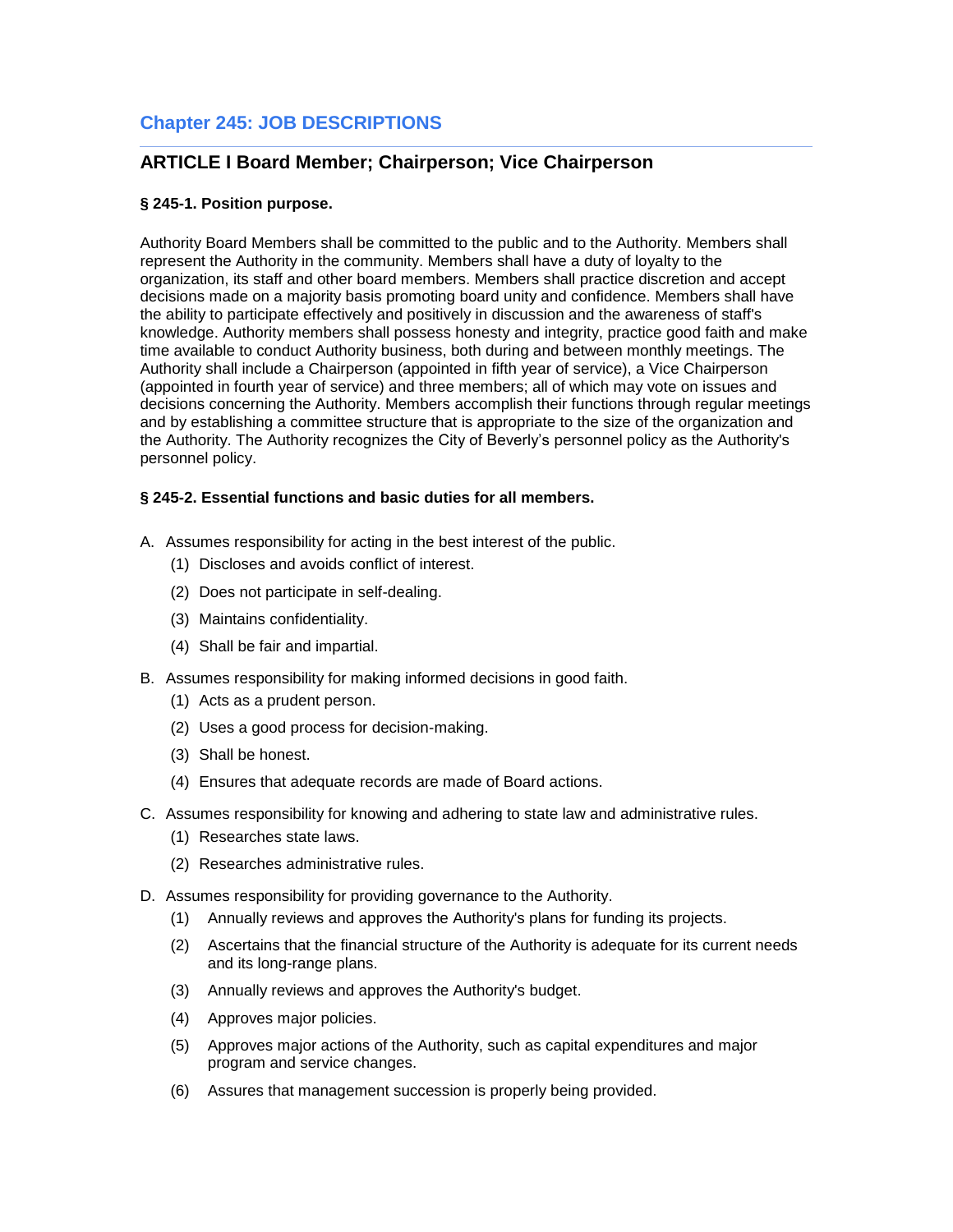# **Chapter 245: JOB DESCRIPTIONS**

# **ARTICLE I Board Member; Chairperson; Vice Chairperson**

# **§ 245-1. Position purpose.**

Authority Board Members shall be committed to the public and to the Authority. Members shall represent the Authority in the community. Members shall have a duty of loyalty to the organization, its staff and other board members. Members shall practice discretion and accept decisions made on a majority basis promoting board unity and confidence. Members shall have the ability to participate effectively and positively in discussion and the awareness of staff's knowledge. Authority members shall possess honesty and integrity, practice good faith and make time available to conduct Authority business, both during and between monthly meetings. The Authority shall include a Chairperson (appointed in fifth year of service), a Vice Chairperson (appointed in fourth year of service) and three members; all of which may vote on issues and decisions concerning the Authority. Members accomplish their functions through regular meetings and by establishing a committee structure that is appropriate to the size of the organization and the Authority. The Authority recognizes the City of Beverly's personnel policy as the Authority's personnel policy.

# **§ 245-2. Essential functions and basic duties for all members.**

- A. Assumes responsibility for acting in the best interest of the public.
	- (1) Discloses and avoids conflict of interest.
	- (2) Does not participate in self-dealing.
	- (3) Maintains confidentiality.
	- (4) Shall be fair and impartial.
- B. Assumes responsibility for making informed decisions in good faith.
	- (1) Acts as a prudent person.
	- (2) Uses a good process for decision-making.
	- (3) Shall be honest.
	- (4) Ensures that adequate records are made of Board actions.
- C. Assumes responsibility for knowing and adhering to state law and administrative rules.
	- (1) Researches state laws.
	- (2) Researches administrative rules.
- D. Assumes responsibility for providing governance to the Authority.
	- (1) Annually reviews and approves the Authority's plans for funding its projects.
	- (2) Ascertains that the financial structure of the Authority is adequate for its current needs and its long-range plans.
	- (3) Annually reviews and approves the Authority's budget.
	- (4) Approves major policies.
	- (5) Approves major actions of the Authority, such as capital expenditures and major program and service changes.
	- (6) Assures that management succession is properly being provided.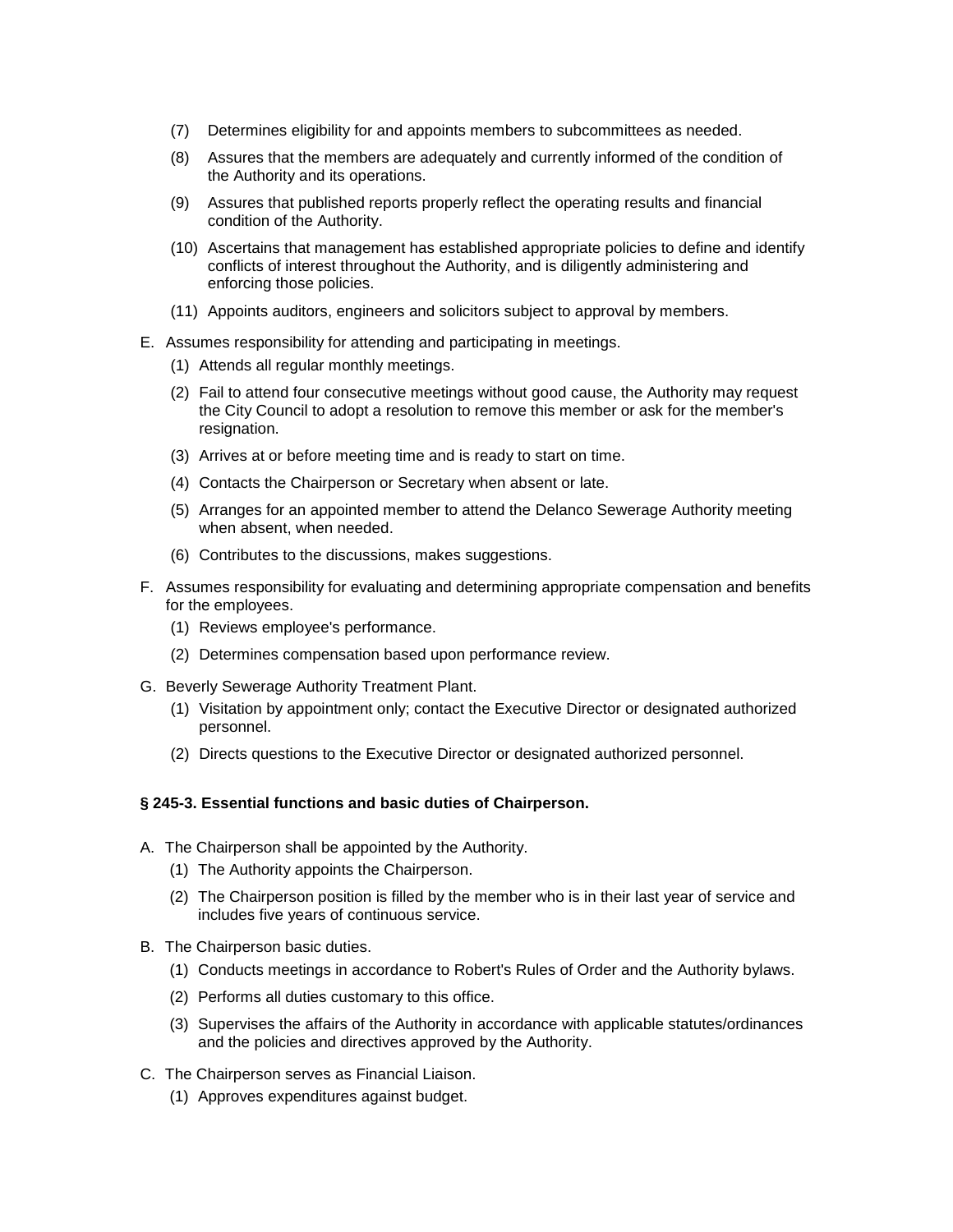- (7) Determines eligibility for and appoints members to subcommittees as needed.
- (8) Assures that the members are adequately and currently informed of the condition of the Authority and its operations.
- (9) Assures that published reports properly reflect the operating results and financial condition of the Authority.
- (10) Ascertains that management has established appropriate policies to define and identify conflicts of interest throughout the Authority, and is diligently administering and enforcing those policies.
- (11) Appoints auditors, engineers and solicitors subject to approval by members.
- E. Assumes responsibility for attending and participating in meetings.
	- (1) Attends all regular monthly meetings.
	- (2) Fail to attend four consecutive meetings without good cause, the Authority may request the City Council to adopt a resolution to remove this member or ask for the member's resignation.
	- (3) Arrives at or before meeting time and is ready to start on time.
	- (4) Contacts the Chairperson or Secretary when absent or late.
	- (5) Arranges for an appointed member to attend the Delanco Sewerage Authority meeting when absent, when needed.
	- (6) Contributes to the discussions, makes suggestions.
- F. Assumes responsibility for evaluating and determining appropriate compensation and benefits for the employees.
	- (1) Reviews employee's performance.
	- (2) Determines compensation based upon performance review.
- G. Beverly Sewerage Authority Treatment Plant.
	- (1) Visitation by appointment only; contact the Executive Director or designated authorized personnel.
	- (2) Directs questions to the Executive Director or designated authorized personnel.

### **§ 245-3. Essential functions and basic duties of Chairperson.**

- A. The Chairperson shall be appointed by the Authority.
	- (1) The Authority appoints the Chairperson.
	- (2) The Chairperson position is filled by the member who is in their last year of service and includes five years of continuous service.
- B. The Chairperson basic duties.
	- (1) Conducts meetings in accordance to Robert's Rules of Order and the Authority bylaws.
	- (2) Performs all duties customary to this office.
	- (3) Supervises the affairs of the Authority in accordance with applicable statutes/ordinances and the policies and directives approved by the Authority.
- C. The Chairperson serves as Financial Liaison.
	- (1) Approves expenditures against budget.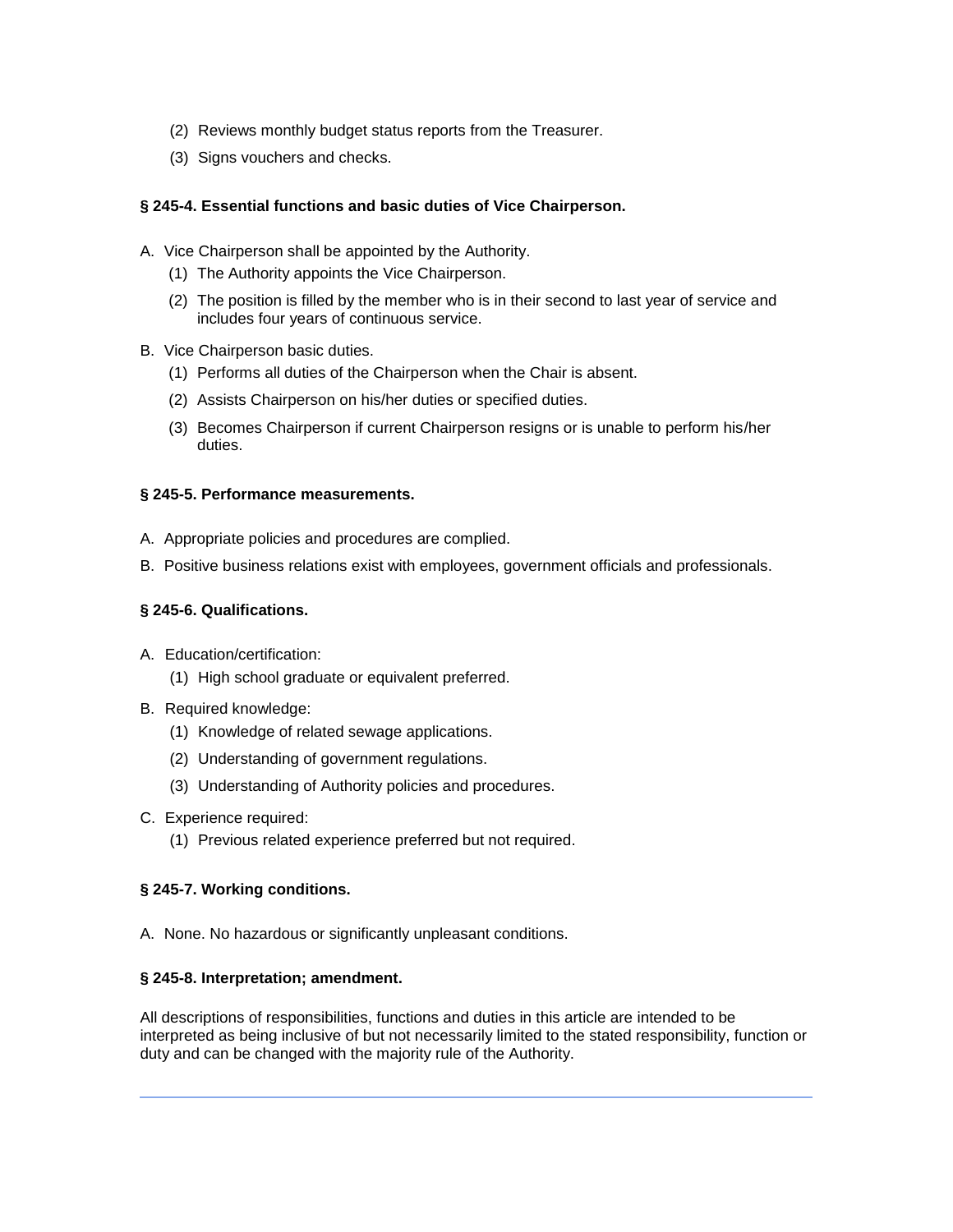- (2) Reviews monthly budget status reports from the Treasurer.
- (3) Signs vouchers and checks.

# **§ 245-4. Essential functions and basic duties of Vice Chairperson.**

- A. Vice Chairperson shall be appointed by the Authority.
	- (1) The Authority appoints the Vice Chairperson.
	- (2) The position is filled by the member who is in their second to last year of service and includes four years of continuous service.
- B. Vice Chairperson basic duties.
	- (1) Performs all duties of the Chairperson when the Chair is absent.
	- (2) Assists Chairperson on his/her duties or specified duties.
	- (3) Becomes Chairperson if current Chairperson resigns or is unable to perform his/her duties.

### **§ 245-5. Performance measurements.**

- A. Appropriate policies and procedures are complied.
- B. Positive business relations exist with employees, government officials and professionals.

## **§ 245-6. Qualifications.**

- A. Education/certification:
	- (1) High school graduate or equivalent preferred.
- B. Required knowledge:
	- (1) Knowledge of related sewage applications.
	- (2) Understanding of government regulations.
	- (3) Understanding of Authority policies and procedures.
- C. Experience required:
	- (1) Previous related experience preferred but not required.

# **§ 245-7. Working conditions.**

A. None. No hazardous or significantly unpleasant conditions.

### **§ 245-8. Interpretation; amendment.**

All descriptions of responsibilities, functions and duties in this article are intended to be interpreted as being inclusive of but not necessarily limited to the stated responsibility, function or duty and can be changed with the majority rule of the Authority.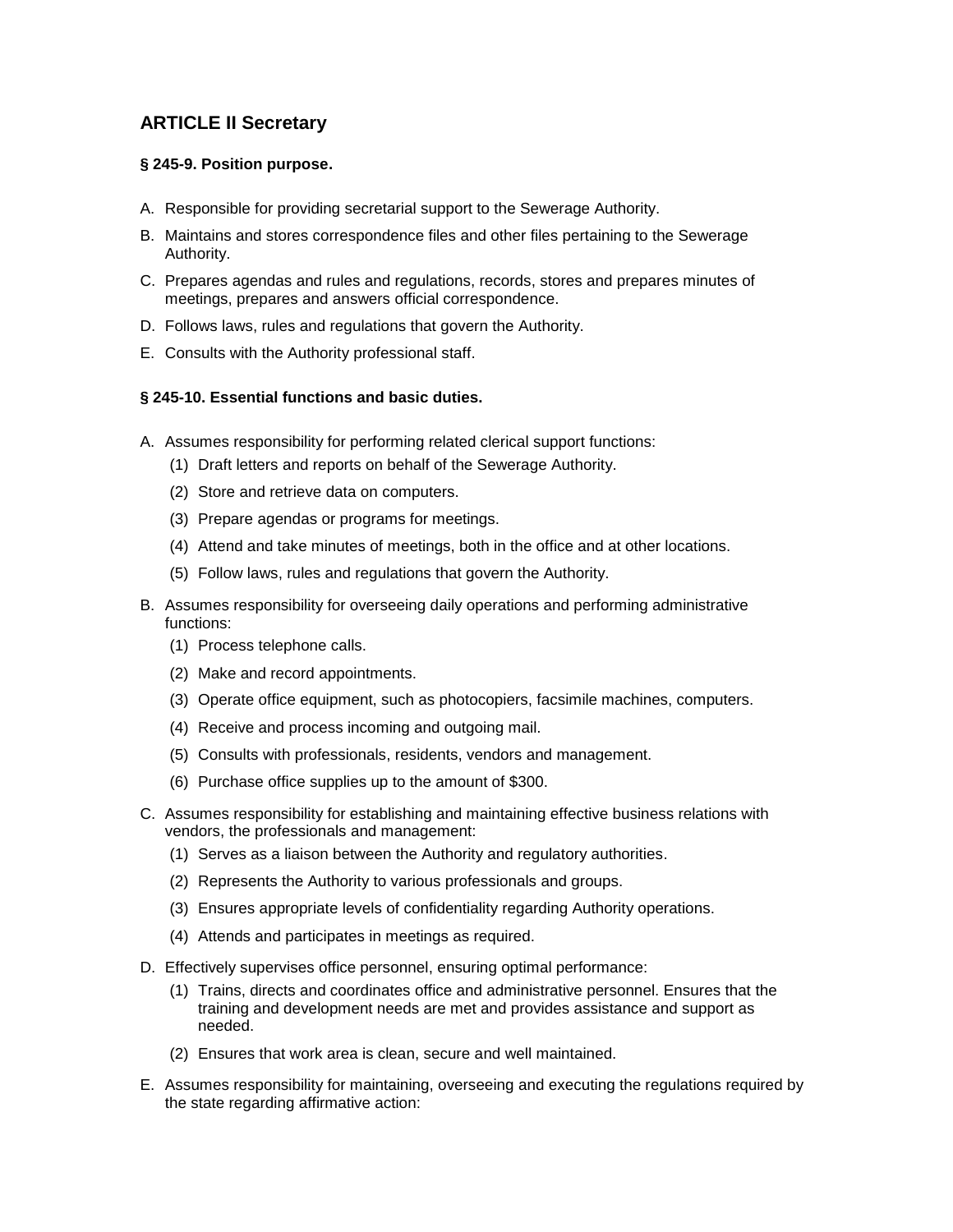# **ARTICLE II Secretary**

# **§ 245-9. Position purpose.**

- A. Responsible for providing secretarial support to the Sewerage Authority.
- B. Maintains and stores correspondence files and other files pertaining to the Sewerage Authority.
- C. Prepares agendas and rules and regulations, records, stores and prepares minutes of meetings, prepares and answers official correspondence.
- D. Follows laws, rules and regulations that govern the Authority.
- E. Consults with the Authority professional staff.

# **§ 245-10. Essential functions and basic duties.**

- A. Assumes responsibility for performing related clerical support functions:
	- (1) Draft letters and reports on behalf of the Sewerage Authority.
	- (2) Store and retrieve data on computers.
	- (3) Prepare agendas or programs for meetings.
	- (4) Attend and take minutes of meetings, both in the office and at other locations.
	- (5) Follow laws, rules and regulations that govern the Authority.
- B. Assumes responsibility for overseeing daily operations and performing administrative functions:
	- (1) Process telephone calls.
	- (2) Make and record appointments.
	- (3) Operate office equipment, such as photocopiers, facsimile machines, computers.
	- (4) Receive and process incoming and outgoing mail.
	- (5) Consults with professionals, residents, vendors and management.
	- (6) Purchase office supplies up to the amount of \$300.
- C. Assumes responsibility for establishing and maintaining effective business relations with vendors, the professionals and management:
	- (1) Serves as a liaison between the Authority and regulatory authorities.
	- (2) Represents the Authority to various professionals and groups.
	- (3) Ensures appropriate levels of confidentiality regarding Authority operations.
	- (4) Attends and participates in meetings as required.
- D. Effectively supervises office personnel, ensuring optimal performance:
	- (1) Trains, directs and coordinates office and administrative personnel. Ensures that the training and development needs are met and provides assistance and support as needed.
	- (2) Ensures that work area is clean, secure and well maintained.
- E. Assumes responsibility for maintaining, overseeing and executing the regulations required by the state regarding affirmative action: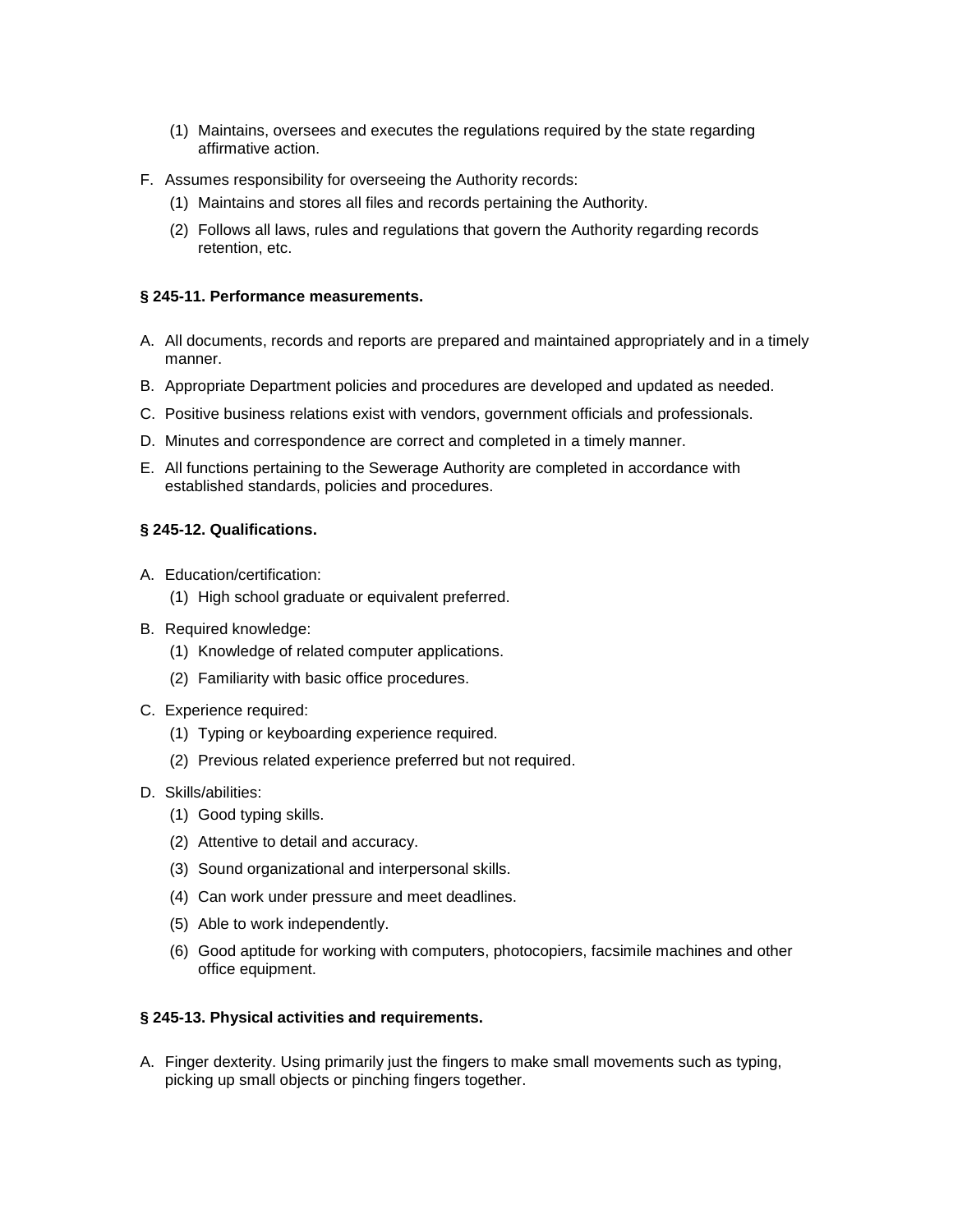- (1) Maintains, oversees and executes the regulations required by the state regarding affirmative action.
- F. Assumes responsibility for overseeing the Authority records:
	- (1) Maintains and stores all files and records pertaining the Authority.
	- (2) Follows all laws, rules and regulations that govern the Authority regarding records retention, etc.

## **§ 245-11. Performance measurements.**

- A. All documents, records and reports are prepared and maintained appropriately and in a timely manner.
- B. Appropriate Department policies and procedures are developed and updated as needed.
- C. Positive business relations exist with vendors, government officials and professionals.
- D. Minutes and correspondence are correct and completed in a timely manner.
- E. All functions pertaining to the Sewerage Authority are completed in accordance with established standards, policies and procedures.

## **§ 245-12. Qualifications.**

- A. Education/certification:
	- (1) High school graduate or equivalent preferred.
- B. Required knowledge:
	- (1) Knowledge of related computer applications.
	- (2) Familiarity with basic office procedures.
- C. Experience required:
	- (1) Typing or keyboarding experience required.
	- (2) Previous related experience preferred but not required.
- D. Skills/abilities:
	- (1) Good typing skills.
	- (2) Attentive to detail and accuracy.
	- (3) Sound organizational and interpersonal skills.
	- (4) Can work under pressure and meet deadlines.
	- (5) Able to work independently.
	- (6) Good aptitude for working with computers, photocopiers, facsimile machines and other office equipment.

### **§ 245-13. Physical activities and requirements.**

A. Finger dexterity. Using primarily just the fingers to make small movements such as typing, picking up small objects or pinching fingers together.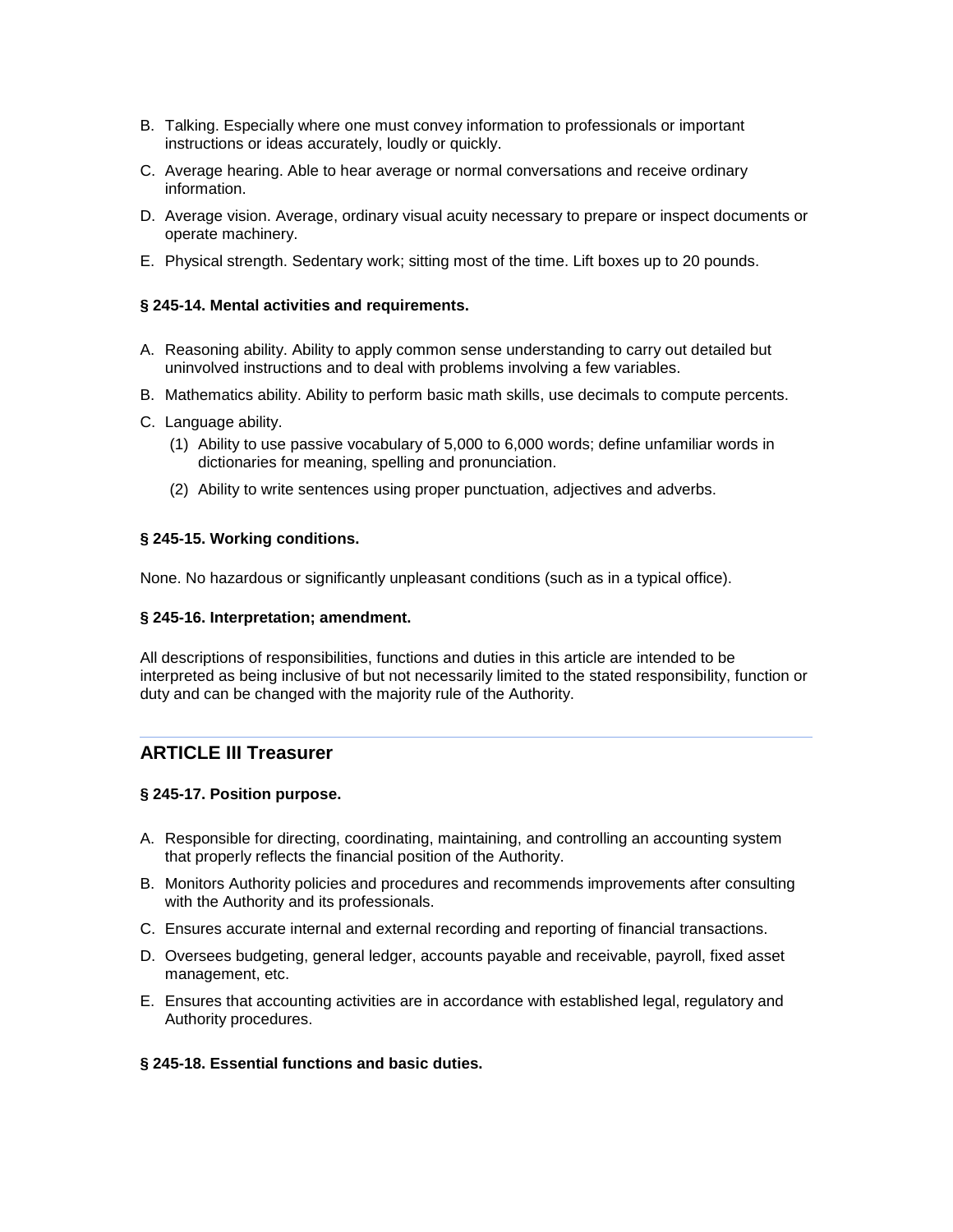- B. Talking. Especially where one must convey information to professionals or important instructions or ideas accurately, loudly or quickly.
- C. Average hearing. Able to hear average or normal conversations and receive ordinary information.
- D. Average vision. Average, ordinary visual acuity necessary to prepare or inspect documents or operate machinery.
- E. Physical strength. Sedentary work; sitting most of the time. Lift boxes up to 20 pounds.

### **§ 245-14. Mental activities and requirements.**

- A. Reasoning ability. Ability to apply common sense understanding to carry out detailed but uninvolved instructions and to deal with problems involving a few variables.
- B. Mathematics ability. Ability to perform basic math skills, use decimals to compute percents.
- C. Language ability.
	- (1) Ability to use passive vocabulary of 5,000 to 6,000 words; define unfamiliar words in dictionaries for meaning, spelling and pronunciation.
	- (2) Ability to write sentences using proper punctuation, adjectives and adverbs.

#### **§ 245-15. Working conditions.**

None. No hazardous or significantly unpleasant conditions (such as in a typical office).

#### **§ 245-16. Interpretation; amendment.**

All descriptions of responsibilities, functions and duties in this article are intended to be interpreted as being inclusive of but not necessarily limited to the stated responsibility, function or duty and can be changed with the majority rule of the Authority.

# **ARTICLE III Treasurer**

### **§ 245-17. Position purpose.**

- A. Responsible for directing, coordinating, maintaining, and controlling an accounting system that properly reflects the financial position of the Authority.
- B. Monitors Authority policies and procedures and recommends improvements after consulting with the Authority and its professionals.
- C. Ensures accurate internal and external recording and reporting of financial transactions.
- D. Oversees budgeting, general ledger, accounts payable and receivable, payroll, fixed asset management, etc.
- E. Ensures that accounting activities are in accordance with established legal, regulatory and Authority procedures.

### **§ 245-18. Essential functions and basic duties.**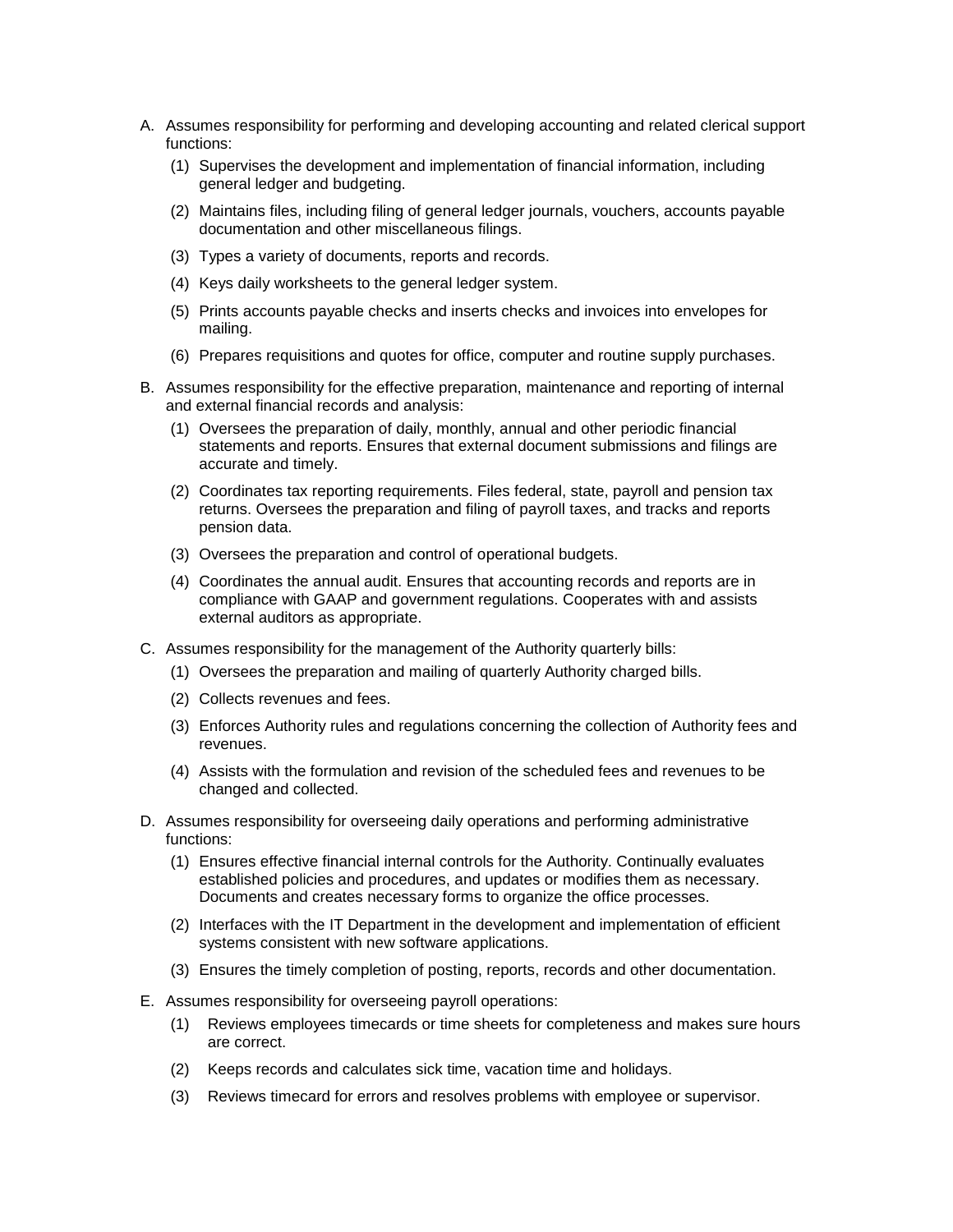- A. Assumes responsibility for performing and developing accounting and related clerical support functions:
	- (1) Supervises the development and implementation of financial information, including general ledger and budgeting.
	- (2) Maintains files, including filing of general ledger journals, vouchers, accounts payable documentation and other miscellaneous filings.
	- (3) Types a variety of documents, reports and records.
	- (4) Keys daily worksheets to the general ledger system.
	- (5) Prints accounts payable checks and inserts checks and invoices into envelopes for mailing.
	- (6) Prepares requisitions and quotes for office, computer and routine supply purchases.
- B. Assumes responsibility for the effective preparation, maintenance and reporting of internal and external financial records and analysis:
	- (1) Oversees the preparation of daily, monthly, annual and other periodic financial statements and reports. Ensures that external document submissions and filings are accurate and timely.
	- (2) Coordinates tax reporting requirements. Files federal, state, payroll and pension tax returns. Oversees the preparation and filing of payroll taxes, and tracks and reports pension data.
	- (3) Oversees the preparation and control of operational budgets.
	- (4) Coordinates the annual audit. Ensures that accounting records and reports are in compliance with GAAP and government regulations. Cooperates with and assists external auditors as appropriate.
- C. Assumes responsibility for the management of the Authority quarterly bills:
	- (1) Oversees the preparation and mailing of quarterly Authority charged bills.
	- (2) Collects revenues and fees.
	- (3) Enforces Authority rules and regulations concerning the collection of Authority fees and revenues.
	- (4) Assists with the formulation and revision of the scheduled fees and revenues to be changed and collected.
- D. Assumes responsibility for overseeing daily operations and performing administrative functions:
	- (1) Ensures effective financial internal controls for the Authority. Continually evaluates established policies and procedures, and updates or modifies them as necessary. Documents and creates necessary forms to organize the office processes.
	- (2) Interfaces with the IT Department in the development and implementation of efficient systems consistent with new software applications.
	- (3) Ensures the timely completion of posting, reports, records and other documentation.
- E. Assumes responsibility for overseeing payroll operations:
	- (1) Reviews employees timecards or time sheets for completeness and makes sure hours are correct.
	- (2) Keeps records and calculates sick time, vacation time and holidays.
	- (3) Reviews timecard for errors and resolves problems with employee or supervisor.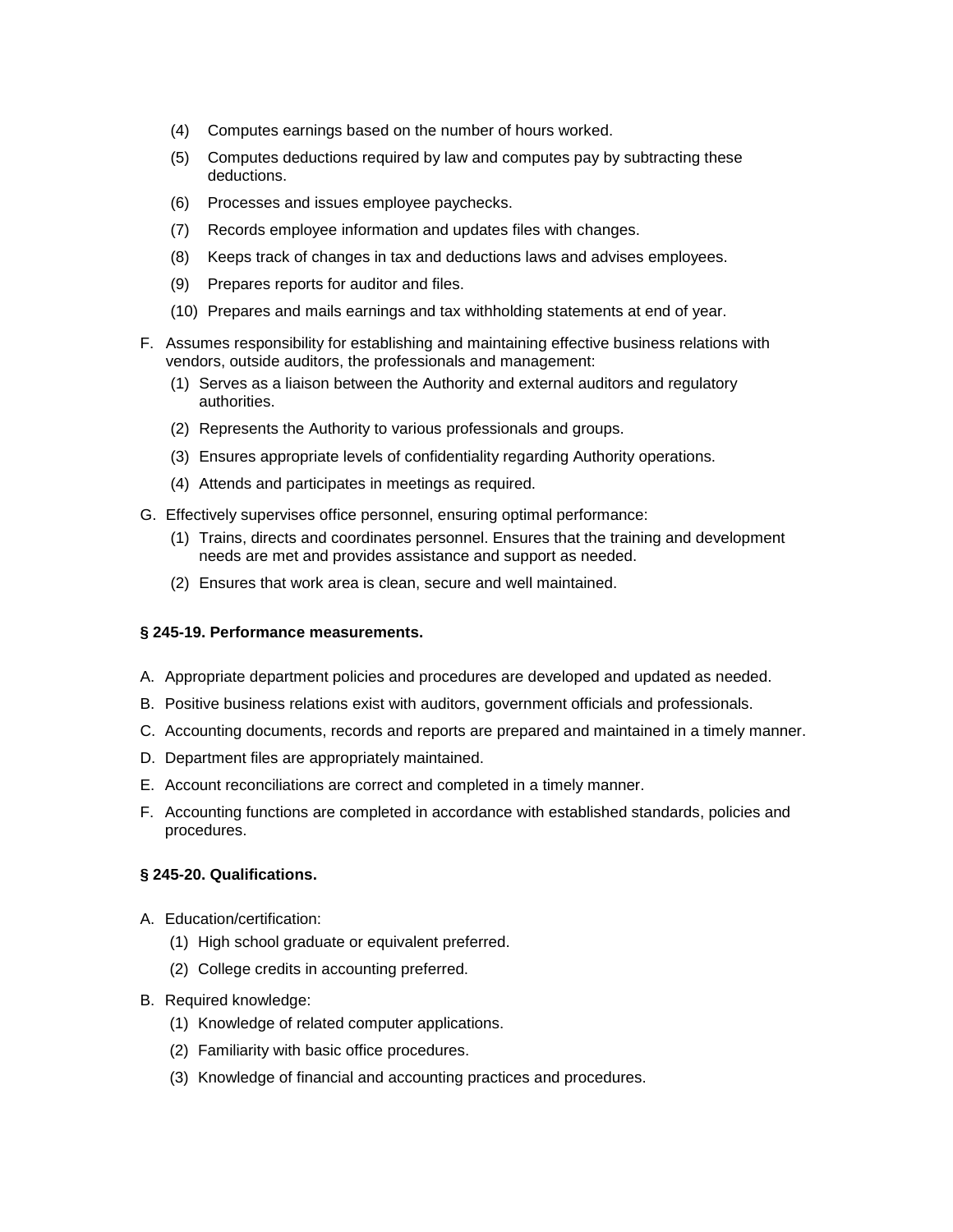- (4) Computes earnings based on the number of hours worked.
- (5) Computes deductions required by law and computes pay by subtracting these deductions.
- (6) Processes and issues employee paychecks.
- (7) Records employee information and updates files with changes.
- (8) Keeps track of changes in tax and deductions laws and advises employees.
- (9) Prepares reports for auditor and files.
- (10) Prepares and mails earnings and tax withholding statements at end of year.
- F. Assumes responsibility for establishing and maintaining effective business relations with vendors, outside auditors, the professionals and management:
	- (1) Serves as a liaison between the Authority and external auditors and regulatory authorities.
	- (2) Represents the Authority to various professionals and groups.
	- (3) Ensures appropriate levels of confidentiality regarding Authority operations.
	- (4) Attends and participates in meetings as required.
- G. Effectively supervises office personnel, ensuring optimal performance:
	- (1) Trains, directs and coordinates personnel. Ensures that the training and development needs are met and provides assistance and support as needed.
	- (2) Ensures that work area is clean, secure and well maintained.

### **§ 245-19. Performance measurements.**

- A. Appropriate department policies and procedures are developed and updated as needed.
- B. Positive business relations exist with auditors, government officials and professionals.
- C. Accounting documents, records and reports are prepared and maintained in a timely manner.
- D. Department files are appropriately maintained.
- E. Account reconciliations are correct and completed in a timely manner.
- F. Accounting functions are completed in accordance with established standards, policies and procedures.

#### **§ 245-20. Qualifications.**

- A. Education/certification:
	- (1) High school graduate or equivalent preferred.
	- (2) College credits in accounting preferred.
- B. Required knowledge:
	- (1) Knowledge of related computer applications.
	- (2) Familiarity with basic office procedures.
	- (3) Knowledge of financial and accounting practices and procedures.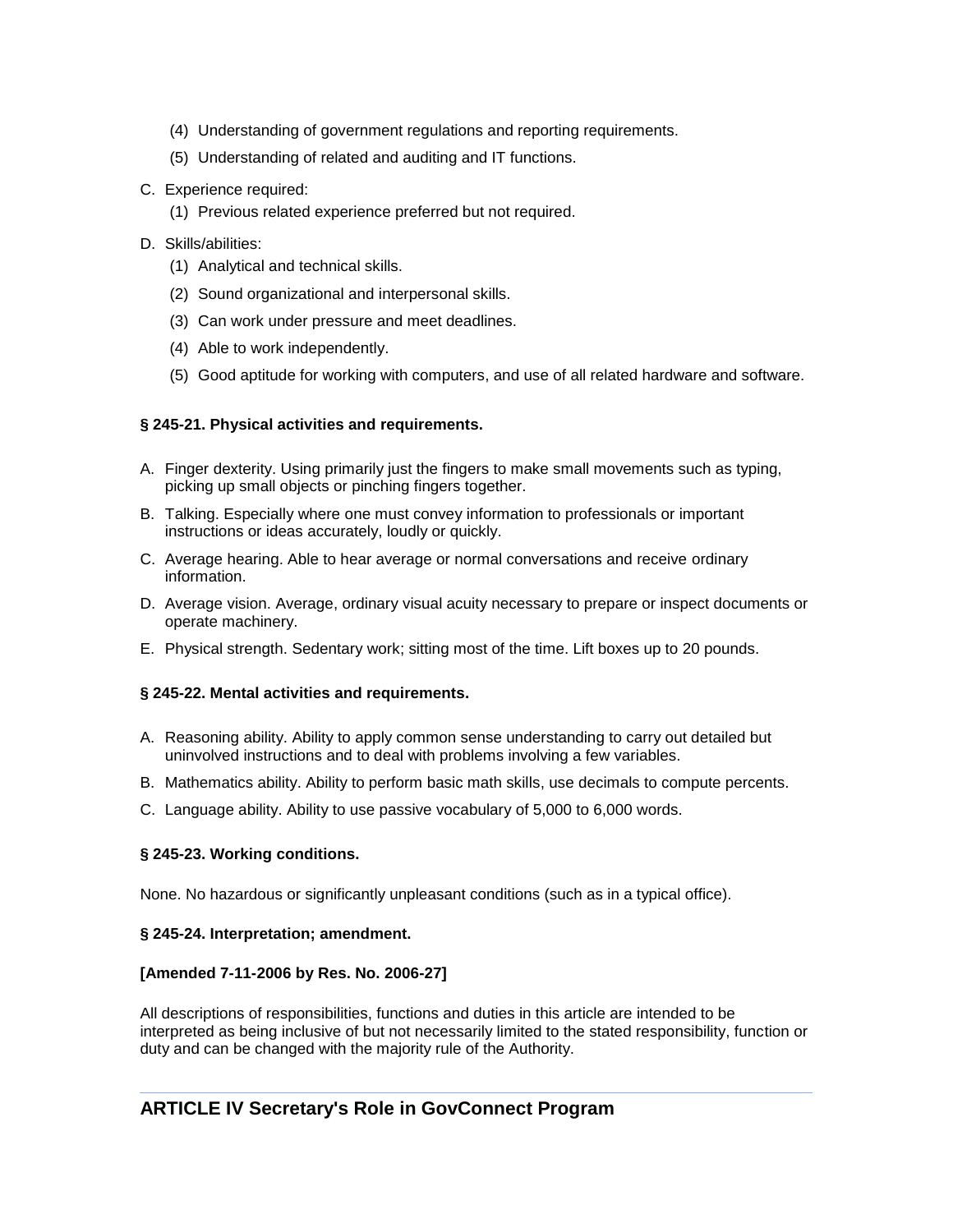- (4) Understanding of government regulations and reporting requirements.
- (5) Understanding of related and auditing and IT functions.
- C. Experience required:
	- (1) Previous related experience preferred but not required.
- D. Skills/abilities:
	- (1) Analytical and technical skills.
	- (2) Sound organizational and interpersonal skills.
	- (3) Can work under pressure and meet deadlines.
	- (4) Able to work independently.
	- (5) Good aptitude for working with computers, and use of all related hardware and software.

## **§ 245-21. Physical activities and requirements.**

- A. Finger dexterity. Using primarily just the fingers to make small movements such as typing, picking up small objects or pinching fingers together.
- B. Talking. Especially where one must convey information to professionals or important instructions or ideas accurately, loudly or quickly.
- C. Average hearing. Able to hear average or normal conversations and receive ordinary information.
- D. Average vision. Average, ordinary visual acuity necessary to prepare or inspect documents or operate machinery.
- E. Physical strength. Sedentary work; sitting most of the time. Lift boxes up to 20 pounds.

### **§ 245-22. Mental activities and requirements.**

- A. Reasoning ability. Ability to apply common sense understanding to carry out detailed but uninvolved instructions and to deal with problems involving a few variables.
- B. Mathematics ability. Ability to perform basic math skills, use decimals to compute percents.
- C. Language ability. Ability to use passive vocabulary of 5,000 to 6,000 words.

### **§ 245-23. Working conditions.**

None. No hazardous or significantly unpleasant conditions (such as in a typical office).

### **§ 245-24. Interpretation; amendment.**

### **[Amended 7-11-2006 by Res. No. 2006-27]**

All descriptions of responsibilities, functions and duties in this article are intended to be interpreted as being inclusive of but not necessarily limited to the stated responsibility, function or duty and can be changed with the majority rule of the Authority.

# **ARTICLE IV Secretary's Role in GovConnect Program**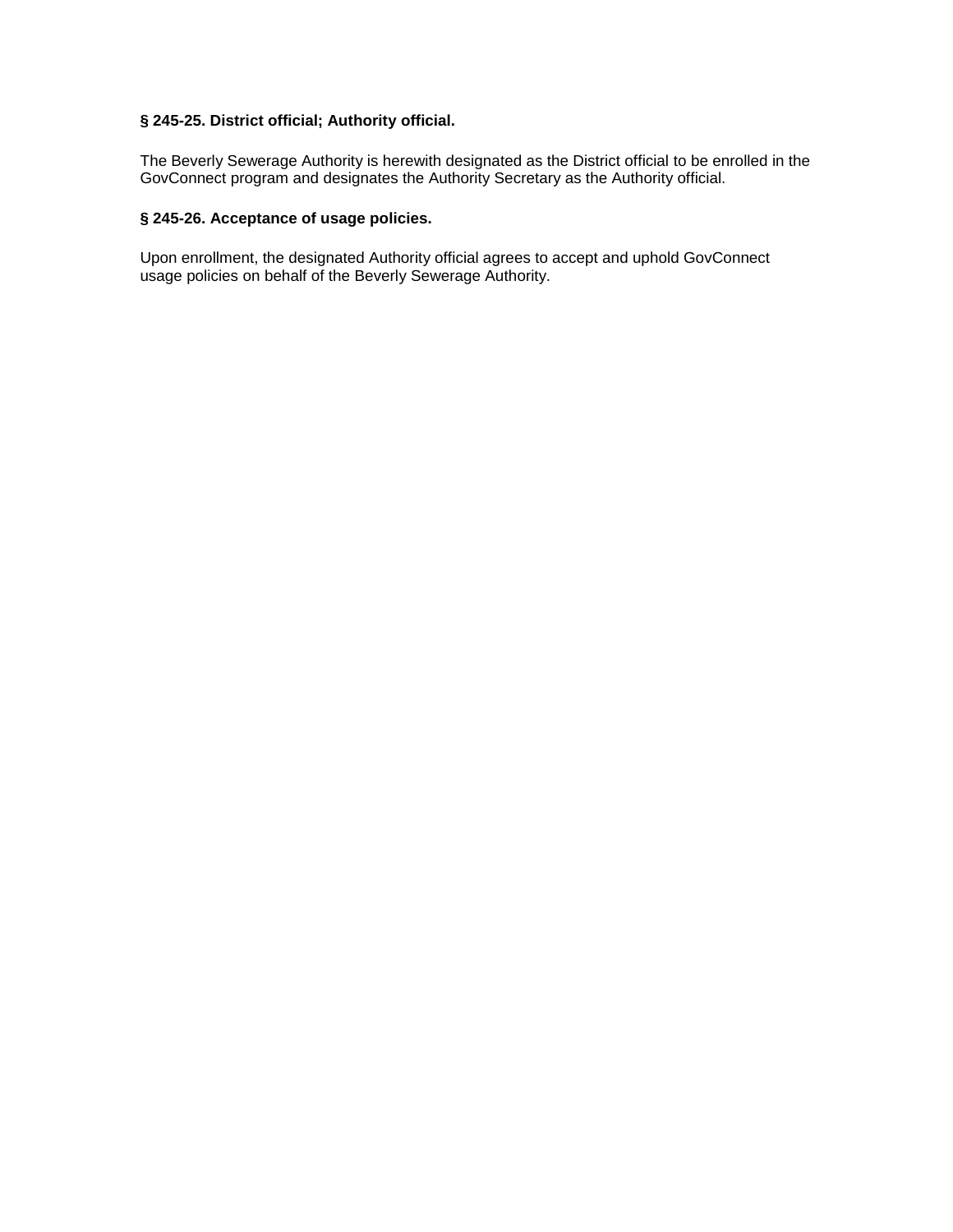# **§ 245-25. District official; Authority official.**

The Beverly Sewerage Authority is herewith designated as the District official to be enrolled in the GovConnect program and designates the Authority Secretary as the Authority official.

## **§ 245-26. Acceptance of usage policies.**

Upon enrollment, the designated Authority official agrees to accept and uphold GovConnect usage policies on behalf of the Beverly Sewerage Authority.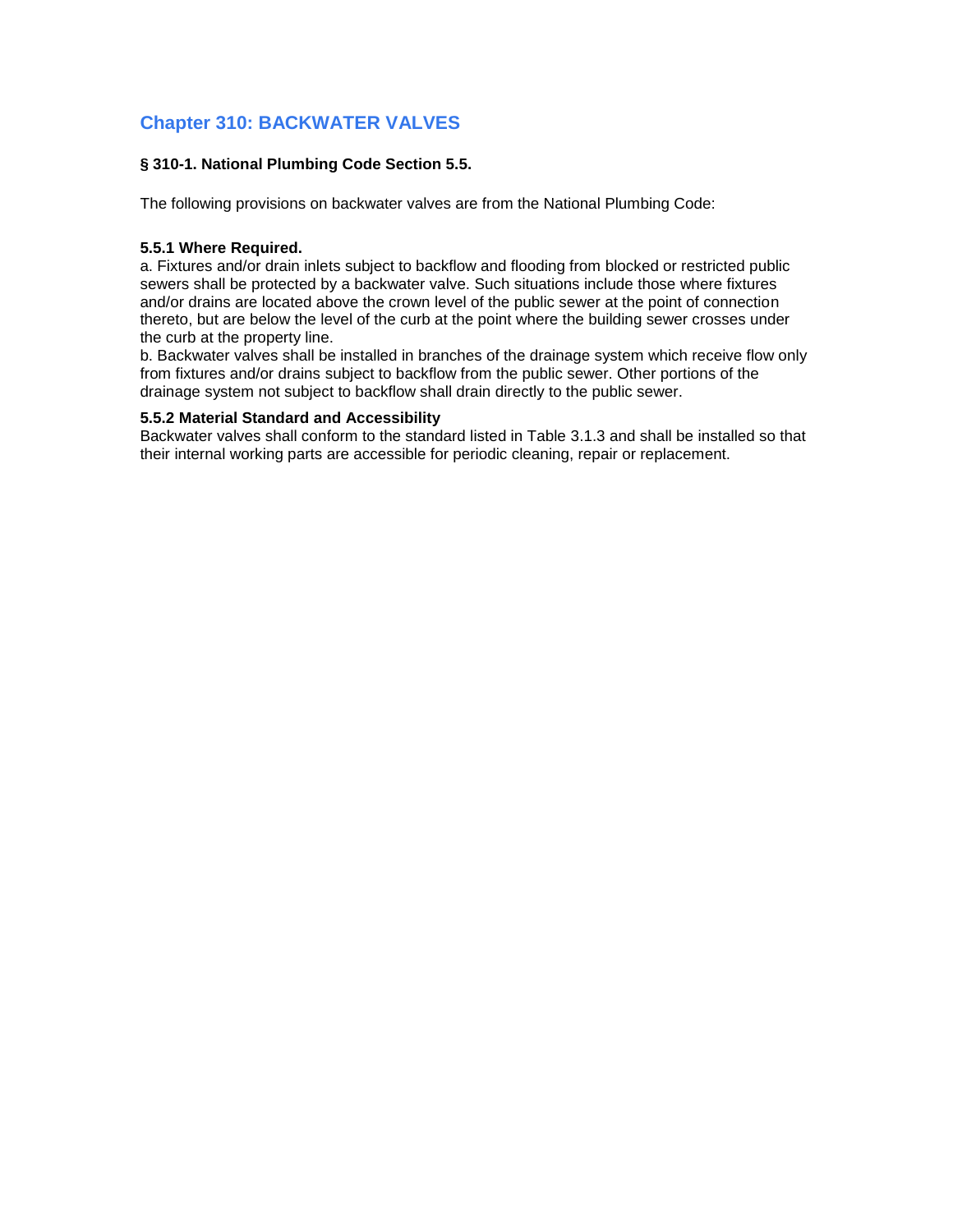# **Chapter 310: BACKWATER VALVES**

# **§ 310-1. National Plumbing Code Section 5.5.**

The following provisions on backwater valves are from the National Plumbing Code:

### **5.5.1 Where Required.**

a. Fixtures and/or drain inlets subject to backflow and flooding from blocked or restricted public sewers shall be protected by a backwater valve. Such situations include those where fixtures and/or drains are located above the crown level of the public sewer at the point of connection thereto, but are below the level of the curb at the point where the building sewer crosses under the curb at the property line.

b. Backwater valves shall be installed in branches of the drainage system which receive flow only from fixtures and/or drains subject to backflow from the public sewer. Other portions of the drainage system not subject to backflow shall drain directly to the public sewer.

### **5.5.2 Material Standard and Accessibility**

Backwater valves shall conform to the standard listed in Table 3.1.3 and shall be installed so that their internal working parts are accessible for periodic cleaning, repair or replacement.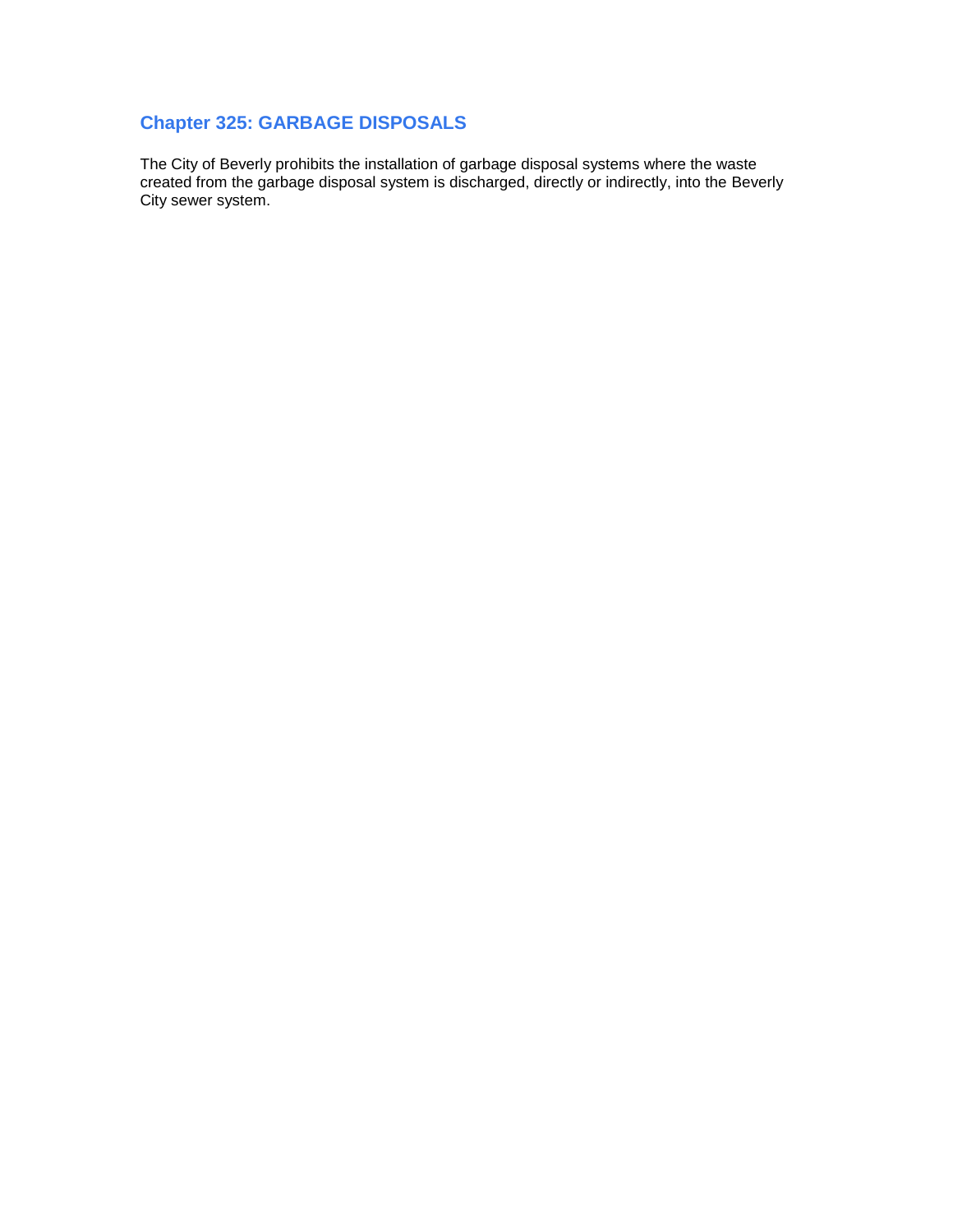# **Chapter 325: GARBAGE DISPOSALS**

The City of Beverly prohibits the installation of garbage disposal systems where the waste created from the garbage disposal system is discharged, directly or indirectly, into the Beverly City sewer system.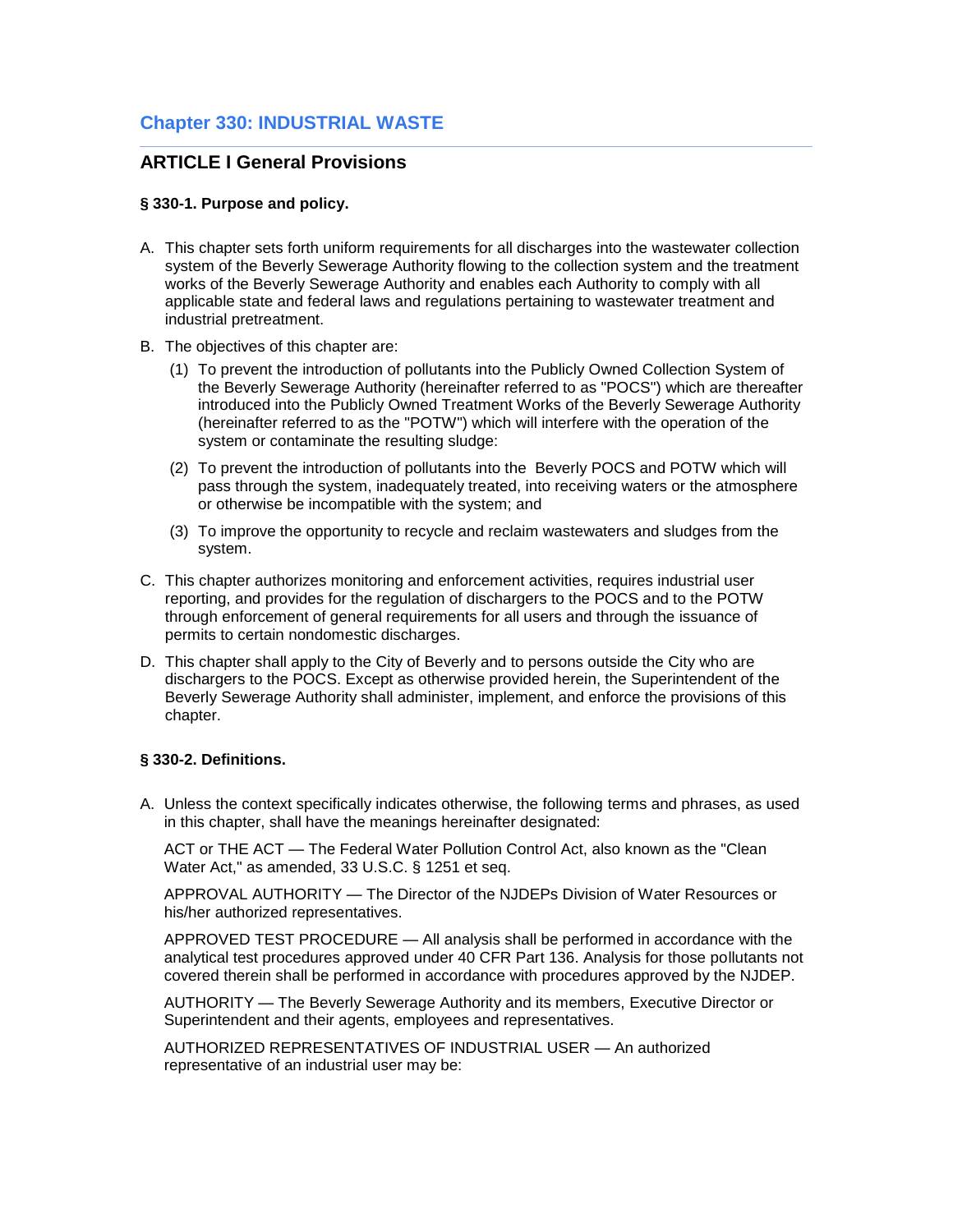# **Chapter 330: INDUSTRIAL WASTE**

# **ARTICLE I General Provisions**

### **§ 330-1. Purpose and policy.**

- A. This chapter sets forth uniform requirements for all discharges into the wastewater collection system of the Beverly Sewerage Authority flowing to the collection system and the treatment works of the Beverly Sewerage Authority and enables each Authority to comply with all applicable state and federal laws and regulations pertaining to wastewater treatment and industrial pretreatment.
- B. The objectives of this chapter are:
	- (1) To prevent the introduction of pollutants into the Publicly Owned Collection System of the Beverly Sewerage Authority (hereinafter referred to as "POCS") which are thereafter introduced into the Publicly Owned Treatment Works of the Beverly Sewerage Authority (hereinafter referred to as the "POTW") which will interfere with the operation of the system or contaminate the resulting sludge:
	- (2) To prevent the introduction of pollutants into the Beverly POCS and POTW which will pass through the system, inadequately treated, into receiving waters or the atmosphere or otherwise be incompatible with the system; and
	- (3) To improve the opportunity to recycle and reclaim wastewaters and sludges from the system.
- C. This chapter authorizes monitoring and enforcement activities, requires industrial user reporting, and provides for the regulation of dischargers to the POCS and to the POTW through enforcement of general requirements for all users and through the issuance of permits to certain nondomestic discharges.
- D. This chapter shall apply to the City of Beverly and to persons outside the City who are dischargers to the POCS. Except as otherwise provided herein, the Superintendent of the Beverly Sewerage Authority shall administer, implement, and enforce the provisions of this chapter.

### **§ 330-2. Definitions.**

A. Unless the context specifically indicates otherwise, the following terms and phrases, as used in this chapter, shall have the meanings hereinafter designated:

ACT or THE ACT — The Federal Water Pollution Control Act, also known as the "Clean Water Act," as amended, 33 U.S.C. § 1251 et seq.

APPROVAL AUTHORITY — The Director of the NJDEPs Division of Water Resources or his/her authorized representatives.

APPROVED TEST PROCEDURE — All analysis shall be performed in accordance with the analytical test procedures approved under 40 CFR Part 136. Analysis for those pollutants not covered therein shall be performed in accordance with procedures approved by the NJDEP.

AUTHORITY — The Beverly Sewerage Authority and its members, Executive Director or Superintendent and their agents, employees and representatives.

AUTHORIZED REPRESENTATIVES OF INDUSTRIAL USER — An authorized representative of an industrial user may be: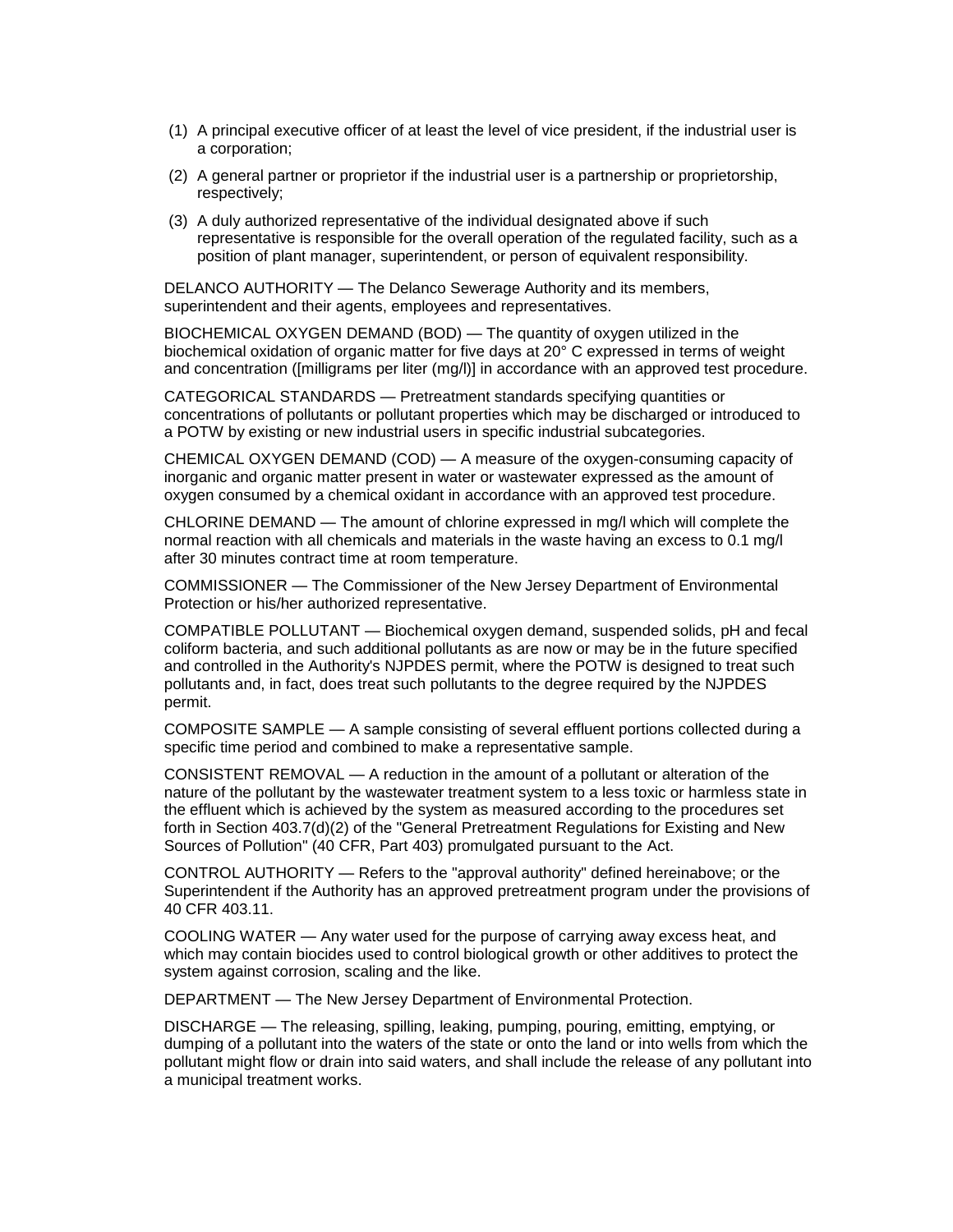- (1) A principal executive officer of at least the level of vice president, if the industrial user is a corporation;
- (2) A general partner or proprietor if the industrial user is a partnership or proprietorship, respectively;
- (3) A duly authorized representative of the individual designated above if such representative is responsible for the overall operation of the regulated facility, such as a position of plant manager, superintendent, or person of equivalent responsibility.

DELANCO AUTHORITY — The Delanco Sewerage Authority and its members, superintendent and their agents, employees and representatives.

BIOCHEMICAL OXYGEN DEMAND (BOD) — The quantity of oxygen utilized in the biochemical oxidation of organic matter for five days at 20° C expressed in terms of weight and concentration ([milligrams per liter (mg/l)] in accordance with an approved test procedure.

CATEGORICAL STANDARDS — Pretreatment standards specifying quantities or concentrations of pollutants or pollutant properties which may be discharged or introduced to a POTW by existing or new industrial users in specific industrial subcategories.

CHEMICAL OXYGEN DEMAND (COD) — A measure of the oxygen-consuming capacity of inorganic and organic matter present in water or wastewater expressed as the amount of oxygen consumed by a chemical oxidant in accordance with an approved test procedure.

CHLORINE DEMAND — The amount of chlorine expressed in mg/l which will complete the normal reaction with all chemicals and materials in the waste having an excess to 0.1 mg/l after 30 minutes contract time at room temperature.

COMMISSIONER — The Commissioner of the New Jersey Department of Environmental Protection or his/her authorized representative.

COMPATIBLE POLLUTANT — Biochemical oxygen demand, suspended solids, pH and fecal coliform bacteria, and such additional pollutants as are now or may be in the future specified and controlled in the Authority's NJPDES permit, where the POTW is designed to treat such pollutants and, in fact, does treat such pollutants to the degree required by the NJPDES permit.

COMPOSITE SAMPLE — A sample consisting of several effluent portions collected during a specific time period and combined to make a representative sample.

CONSISTENT REMOVAL — A reduction in the amount of a pollutant or alteration of the nature of the pollutant by the wastewater treatment system to a less toxic or harmless state in the effluent which is achieved by the system as measured according to the procedures set forth in Section 403.7(d)(2) of the "General Pretreatment Regulations for Existing and New Sources of Pollution" (40 CFR, Part 403) promulgated pursuant to the Act.

CONTROL AUTHORITY — Refers to the "approval authority" defined hereinabove; or the Superintendent if the Authority has an approved pretreatment program under the provisions of 40 CFR 403.11.

COOLING WATER — Any water used for the purpose of carrying away excess heat, and which may contain biocides used to control biological growth or other additives to protect the system against corrosion, scaling and the like.

DEPARTMENT — The New Jersey Department of Environmental Protection.

DISCHARGE — The releasing, spilling, leaking, pumping, pouring, emitting, emptying, or dumping of a pollutant into the waters of the state or onto the land or into wells from which the pollutant might flow or drain into said waters, and shall include the release of any pollutant into a municipal treatment works.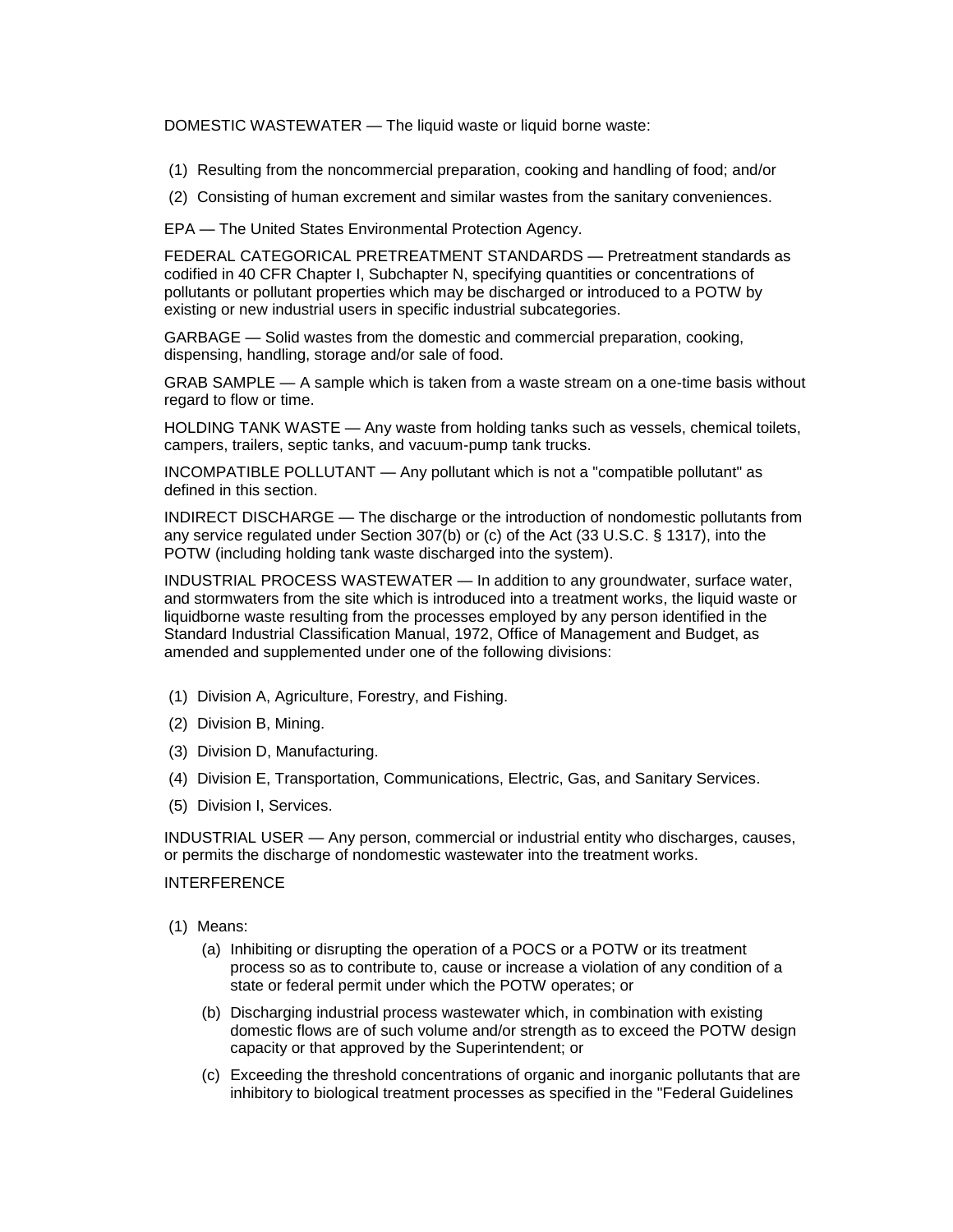DOMESTIC WASTEWATER — The liquid waste or liquid borne waste:

- (1) Resulting from the noncommercial preparation, cooking and handling of food; and/or
- (2) Consisting of human excrement and similar wastes from the sanitary conveniences.

EPA — The United States Environmental Protection Agency.

FEDERAL CATEGORICAL PRETREATMENT STANDARDS — Pretreatment standards as codified in 40 CFR Chapter I, Subchapter N, specifying quantities or concentrations of pollutants or pollutant properties which may be discharged or introduced to a POTW by existing or new industrial users in specific industrial subcategories.

GARBAGE — Solid wastes from the domestic and commercial preparation, cooking, dispensing, handling, storage and/or sale of food.

GRAB SAMPLE — A sample which is taken from a waste stream on a one-time basis without regard to flow or time.

HOLDING TANK WASTE — Any waste from holding tanks such as vessels, chemical toilets, campers, trailers, septic tanks, and vacuum-pump tank trucks.

INCOMPATIBLE POLLUTANT — Any pollutant which is not a "compatible pollutant" as defined in this section.

INDIRECT DISCHARGE — The discharge or the introduction of nondomestic pollutants from any service regulated under Section 307(b) or (c) of the Act (33 U.S.C. § 1317), into the POTW (including holding tank waste discharged into the system).

INDUSTRIAL PROCESS WASTEWATER — In addition to any groundwater, surface water, and stormwaters from the site which is introduced into a treatment works, the liquid waste or liquidborne waste resulting from the processes employed by any person identified in the Standard Industrial Classification Manual, 1972, Office of Management and Budget, as amended and supplemented under one of the following divisions:

- (1) Division A, Agriculture, Forestry, and Fishing.
- (2) Division B, Mining.
- (3) Division D, Manufacturing.
- (4) Division E, Transportation, Communications, Electric, Gas, and Sanitary Services.
- (5) Division I, Services.

INDUSTRIAL USER — Any person, commercial or industrial entity who discharges, causes, or permits the discharge of nondomestic wastewater into the treatment works.

## INTERFERENCE

- (1) Means:
	- (a) Inhibiting or disrupting the operation of a POCS or a POTW or its treatment process so as to contribute to, cause or increase a violation of any condition of a state or federal permit under which the POTW operates; or
	- (b) Discharging industrial process wastewater which, in combination with existing domestic flows are of such volume and/or strength as to exceed the POTW design capacity or that approved by the Superintendent; or
	- (c) Exceeding the threshold concentrations of organic and inorganic pollutants that are inhibitory to biological treatment processes as specified in the "Federal Guidelines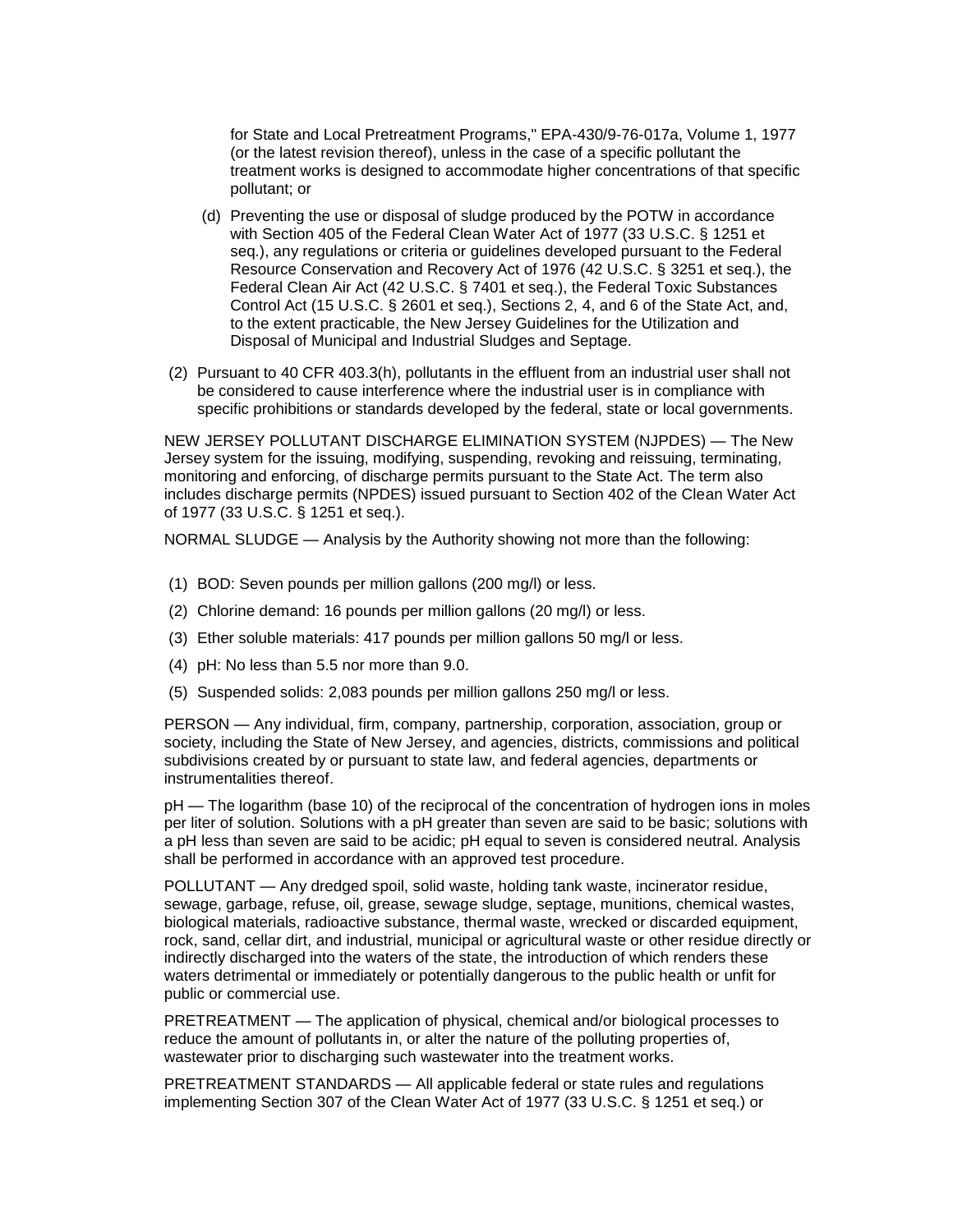for State and Local Pretreatment Programs," EPA-430/9-76-017a, Volume 1, 1977 (or the latest revision thereof), unless in the case of a specific pollutant the treatment works is designed to accommodate higher concentrations of that specific pollutant; or

- (d) Preventing the use or disposal of sludge produced by the POTW in accordance with Section 405 of the Federal Clean Water Act of 1977 (33 U.S.C. § 1251 et seq.), any regulations or criteria or guidelines developed pursuant to the Federal Resource Conservation and Recovery Act of 1976 (42 U.S.C. § 3251 et seq.), the Federal Clean Air Act (42 U.S.C. § 7401 et seq.), the Federal Toxic Substances Control Act (15 U.S.C. § 2601 et seq.), Sections 2, 4, and 6 of the State Act, and, to the extent practicable, the New Jersey Guidelines for the Utilization and Disposal of Municipal and Industrial Sludges and Septage.
- (2) Pursuant to 40 CFR 403.3(h), pollutants in the effluent from an industrial user shall not be considered to cause interference where the industrial user is in compliance with specific prohibitions or standards developed by the federal, state or local governments.

NEW JERSEY POLLUTANT DISCHARGE ELIMINATION SYSTEM (NJPDES) — The New Jersey system for the issuing, modifying, suspending, revoking and reissuing, terminating, monitoring and enforcing, of discharge permits pursuant to the State Act. The term also includes discharge permits (NPDES) issued pursuant to Section 402 of the Clean Water Act of 1977 (33 U.S.C. § 1251 et seq.).

NORMAL SLUDGE — Analysis by the Authority showing not more than the following:

- (1) BOD: Seven pounds per million gallons (200 mg/l) or less.
- (2) Chlorine demand: 16 pounds per million gallons (20 mg/l) or less.
- (3) Ether soluble materials: 417 pounds per million gallons 50 mg/l or less.
- (4) pH: No less than 5.5 nor more than 9.0.
- (5) Suspended solids: 2,083 pounds per million gallons 250 mg/l or less.

PERSON — Any individual, firm, company, partnership, corporation, association, group or society, including the State of New Jersey, and agencies, districts, commissions and political subdivisions created by or pursuant to state law, and federal agencies, departments or instrumentalities thereof.

pH — The logarithm (base 10) of the reciprocal of the concentration of hydrogen ions in moles per liter of solution. Solutions with a pH greater than seven are said to be basic; solutions with a pH less than seven are said to be acidic; pH equal to seven is considered neutral. Analysis shall be performed in accordance with an approved test procedure.

POLLUTANT — Any dredged spoil, solid waste, holding tank waste, incinerator residue, sewage, garbage, refuse, oil, grease, sewage sludge, septage, munitions, chemical wastes, biological materials, radioactive substance, thermal waste, wrecked or discarded equipment, rock, sand, cellar dirt, and industrial, municipal or agricultural waste or other residue directly or indirectly discharged into the waters of the state, the introduction of which renders these waters detrimental or immediately or potentially dangerous to the public health or unfit for public or commercial use.

PRETREATMENT — The application of physical, chemical and/or biological processes to reduce the amount of pollutants in, or alter the nature of the polluting properties of, wastewater prior to discharging such wastewater into the treatment works.

PRETREATMENT STANDARDS — All applicable federal or state rules and regulations implementing Section 307 of the Clean Water Act of 1977 (33 U.S.C. § 1251 et seq.) or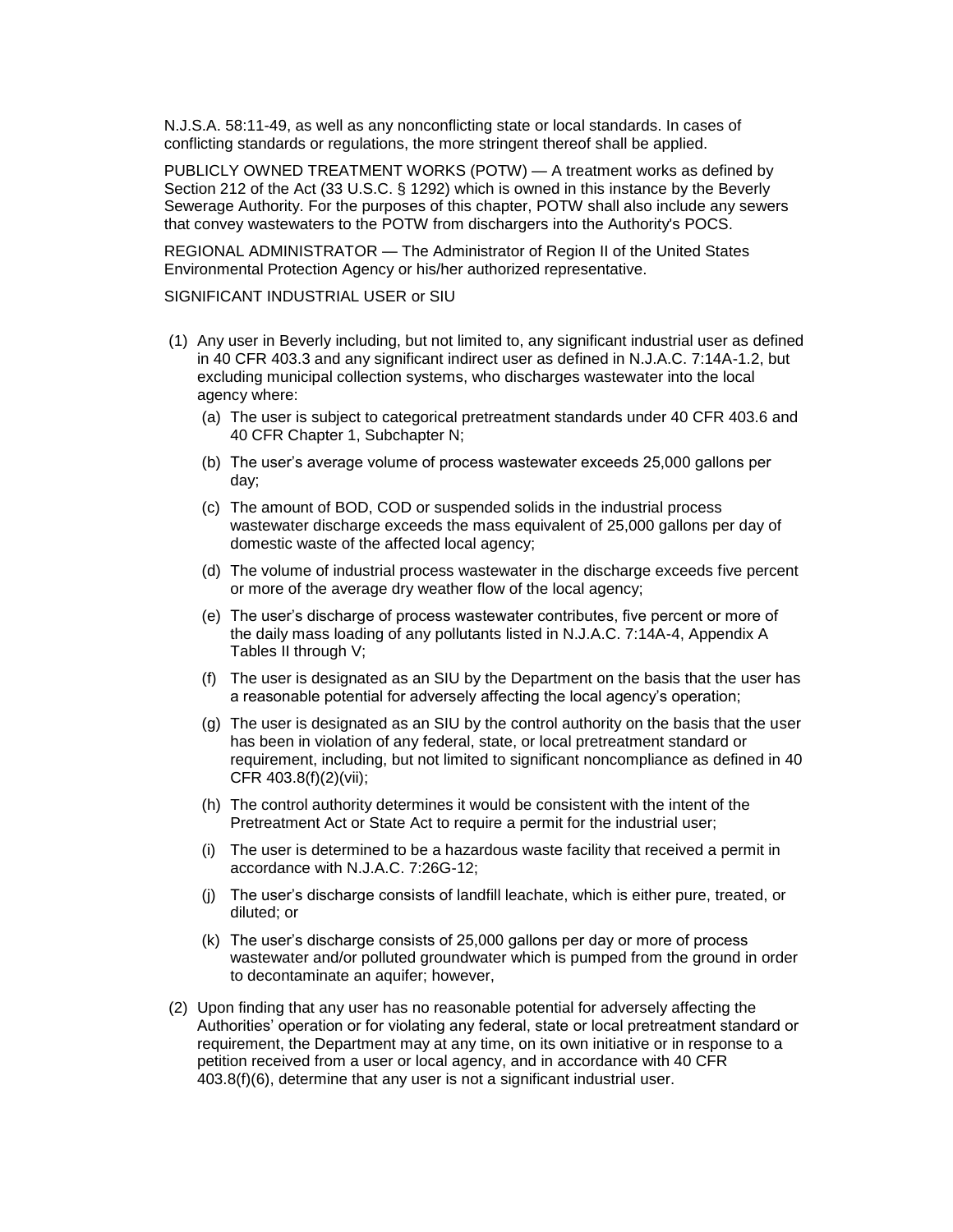N.J.S.A. 58:11-49, as well as any nonconflicting state or local standards. In cases of conflicting standards or regulations, the more stringent thereof shall be applied.

PUBLICLY OWNED TREATMENT WORKS (POTW) — A treatment works as defined by Section 212 of the Act (33 U.S.C. § 1292) which is owned in this instance by the Beverly Sewerage Authority. For the purposes of this chapter, POTW shall also include any sewers that convey wastewaters to the POTW from dischargers into the Authority's POCS.

REGIONAL ADMINISTRATOR — The Administrator of Region II of the United States Environmental Protection Agency or his/her authorized representative.

SIGNIFICANT INDUSTRIAL USER or SIU

- (1) Any user in Beverly including, but not limited to, any significant industrial user as defined in 40 CFR 403.3 and any significant indirect user as defined in N.J.A.C. 7:14A-1.2, but excluding municipal collection systems, who discharges wastewater into the local agency where:
	- (a) The user is subject to categorical pretreatment standards under 40 CFR 403.6 and 40 CFR Chapter 1, Subchapter N;
	- (b) The user's average volume of process wastewater exceeds 25,000 gallons per day;
	- (c) The amount of BOD, COD or suspended solids in the industrial process wastewater discharge exceeds the mass equivalent of 25,000 gallons per day of domestic waste of the affected local agency;
	- (d) The volume of industrial process wastewater in the discharge exceeds five percent or more of the average dry weather flow of the local agency;
	- (e) The user's discharge of process wastewater contributes, five percent or more of the daily mass loading of any pollutants listed in N.J.A.C. 7:14A-4, Appendix A Tables II through V;
	- (f) The user is designated as an SIU by the Department on the basis that the user has a reasonable potential for adversely affecting the local agency's operation;
	- (g) The user is designated as an SIU by the control authority on the basis that the user has been in violation of any federal, state, or local pretreatment standard or requirement, including, but not limited to significant noncompliance as defined in 40 CFR 403.8(f)(2)(vii);
	- (h) The control authority determines it would be consistent with the intent of the Pretreatment Act or State Act to require a permit for the industrial user;
	- (i) The user is determined to be a hazardous waste facility that received a permit in accordance with N.J.A.C. 7:26G-12;
	- (j) The user's discharge consists of landfill leachate, which is either pure, treated, or diluted; or
	- (k) The user's discharge consists of 25,000 gallons per day or more of process wastewater and/or polluted groundwater which is pumped from the ground in order to decontaminate an aquifer; however,
- (2) Upon finding that any user has no reasonable potential for adversely affecting the Authorities' operation or for violating any federal, state or local pretreatment standard or requirement, the Department may at any time, on its own initiative or in response to a petition received from a user or local agency, and in accordance with 40 CFR 403.8(f)(6), determine that any user is not a significant industrial user.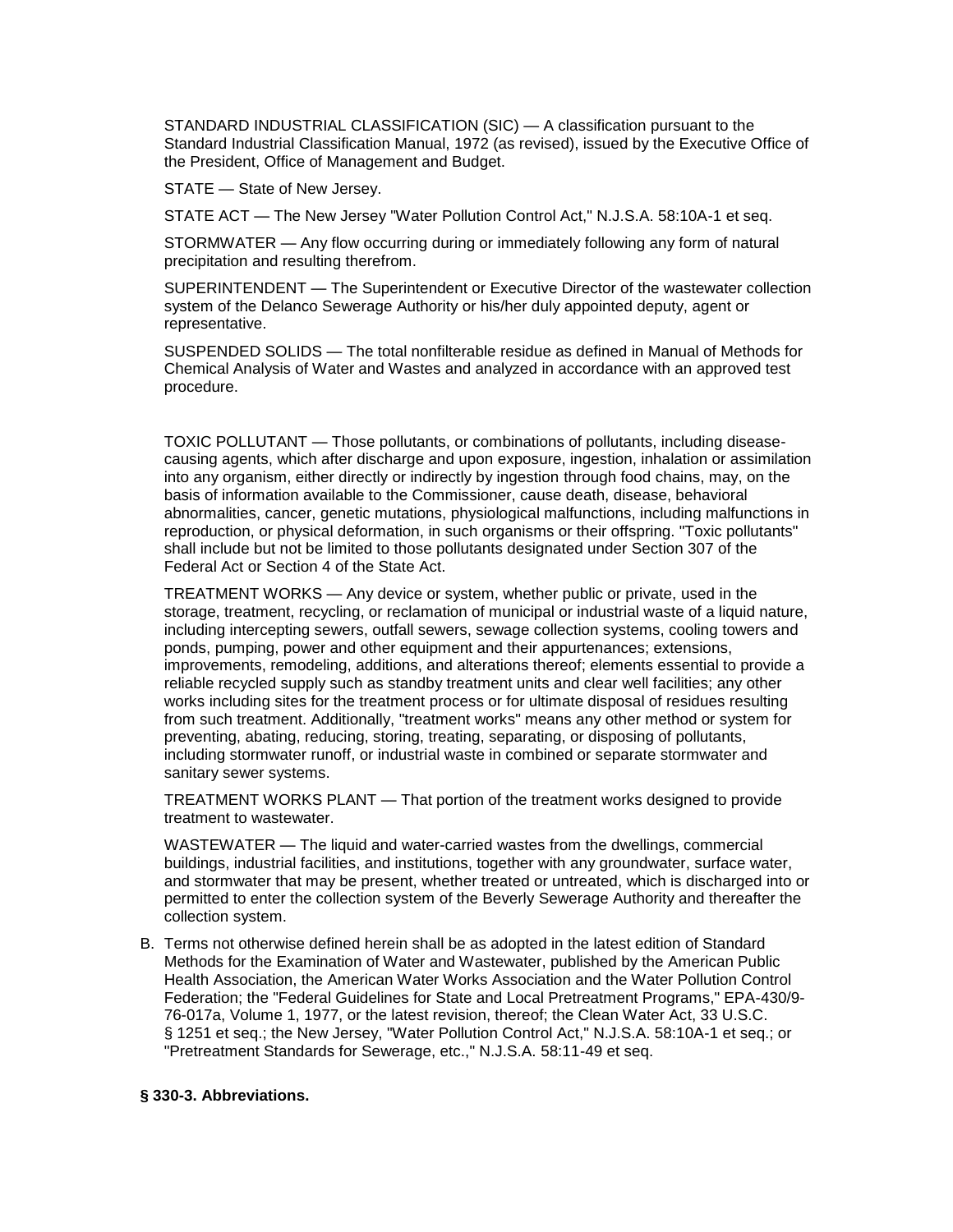STANDARD INDUSTRIAL CLASSIFICATION (SIC) — A classification pursuant to the Standard Industrial Classification Manual, 1972 (as revised), issued by the Executive Office of the President, Office of Management and Budget.

STATE — State of New Jersey.

STATE ACT — The New Jersey "Water Pollution Control Act," N.J.S.A. 58:10A-1 et seq.

STORMWATER — Any flow occurring during or immediately following any form of natural precipitation and resulting therefrom.

SUPERINTENDENT — The Superintendent or Executive Director of the wastewater collection system of the Delanco Sewerage Authority or his/her duly appointed deputy, agent or representative.

SUSPENDED SOLIDS — The total nonfilterable residue as defined in Manual of Methods for Chemical Analysis of Water and Wastes and analyzed in accordance with an approved test procedure.

TOXIC POLLUTANT — Those pollutants, or combinations of pollutants, including diseasecausing agents, which after discharge and upon exposure, ingestion, inhalation or assimilation into any organism, either directly or indirectly by ingestion through food chains, may, on the basis of information available to the Commissioner, cause death, disease, behavioral abnormalities, cancer, genetic mutations, physiological malfunctions, including malfunctions in reproduction, or physical deformation, in such organisms or their offspring. "Toxic pollutants" shall include but not be limited to those pollutants designated under Section 307 of the Federal Act or Section 4 of the State Act.

TREATMENT WORKS — Any device or system, whether public or private, used in the storage, treatment, recycling, or reclamation of municipal or industrial waste of a liquid nature, including intercepting sewers, outfall sewers, sewage collection systems, cooling towers and ponds, pumping, power and other equipment and their appurtenances; extensions, improvements, remodeling, additions, and alterations thereof; elements essential to provide a reliable recycled supply such as standby treatment units and clear well facilities; any other works including sites for the treatment process or for ultimate disposal of residues resulting from such treatment. Additionally, "treatment works" means any other method or system for preventing, abating, reducing, storing, treating, separating, or disposing of pollutants, including stormwater runoff, or industrial waste in combined or separate stormwater and sanitary sewer systems.

TREATMENT WORKS PLANT — That portion of the treatment works designed to provide treatment to wastewater.

WASTEWATER — The liquid and water-carried wastes from the dwellings, commercial buildings, industrial facilities, and institutions, together with any groundwater, surface water, and stormwater that may be present, whether treated or untreated, which is discharged into or permitted to enter the collection system of the Beverly Sewerage Authority and thereafter the collection system.

B. Terms not otherwise defined herein shall be as adopted in the latest edition of Standard Methods for the Examination of Water and Wastewater, published by the American Public Health Association, the American Water Works Association and the Water Pollution Control Federation; the "Federal Guidelines for State and Local Pretreatment Programs," EPA-430/9- 76-017a, Volume 1, 1977, or the latest revision, thereof; the Clean Water Act, 33 U.S.C. § 1251 et seq.; the New Jersey, "Water Pollution Control Act," N.J.S.A. 58:10A-1 et seq.; or "Pretreatment Standards for Sewerage, etc.," N.J.S.A. 58:11-49 et seq.

### **§ 330-3. Abbreviations.**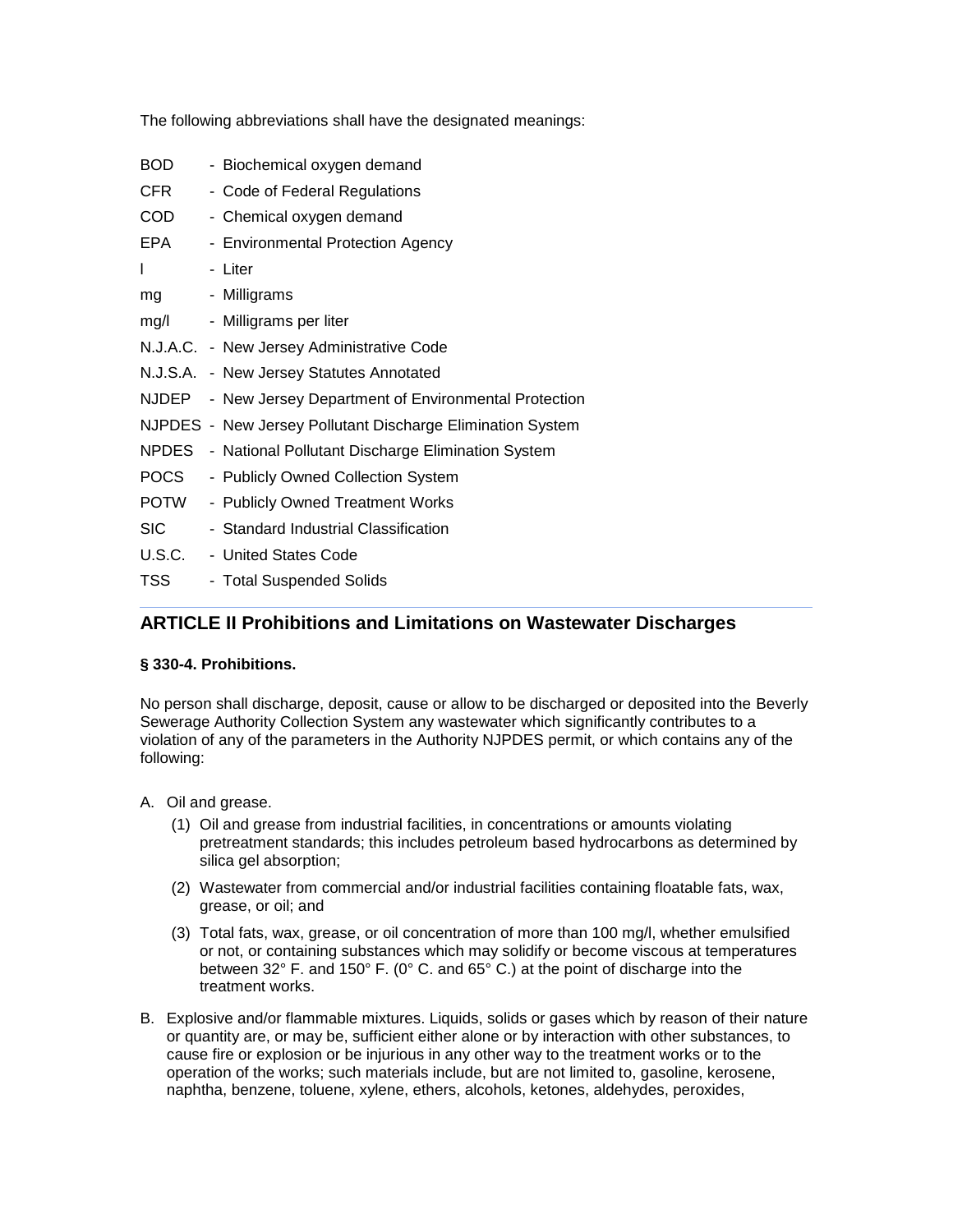The following abbreviations shall have the designated meanings:

BOD - Biochemical oxygen demand CFR - Code of Federal Regulations COD - Chemical oxygen demand EPA - Environmental Protection Agency l - Liter mg - Milligrams mg/l - Milligrams per liter N.J.A.C. - New Jersey Administrative Code N.J.S.A. - New Jersey Statutes Annotated NJDEP - New Jersey Department of Environmental Protection NJPDES - New Jersey Pollutant Discharge Elimination System NPDES - National Pollutant Discharge Elimination System POCS - Publicly Owned Collection System POTW - Publicly Owned Treatment Works SIC - Standard Industrial Classification U.S.C. - United States Code TSS - Total Suspended Solids

# **ARTICLE II Prohibitions and Limitations on Wastewater Discharges**

# **§ 330-4. Prohibitions.**

No person shall discharge, deposit, cause or allow to be discharged or deposited into the Beverly Sewerage Authority Collection System any wastewater which significantly contributes to a violation of any of the parameters in the Authority NJPDES permit, or which contains any of the following:

- A. Oil and grease.
	- (1) Oil and grease from industrial facilities, in concentrations or amounts violating pretreatment standards; this includes petroleum based hydrocarbons as determined by silica gel absorption;
	- (2) Wastewater from commercial and/or industrial facilities containing floatable fats, wax, grease, or oil; and
	- (3) Total fats, wax, grease, or oil concentration of more than 100 mg/l, whether emulsified or not, or containing substances which may solidify or become viscous at temperatures between 32° F. and 150° F. (0° C. and 65° C.) at the point of discharge into the treatment works.
- B. Explosive and/or flammable mixtures. Liquids, solids or gases which by reason of their nature or quantity are, or may be, sufficient either alone or by interaction with other substances, to cause fire or explosion or be injurious in any other way to the treatment works or to the operation of the works; such materials include, but are not limited to, gasoline, kerosene, naphtha, benzene, toluene, xylene, ethers, alcohols, ketones, aldehydes, peroxides,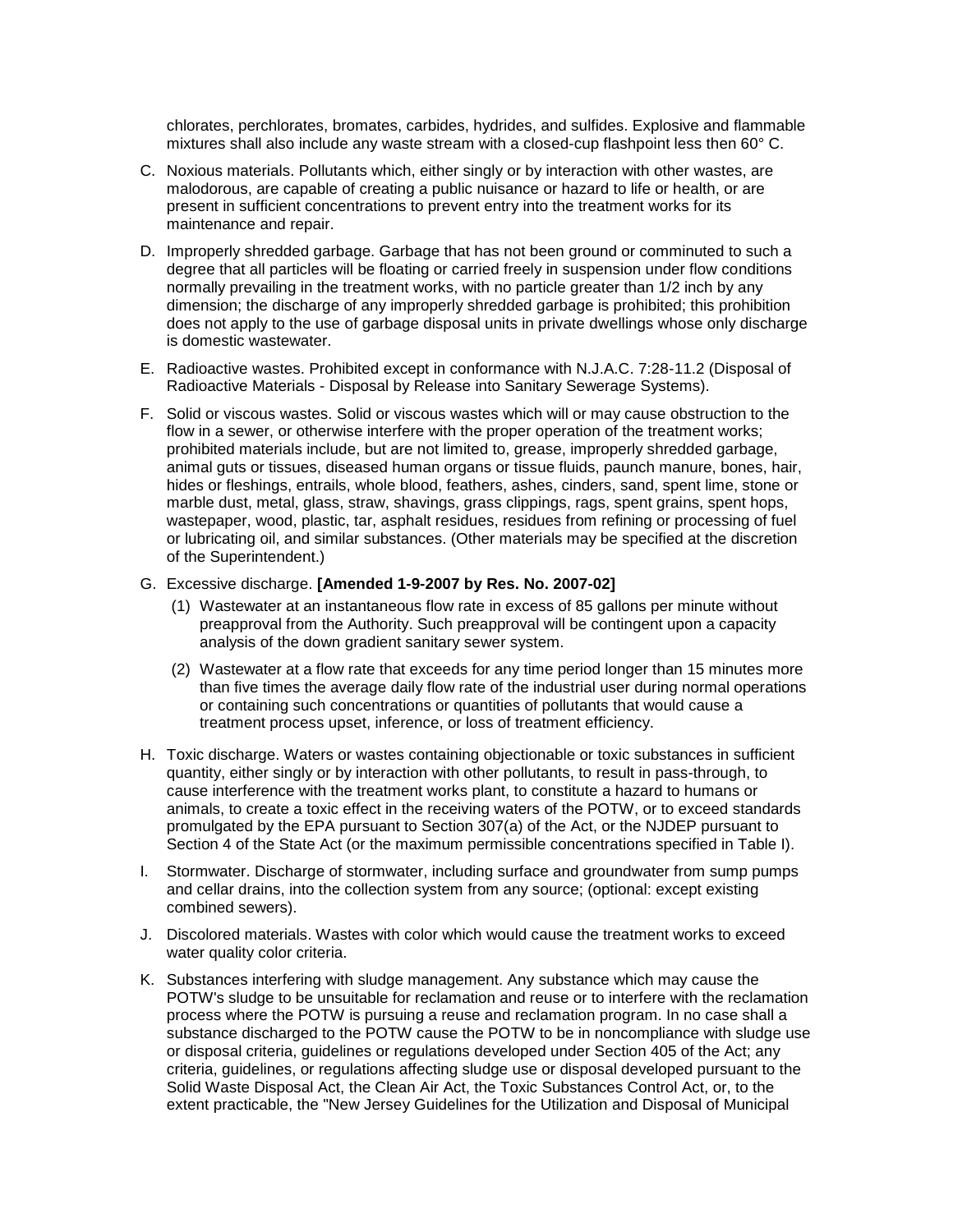chlorates, perchlorates, bromates, carbides, hydrides, and sulfides. Explosive and flammable mixtures shall also include any waste stream with a closed-cup flashpoint less then 60° C.

- C. Noxious materials. Pollutants which, either singly or by interaction with other wastes, are malodorous, are capable of creating a public nuisance or hazard to life or health, or are present in sufficient concentrations to prevent entry into the treatment works for its maintenance and repair.
- D. Improperly shredded garbage. Garbage that has not been ground or comminuted to such a degree that all particles will be floating or carried freely in suspension under flow conditions normally prevailing in the treatment works, with no particle greater than 1/2 inch by any dimension; the discharge of any improperly shredded garbage is prohibited; this prohibition does not apply to the use of garbage disposal units in private dwellings whose only discharge is domestic wastewater.
- E. Radioactive wastes. Prohibited except in conformance with N.J.A.C. 7:28-11.2 (Disposal of Radioactive Materials - Disposal by Release into Sanitary Sewerage Systems).
- F. Solid or viscous wastes. Solid or viscous wastes which will or may cause obstruction to the flow in a sewer, or otherwise interfere with the proper operation of the treatment works; prohibited materials include, but are not limited to, grease, improperly shredded garbage, animal guts or tissues, diseased human organs or tissue fluids, paunch manure, bones, hair, hides or fleshings, entrails, whole blood, feathers, ashes, cinders, sand, spent lime, stone or marble dust, metal, glass, straw, shavings, grass clippings, rags, spent grains, spent hops, wastepaper, wood, plastic, tar, asphalt residues, residues from refining or processing of fuel or lubricating oil, and similar substances. (Other materials may be specified at the discretion of the Superintendent.)

#### G. Excessive discharge. **[Amended 1-9-2007 by Res. No. 2007-02]**

- (1) Wastewater at an instantaneous flow rate in excess of 85 gallons per minute without preapproval from the Authority. Such preapproval will be contingent upon a capacity analysis of the down gradient sanitary sewer system.
- (2) Wastewater at a flow rate that exceeds for any time period longer than 15 minutes more than five times the average daily flow rate of the industrial user during normal operations or containing such concentrations or quantities of pollutants that would cause a treatment process upset, inference, or loss of treatment efficiency.
- H. Toxic discharge. Waters or wastes containing objectionable or toxic substances in sufficient quantity, either singly or by interaction with other pollutants, to result in pass-through, to cause interference with the treatment works plant, to constitute a hazard to humans or animals, to create a toxic effect in the receiving waters of the POTW, or to exceed standards promulgated by the EPA pursuant to Section 307(a) of the Act, or the NJDEP pursuant to Section 4 of the State Act (or the maximum permissible concentrations specified in Table I).
- I. Stormwater. Discharge of stormwater, including surface and groundwater from sump pumps and cellar drains, into the collection system from any source; (optional: except existing combined sewers).
- J. Discolored materials. Wastes with color which would cause the treatment works to exceed water quality color criteria.
- K. Substances interfering with sludge management. Any substance which may cause the POTW's sludge to be unsuitable for reclamation and reuse or to interfere with the reclamation process where the POTW is pursuing a reuse and reclamation program. In no case shall a substance discharged to the POTW cause the POTW to be in noncompliance with sludge use or disposal criteria, guidelines or regulations developed under Section 405 of the Act; any criteria, guidelines, or regulations affecting sludge use or disposal developed pursuant to the Solid Waste Disposal Act, the Clean Air Act, the Toxic Substances Control Act, or, to the extent practicable, the "New Jersey Guidelines for the Utilization and Disposal of Municipal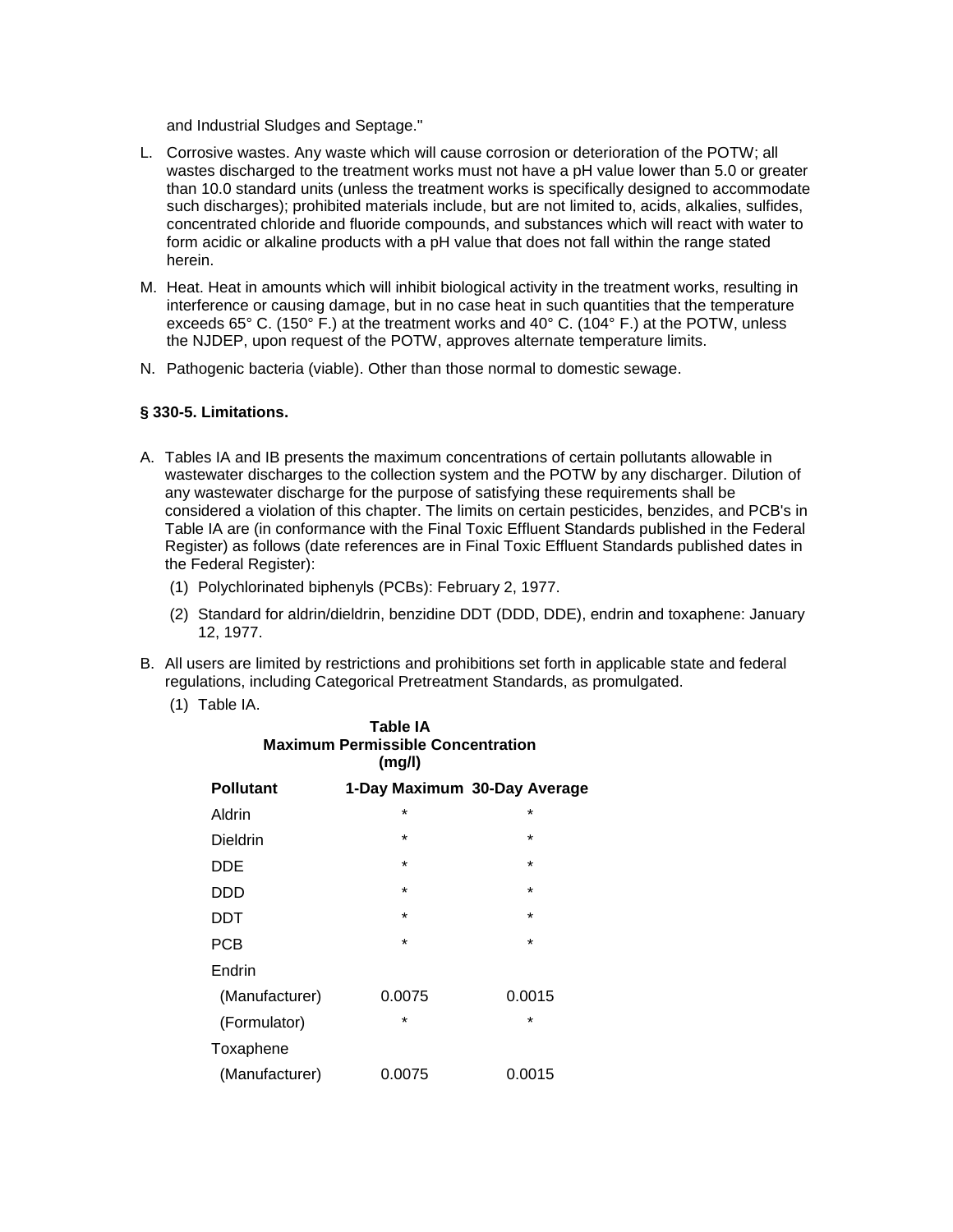and Industrial Sludges and Septage."

- L. Corrosive wastes. Any waste which will cause corrosion or deterioration of the POTW; all wastes discharged to the treatment works must not have a pH value lower than 5.0 or greater than 10.0 standard units (unless the treatment works is specifically designed to accommodate such discharges); prohibited materials include, but are not limited to, acids, alkalies, sulfides, concentrated chloride and fluoride compounds, and substances which will react with water to form acidic or alkaline products with a pH value that does not fall within the range stated herein.
- M. Heat. Heat in amounts which will inhibit biological activity in the treatment works, resulting in interference or causing damage, but in no case heat in such quantities that the temperature exceeds 65 $^{\circ}$  C. (150 $^{\circ}$  F.) at the treatment works and 40 $^{\circ}$  C. (104 $^{\circ}$  F.) at the POTW, unless the NJDEP, upon request of the POTW, approves alternate temperature limits.
- N. Pathogenic bacteria (viable). Other than those normal to domestic sewage.

## **§ 330-5. Limitations.**

- A. Tables IA and IB presents the maximum concentrations of certain pollutants allowable in wastewater discharges to the collection system and the POTW by any discharger. Dilution of any wastewater discharge for the purpose of satisfying these requirements shall be considered a violation of this chapter. The limits on certain pesticides, benzides, and PCB's in Table IA are (in conformance with the Final Toxic Effluent Standards published in the Federal Register) as follows (date references are in Final Toxic Effluent Standards published dates in the Federal Register):
	- (1) Polychlorinated biphenyls (PCBs): February 2, 1977.
	- (2) Standard for aldrin/dieldrin, benzidine DDT (DDD, DDE), endrin and toxaphene: January 12, 1977.
- B. All users are limited by restrictions and prohibitions set forth in applicable state and federal regulations, including Categorical Pretreatment Standards, as promulgated.
	- (1) Table IA.

| Table IA<br><b>Maximum Permissible Concentration</b><br>(mg/l) |                              |         |  |  |
|----------------------------------------------------------------|------------------------------|---------|--|--|
| <b>Pollutant</b>                                               | 1-Day Maximum 30-Day Average |         |  |  |
| Aldrin                                                         | *                            | $\star$ |  |  |
| Dieldrin                                                       | *                            | $\star$ |  |  |
| DDE                                                            | $\star$                      | $\star$ |  |  |
| DDD                                                            | $\star$                      | $\star$ |  |  |
| DDT                                                            | $\star$                      | $\star$ |  |  |
| <b>PCB</b>                                                     | $\star$                      | $\star$ |  |  |
| Endrin                                                         |                              |         |  |  |
| (Manufacturer)                                                 | 0.0075                       | 0.0015  |  |  |
| (Formulator)                                                   | *                            | *       |  |  |
| Toxaphene                                                      |                              |         |  |  |
| (Manufacturer)                                                 | 0.0075                       | 0.0015  |  |  |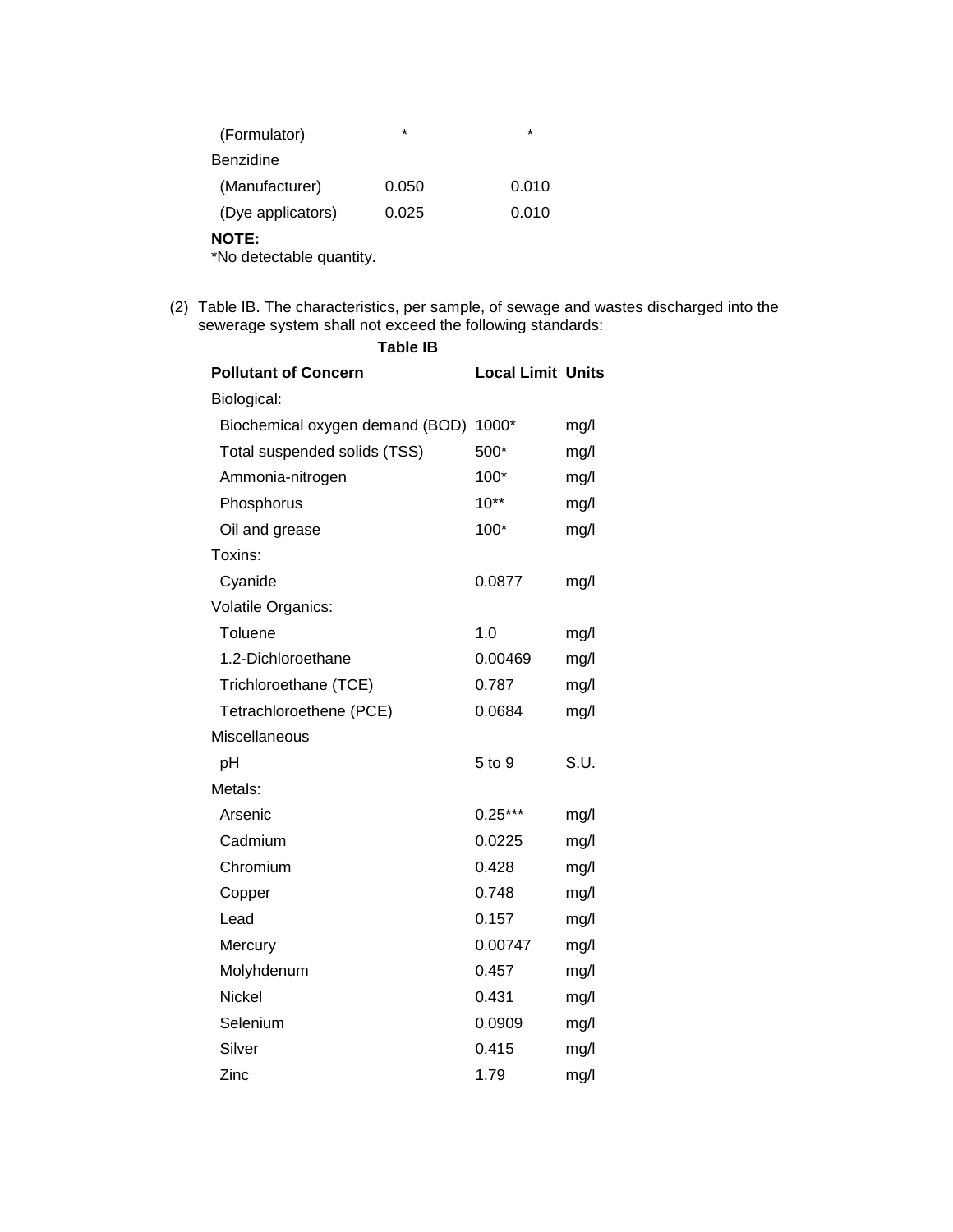| (Formulator)                             | $\star$ | $\star$ |
|------------------------------------------|---------|---------|
| Benzidine                                |         |         |
| (Manufacturer)                           | 0.050   | 0.010   |
| (Dye applicators)                        | 0.025   | 0.010   |
| <b>NOTE:</b><br>*No detectable quantity. |         |         |

**Table IB**

(2) Table IB. The characteristics, per sample, of sewage and wastes discharged into the sewerage system shall not exceed the following standards:

| <b>Pollutant of Concern</b>     | <b>Local Limit Units</b> |      |
|---------------------------------|--------------------------|------|
| Biological:                     |                          |      |
| Biochemical oxygen demand (BOD) | 1000*                    | mg/l |
| Total suspended solids (TSS)    | 500*                     | mg/l |
| Ammonia-nitrogen                | 100*                     | mg/l |
| Phosphorus                      | $10**$                   | mg/l |
| Oil and grease                  | 100*                     | mg/l |
| Toxins:                         |                          |      |
| Cyanide                         | 0.0877                   | mg/l |
| Volatile Organics:              |                          |      |
| Toluene                         | 1.0                      | mg/l |
| 1.2-Dichloroethane              | 0.00469                  | mg/l |
| Trichloroethane (TCE)           | 0.787                    | mg/l |
| Tetrachloroethene (PCE)         | 0.0684                   | mg/l |
| Miscellaneous                   |                          |      |
| pH                              | 5 to 9                   | S.U. |
| Metals:                         |                          |      |
| Arsenic                         | $0.25***$                | mg/l |
| Cadmium                         | 0.0225                   | mg/l |
| Chromium                        | 0.428                    | mg/l |
| Copper                          | 0.748                    | mg/l |
| Lead                            | 0.157                    | mg/l |
| Mercury                         | 0.00747                  | mg/l |
| Molyhdenum                      | 0.457                    | mg/l |
| <b>Nickel</b>                   | 0.431                    | mg/l |
| Selenium                        | 0.0909                   | mg/l |
| Silver                          | 0.415                    | mg/l |
| Zinc                            | 1.79                     | mg/l |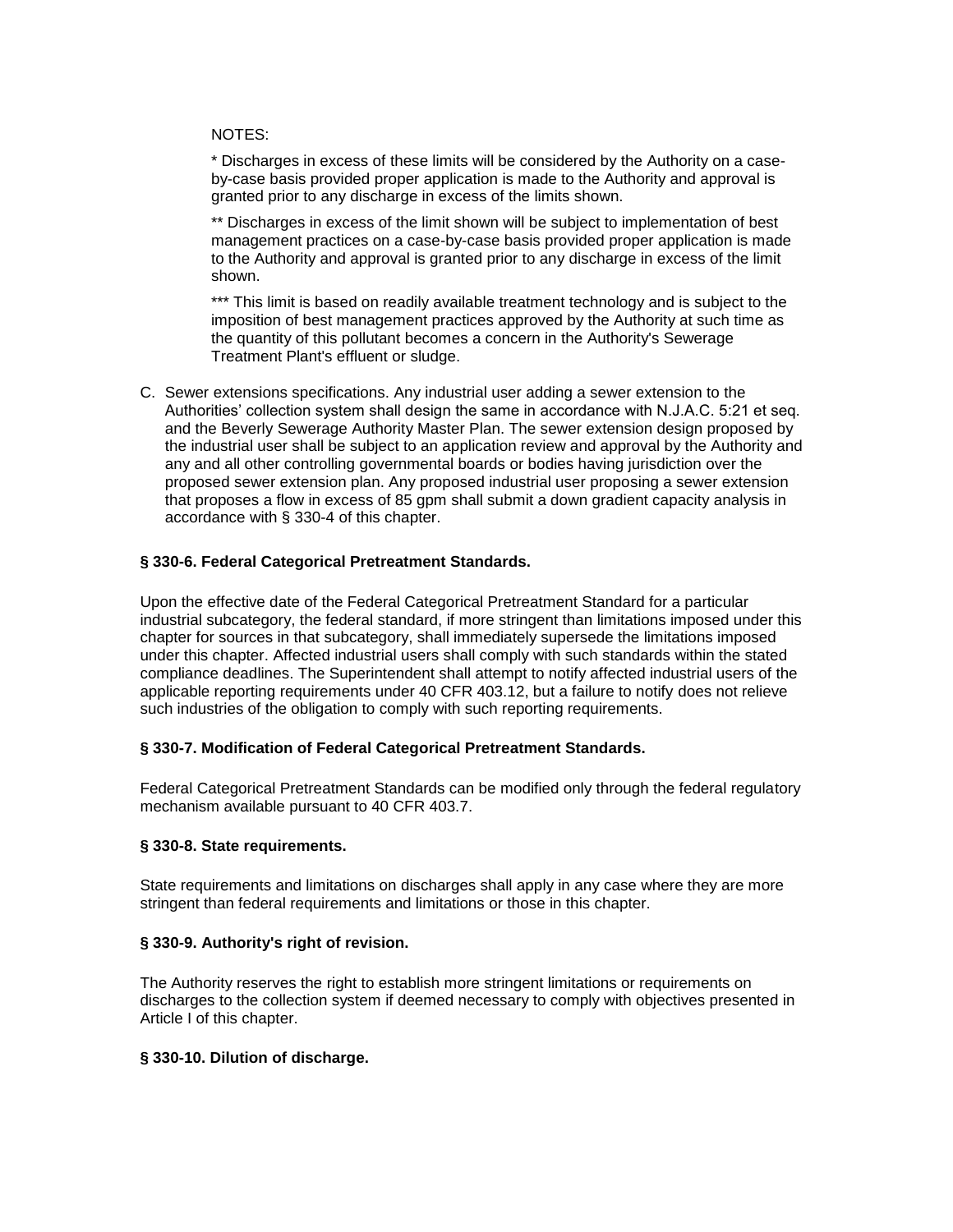#### NOTES:

\* Discharges in excess of these limits will be considered by the Authority on a caseby-case basis provided proper application is made to the Authority and approval is granted prior to any discharge in excess of the limits shown.

\*\* Discharges in excess of the limit shown will be subject to implementation of best management practices on a case-by-case basis provided proper application is made to the Authority and approval is granted prior to any discharge in excess of the limit shown.

\*\*\* This limit is based on readily available treatment technology and is subject to the imposition of best management practices approved by the Authority at such time as the quantity of this pollutant becomes a concern in the Authority's Sewerage Treatment Plant's effluent or sludge.

C. Sewer extensions specifications. Any industrial user adding a sewer extension to the Authorities' collection system shall design the same in accordance with N.J.A.C. 5:21 et seq. and the Beverly Sewerage Authority Master Plan. The sewer extension design proposed by the industrial user shall be subject to an application review and approval by the Authority and any and all other controlling governmental boards or bodies having jurisdiction over the proposed sewer extension plan. Any proposed industrial user proposing a sewer extension that proposes a flow in excess of 85 gpm shall submit a down gradient capacity analysis in accordance with § 330-4 of this chapter.

# **§ 330-6. Federal Categorical Pretreatment Standards.**

Upon the effective date of the Federal Categorical Pretreatment Standard for a particular industrial subcategory, the federal standard, if more stringent than limitations imposed under this chapter for sources in that subcategory, shall immediately supersede the limitations imposed under this chapter. Affected industrial users shall comply with such standards within the stated compliance deadlines. The Superintendent shall attempt to notify affected industrial users of the applicable reporting requirements under 40 CFR 403.12, but a failure to notify does not relieve such industries of the obligation to comply with such reporting requirements.

### **§ 330-7. Modification of Federal Categorical Pretreatment Standards.**

Federal Categorical Pretreatment Standards can be modified only through the federal regulatory mechanism available pursuant to 40 CFR 403.7.

### **§ 330-8. State requirements.**

State requirements and limitations on discharges shall apply in any case where they are more stringent than federal requirements and limitations or those in this chapter.

### **§ 330-9. Authority's right of revision.**

The Authority reserves the right to establish more stringent limitations or requirements on discharges to the collection system if deemed necessary to comply with objectives presented in Article I of this chapter.

### **§ 330-10. Dilution of discharge.**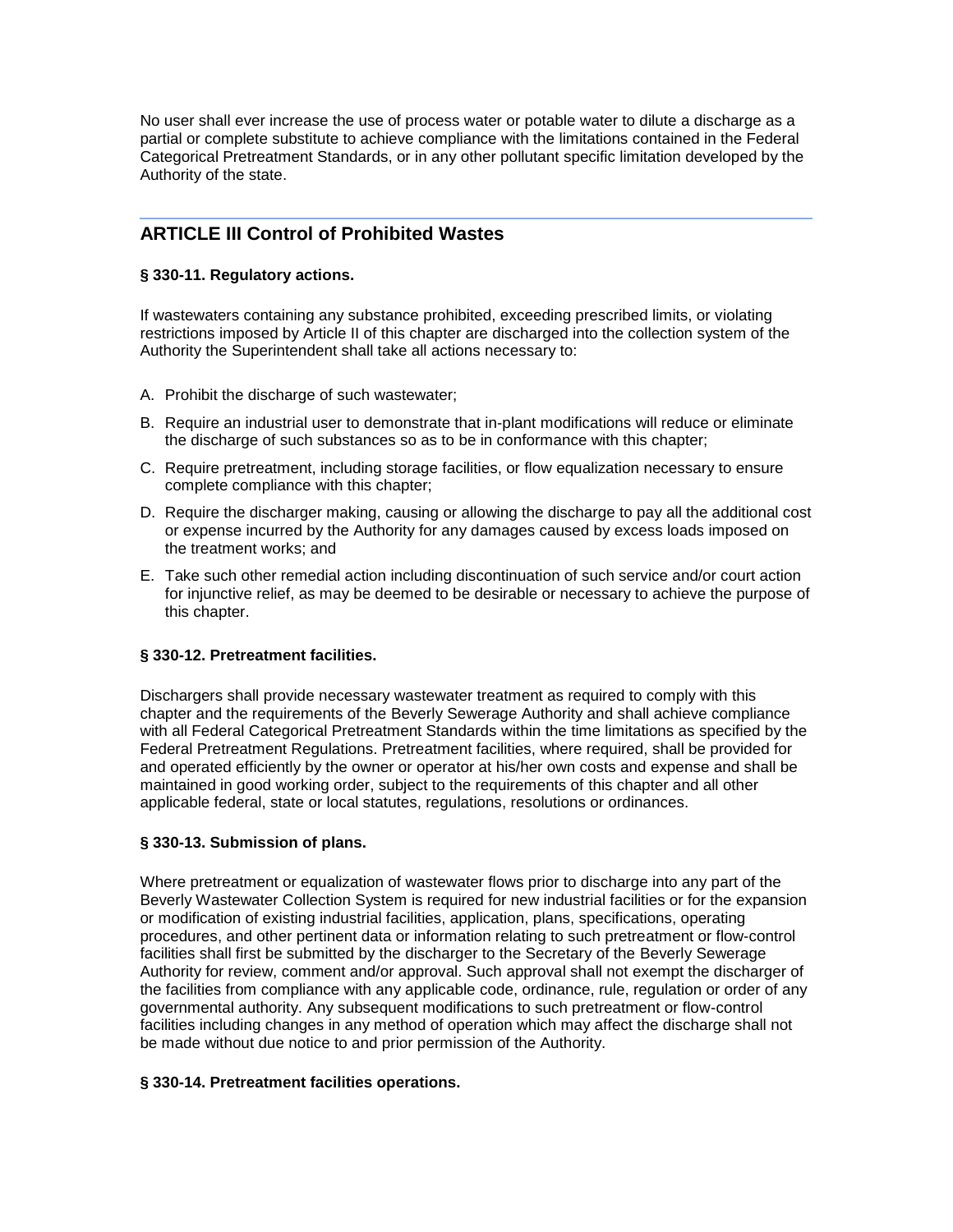No user shall ever increase the use of process water or potable water to dilute a discharge as a partial or complete substitute to achieve compliance with the limitations contained in the Federal Categorical Pretreatment Standards, or in any other pollutant specific limitation developed by the Authority of the state.

# **ARTICLE III Control of Prohibited Wastes**

# **§ 330-11. Regulatory actions.**

If wastewaters containing any substance prohibited, exceeding prescribed limits, or violating restrictions imposed by Article II of this chapter are discharged into the collection system of the Authority the Superintendent shall take all actions necessary to:

- A. Prohibit the discharge of such wastewater;
- B. Require an industrial user to demonstrate that in-plant modifications will reduce or eliminate the discharge of such substances so as to be in conformance with this chapter;
- C. Require pretreatment, including storage facilities, or flow equalization necessary to ensure complete compliance with this chapter;
- D. Require the discharger making, causing or allowing the discharge to pay all the additional cost or expense incurred by the Authority for any damages caused by excess loads imposed on the treatment works; and
- E. Take such other remedial action including discontinuation of such service and/or court action for injunctive relief, as may be deemed to be desirable or necessary to achieve the purpose of this chapter.

# **§ 330-12. Pretreatment facilities.**

Dischargers shall provide necessary wastewater treatment as required to comply with this chapter and the requirements of the Beverly Sewerage Authority and shall achieve compliance with all Federal Categorical Pretreatment Standards within the time limitations as specified by the Federal Pretreatment Regulations. Pretreatment facilities, where required, shall be provided for and operated efficiently by the owner or operator at his/her own costs and expense and shall be maintained in good working order, subject to the requirements of this chapter and all other applicable federal, state or local statutes, regulations, resolutions or ordinances.

# **§ 330-13. Submission of plans.**

Where pretreatment or equalization of wastewater flows prior to discharge into any part of the Beverly Wastewater Collection System is required for new industrial facilities or for the expansion or modification of existing industrial facilities, application, plans, specifications, operating procedures, and other pertinent data or information relating to such pretreatment or flow-control facilities shall first be submitted by the discharger to the Secretary of the Beverly Sewerage Authority for review, comment and/or approval. Such approval shall not exempt the discharger of the facilities from compliance with any applicable code, ordinance, rule, regulation or order of any governmental authority. Any subsequent modifications to such pretreatment or flow-control facilities including changes in any method of operation which may affect the discharge shall not be made without due notice to and prior permission of the Authority.

### **§ 330-14. Pretreatment facilities operations.**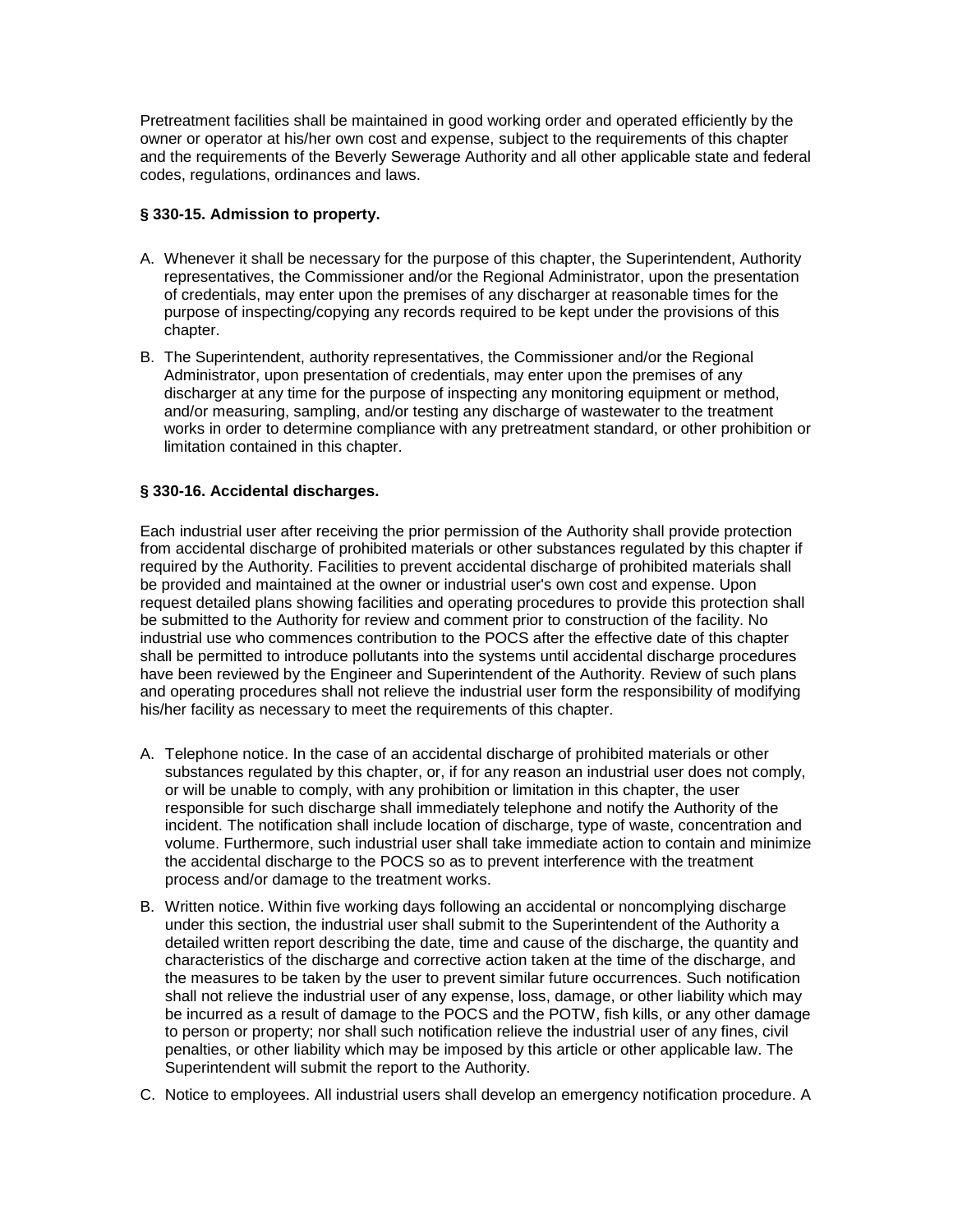Pretreatment facilities shall be maintained in good working order and operated efficiently by the owner or operator at his/her own cost and expense, subject to the requirements of this chapter and the requirements of the Beverly Sewerage Authority and all other applicable state and federal codes, regulations, ordinances and laws.

# **§ 330-15. Admission to property.**

- A. Whenever it shall be necessary for the purpose of this chapter, the Superintendent, Authority representatives, the Commissioner and/or the Regional Administrator, upon the presentation of credentials, may enter upon the premises of any discharger at reasonable times for the purpose of inspecting/copying any records required to be kept under the provisions of this chapter.
- B. The Superintendent, authority representatives, the Commissioner and/or the Regional Administrator, upon presentation of credentials, may enter upon the premises of any discharger at any time for the purpose of inspecting any monitoring equipment or method, and/or measuring, sampling, and/or testing any discharge of wastewater to the treatment works in order to determine compliance with any pretreatment standard, or other prohibition or limitation contained in this chapter.

# **§ 330-16. Accidental discharges.**

Each industrial user after receiving the prior permission of the Authority shall provide protection from accidental discharge of prohibited materials or other substances regulated by this chapter if required by the Authority. Facilities to prevent accidental discharge of prohibited materials shall be provided and maintained at the owner or industrial user's own cost and expense. Upon request detailed plans showing facilities and operating procedures to provide this protection shall be submitted to the Authority for review and comment prior to construction of the facility. No industrial use who commences contribution to the POCS after the effective date of this chapter shall be permitted to introduce pollutants into the systems until accidental discharge procedures have been reviewed by the Engineer and Superintendent of the Authority. Review of such plans and operating procedures shall not relieve the industrial user form the responsibility of modifying his/her facility as necessary to meet the requirements of this chapter.

- A. Telephone notice. In the case of an accidental discharge of prohibited materials or other substances regulated by this chapter, or, if for any reason an industrial user does not comply, or will be unable to comply, with any prohibition or limitation in this chapter, the user responsible for such discharge shall immediately telephone and notify the Authority of the incident. The notification shall include location of discharge, type of waste, concentration and volume. Furthermore, such industrial user shall take immediate action to contain and minimize the accidental discharge to the POCS so as to prevent interference with the treatment process and/or damage to the treatment works.
- B. Written notice. Within five working days following an accidental or noncomplying discharge under this section, the industrial user shall submit to the Superintendent of the Authority a detailed written report describing the date, time and cause of the discharge, the quantity and characteristics of the discharge and corrective action taken at the time of the discharge, and the measures to be taken by the user to prevent similar future occurrences. Such notification shall not relieve the industrial user of any expense, loss, damage, or other liability which may be incurred as a result of damage to the POCS and the POTW, fish kills, or any other damage to person or property; nor shall such notification relieve the industrial user of any fines, civil penalties, or other liability which may be imposed by this article or other applicable law. The Superintendent will submit the report to the Authority.
- C. Notice to employees. All industrial users shall develop an emergency notification procedure. A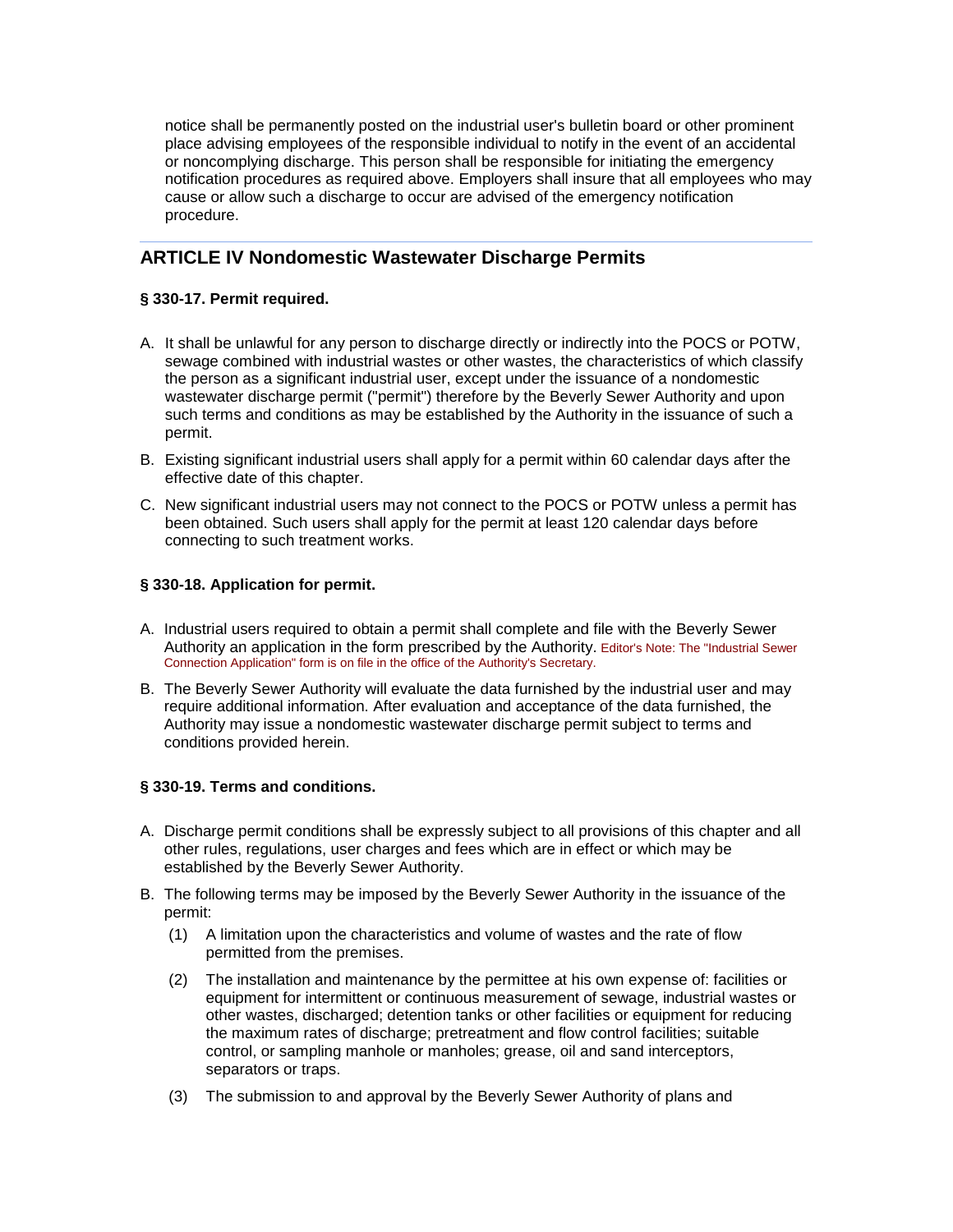notice shall be permanently posted on the industrial user's bulletin board or other prominent place advising employees of the responsible individual to notify in the event of an accidental or noncomplying discharge. This person shall be responsible for initiating the emergency notification procedures as required above. Employers shall insure that all employees who may cause or allow such a discharge to occur are advised of the emergency notification procedure.

# **ARTICLE IV Nondomestic Wastewater Discharge Permits**

# **§ 330-17. Permit required.**

- A. It shall be unlawful for any person to discharge directly or indirectly into the POCS or POTW, sewage combined with industrial wastes or other wastes, the characteristics of which classify the person as a significant industrial user, except under the issuance of a nondomestic wastewater discharge permit ("permit") therefore by the Beverly Sewer Authority and upon such terms and conditions as may be established by the Authority in the issuance of such a permit.
- B. Existing significant industrial users shall apply for a permit within 60 calendar days after the effective date of this chapter.
- C. New significant industrial users may not connect to the POCS or POTW unless a permit has been obtained. Such users shall apply for the permit at least 120 calendar days before connecting to such treatment works.

### **§ 330-18. Application for permit.**

- A. Industrial users required to obtain a permit shall complete and file with the Beverly Sewer Authority an application in the form prescribed by the Authority. Editor's Note: The "Industrial Sewer Connection Application" form is on file in the office of the Authority's Secretary.
- B. The Beverly Sewer Authority will evaluate the data furnished by the industrial user and may require additional information. After evaluation and acceptance of the data furnished, the Authority may issue a nondomestic wastewater discharge permit subject to terms and conditions provided herein.

### **§ 330-19. Terms and conditions.**

- A. Discharge permit conditions shall be expressly subject to all provisions of this chapter and all other rules, regulations, user charges and fees which are in effect or which may be established by the Beverly Sewer Authority.
- B. The following terms may be imposed by the Beverly Sewer Authority in the issuance of the permit:
	- (1) A limitation upon the characteristics and volume of wastes and the rate of flow permitted from the premises.
	- (2) The installation and maintenance by the permittee at his own expense of: facilities or equipment for intermittent or continuous measurement of sewage, industrial wastes or other wastes, discharged; detention tanks or other facilities or equipment for reducing the maximum rates of discharge; pretreatment and flow control facilities; suitable control, or sampling manhole or manholes; grease, oil and sand interceptors, separators or traps.
	- (3) The submission to and approval by the Beverly Sewer Authority of plans and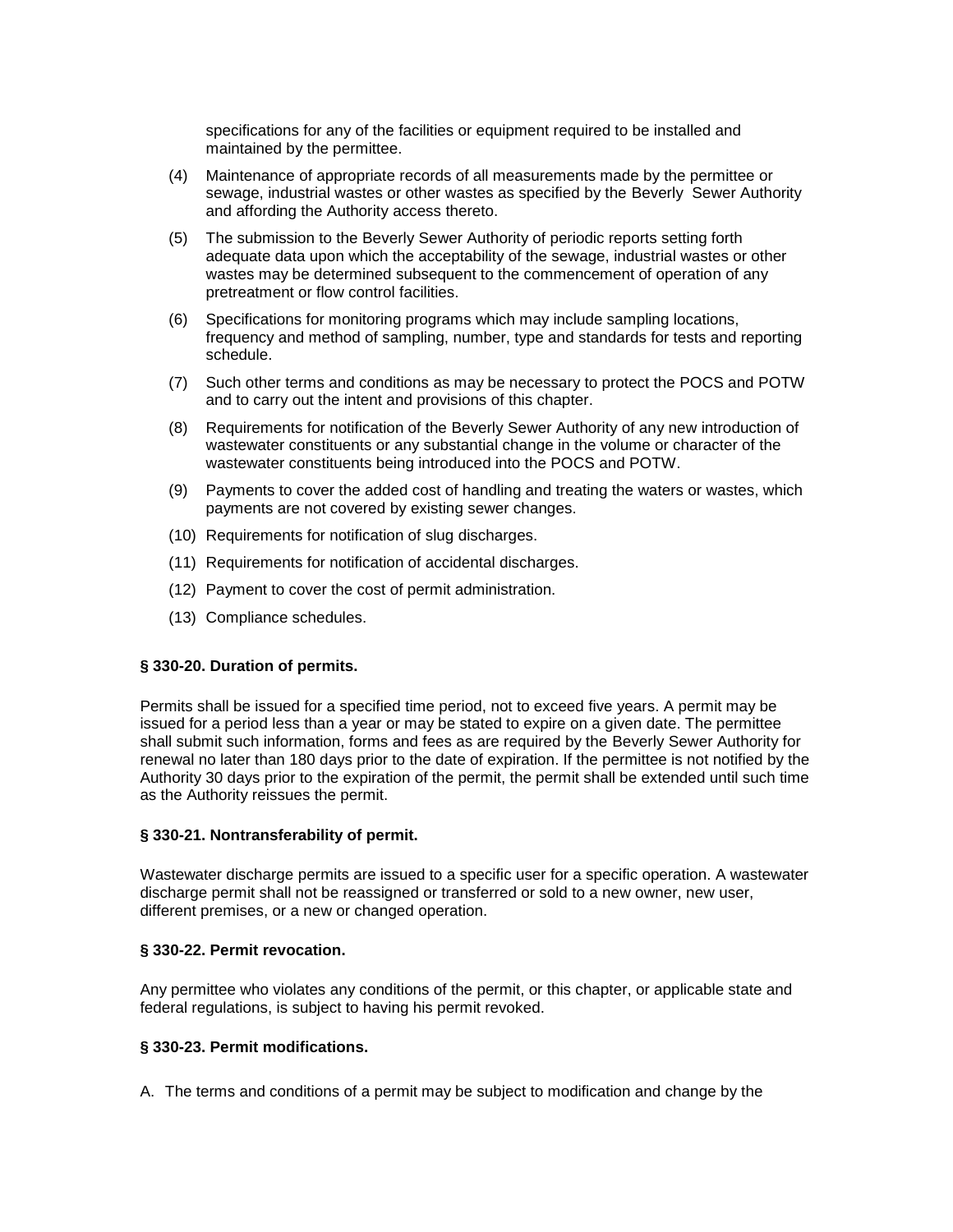specifications for any of the facilities or equipment required to be installed and maintained by the permittee.

- (4) Maintenance of appropriate records of all measurements made by the permittee or sewage, industrial wastes or other wastes as specified by the Beverly Sewer Authority and affording the Authority access thereto.
- (5) The submission to the Beverly Sewer Authority of periodic reports setting forth adequate data upon which the acceptability of the sewage, industrial wastes or other wastes may be determined subsequent to the commencement of operation of any pretreatment or flow control facilities.
- (6) Specifications for monitoring programs which may include sampling locations, frequency and method of sampling, number, type and standards for tests and reporting schedule.
- (7) Such other terms and conditions as may be necessary to protect the POCS and POTW and to carry out the intent and provisions of this chapter.
- (8) Requirements for notification of the Beverly Sewer Authority of any new introduction of wastewater constituents or any substantial change in the volume or character of the wastewater constituents being introduced into the POCS and POTW.
- (9) Payments to cover the added cost of handling and treating the waters or wastes, which payments are not covered by existing sewer changes.
- (10) Requirements for notification of slug discharges.
- (11) Requirements for notification of accidental discharges.
- (12) Payment to cover the cost of permit administration.
- (13) Compliance schedules.

### **§ 330-20. Duration of permits.**

Permits shall be issued for a specified time period, not to exceed five years. A permit may be issued for a period less than a year or may be stated to expire on a given date. The permittee shall submit such information, forms and fees as are required by the Beverly Sewer Authority for renewal no later than 180 days prior to the date of expiration. If the permittee is not notified by the Authority 30 days prior to the expiration of the permit, the permit shall be extended until such time as the Authority reissues the permit.

### **§ 330-21. Nontransferability of permit.**

Wastewater discharge permits are issued to a specific user for a specific operation. A wastewater discharge permit shall not be reassigned or transferred or sold to a new owner, new user, different premises, or a new or changed operation.

#### **§ 330-22. Permit revocation.**

Any permittee who violates any conditions of the permit, or this chapter, or applicable state and federal regulations, is subject to having his permit revoked.

#### **§ 330-23. Permit modifications.**

A. The terms and conditions of a permit may be subject to modification and change by the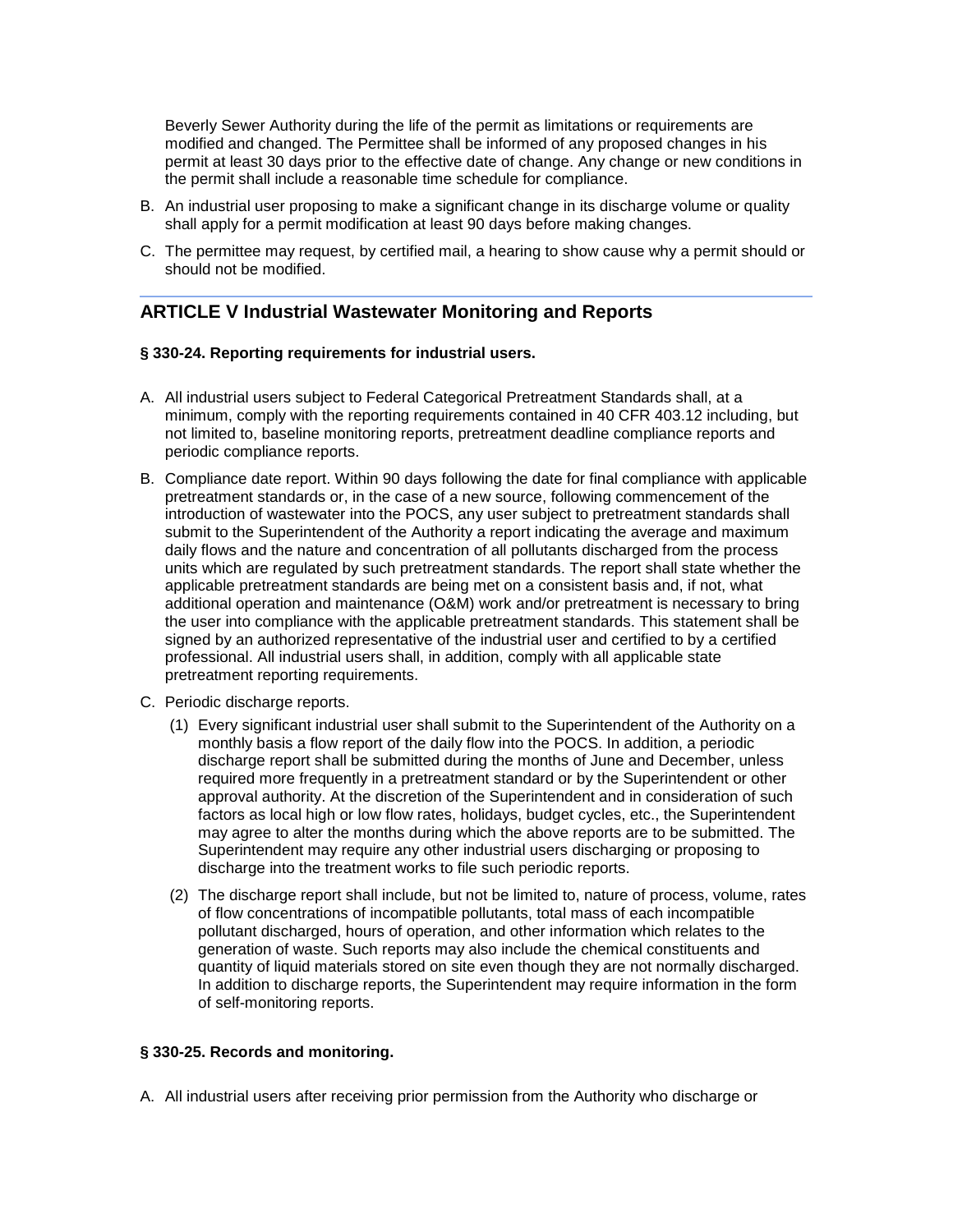Beverly Sewer Authority during the life of the permit as limitations or requirements are modified and changed. The Permittee shall be informed of any proposed changes in his permit at least 30 days prior to the effective date of change. Any change or new conditions in the permit shall include a reasonable time schedule for compliance.

- B. An industrial user proposing to make a significant change in its discharge volume or quality shall apply for a permit modification at least 90 days before making changes.
- C. The permittee may request, by certified mail, a hearing to show cause why a permit should or should not be modified.

# **ARTICLE V Industrial Wastewater Monitoring and Reports**

#### **§ 330-24. Reporting requirements for industrial users.**

- A. All industrial users subject to Federal Categorical Pretreatment Standards shall, at a minimum, comply with the reporting requirements contained in 40 CFR 403.12 including, but not limited to, baseline monitoring reports, pretreatment deadline compliance reports and periodic compliance reports.
- B. Compliance date report. Within 90 days following the date for final compliance with applicable pretreatment standards or, in the case of a new source, following commencement of the introduction of wastewater into the POCS, any user subject to pretreatment standards shall submit to the Superintendent of the Authority a report indicating the average and maximum daily flows and the nature and concentration of all pollutants discharged from the process units which are regulated by such pretreatment standards. The report shall state whether the applicable pretreatment standards are being met on a consistent basis and, if not, what additional operation and maintenance (O&M) work and/or pretreatment is necessary to bring the user into compliance with the applicable pretreatment standards. This statement shall be signed by an authorized representative of the industrial user and certified to by a certified professional. All industrial users shall, in addition, comply with all applicable state pretreatment reporting requirements.
- C. Periodic discharge reports.
	- (1) Every significant industrial user shall submit to the Superintendent of the Authority on a monthly basis a flow report of the daily flow into the POCS. In addition, a periodic discharge report shall be submitted during the months of June and December, unless required more frequently in a pretreatment standard or by the Superintendent or other approval authority. At the discretion of the Superintendent and in consideration of such factors as local high or low flow rates, holidays, budget cycles, etc., the Superintendent may agree to alter the months during which the above reports are to be submitted. The Superintendent may require any other industrial users discharging or proposing to discharge into the treatment works to file such periodic reports.
	- (2) The discharge report shall include, but not be limited to, nature of process, volume, rates of flow concentrations of incompatible pollutants, total mass of each incompatible pollutant discharged, hours of operation, and other information which relates to the generation of waste. Such reports may also include the chemical constituents and quantity of liquid materials stored on site even though they are not normally discharged. In addition to discharge reports, the Superintendent may require information in the form of self-monitoring reports.

### **§ 330-25. Records and monitoring.**

A. All industrial users after receiving prior permission from the Authority who discharge or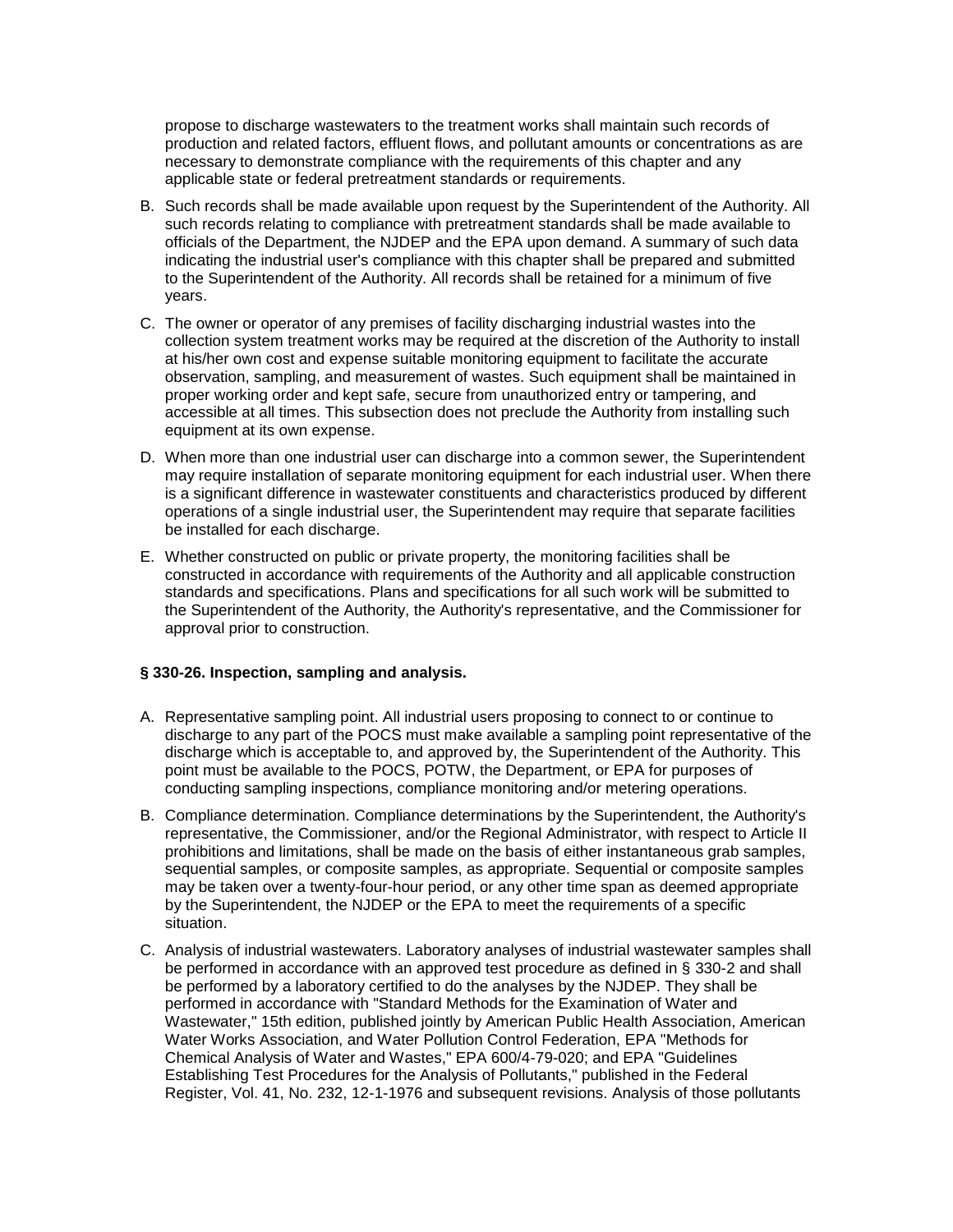propose to discharge wastewaters to the treatment works shall maintain such records of production and related factors, effluent flows, and pollutant amounts or concentrations as are necessary to demonstrate compliance with the requirements of this chapter and any applicable state or federal pretreatment standards or requirements.

- B. Such records shall be made available upon request by the Superintendent of the Authority. All such records relating to compliance with pretreatment standards shall be made available to officials of the Department, the NJDEP and the EPA upon demand. A summary of such data indicating the industrial user's compliance with this chapter shall be prepared and submitted to the Superintendent of the Authority. All records shall be retained for a minimum of five years.
- C. The owner or operator of any premises of facility discharging industrial wastes into the collection system treatment works may be required at the discretion of the Authority to install at his/her own cost and expense suitable monitoring equipment to facilitate the accurate observation, sampling, and measurement of wastes. Such equipment shall be maintained in proper working order and kept safe, secure from unauthorized entry or tampering, and accessible at all times. This subsection does not preclude the Authority from installing such equipment at its own expense.
- D. When more than one industrial user can discharge into a common sewer, the Superintendent may require installation of separate monitoring equipment for each industrial user. When there is a significant difference in wastewater constituents and characteristics produced by different operations of a single industrial user, the Superintendent may require that separate facilities be installed for each discharge.
- E. Whether constructed on public or private property, the monitoring facilities shall be constructed in accordance with requirements of the Authority and all applicable construction standards and specifications. Plans and specifications for all such work will be submitted to the Superintendent of the Authority, the Authority's representative, and the Commissioner for approval prior to construction.

#### **§ 330-26. Inspection, sampling and analysis.**

- A. Representative sampling point. All industrial users proposing to connect to or continue to discharge to any part of the POCS must make available a sampling point representative of the discharge which is acceptable to, and approved by, the Superintendent of the Authority. This point must be available to the POCS, POTW, the Department, or EPA for purposes of conducting sampling inspections, compliance monitoring and/or metering operations.
- B. Compliance determination. Compliance determinations by the Superintendent, the Authority's representative, the Commissioner, and/or the Regional Administrator, with respect to Article II prohibitions and limitations, shall be made on the basis of either instantaneous grab samples, sequential samples, or composite samples, as appropriate. Sequential or composite samples may be taken over a twenty-four-hour period, or any other time span as deemed appropriate by the Superintendent, the NJDEP or the EPA to meet the requirements of a specific situation.
- C. Analysis of industrial wastewaters. Laboratory analyses of industrial wastewater samples shall be performed in accordance with an approved test procedure as defined in § 330-2 and shall be performed by a laboratory certified to do the analyses by the NJDEP. They shall be performed in accordance with "Standard Methods for the Examination of Water and Wastewater," 15th edition, published jointly by American Public Health Association, American Water Works Association, and Water Pollution Control Federation, EPA "Methods for Chemical Analysis of Water and Wastes," EPA 600/4-79-020; and EPA "Guidelines Establishing Test Procedures for the Analysis of Pollutants," published in the Federal Register, Vol. 41, No. 232, 12-1-1976 and subsequent revisions. Analysis of those pollutants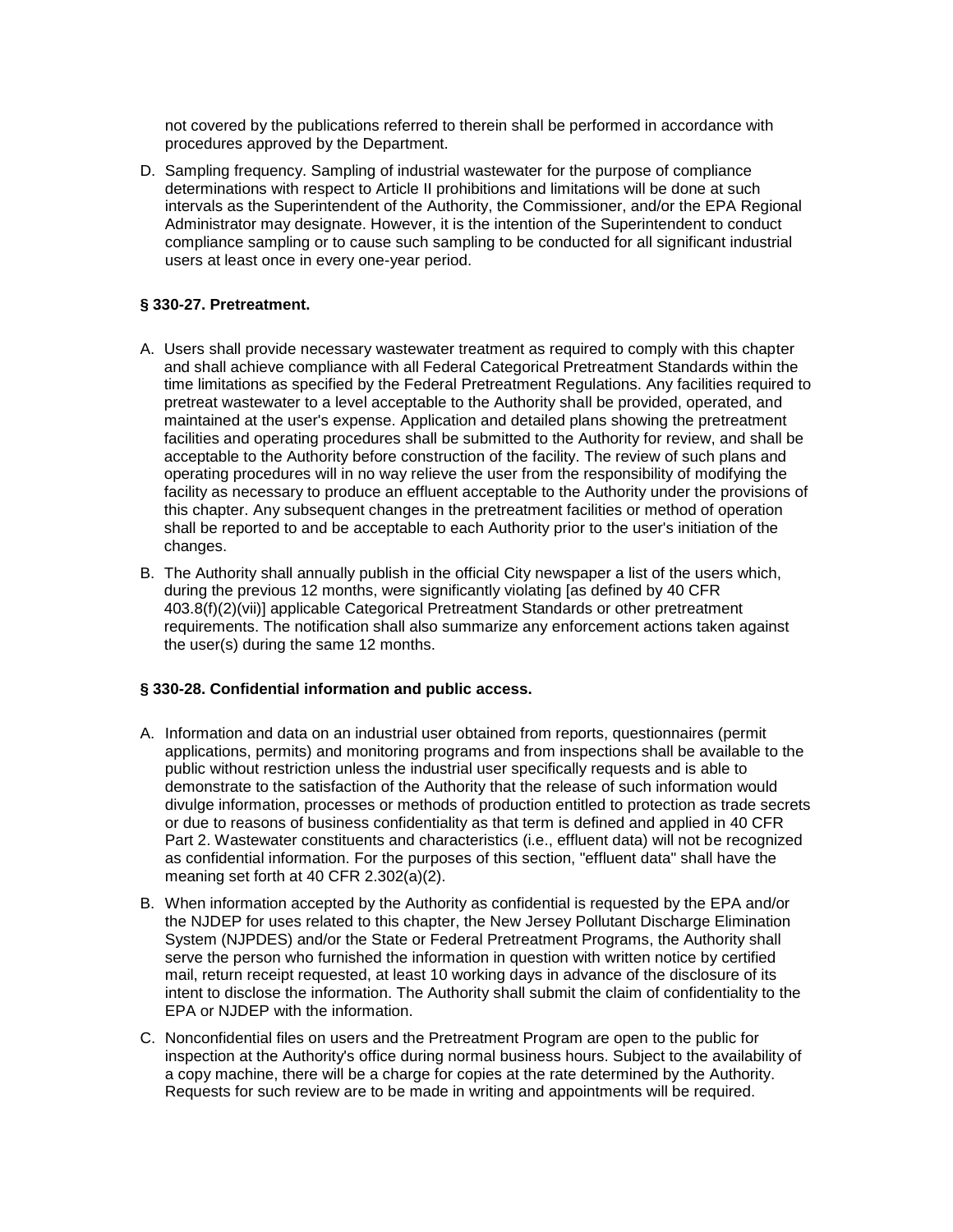not covered by the publications referred to therein shall be performed in accordance with procedures approved by the Department.

D. Sampling frequency. Sampling of industrial wastewater for the purpose of compliance determinations with respect to Article II prohibitions and limitations will be done at such intervals as the Superintendent of the Authority, the Commissioner, and/or the EPA Regional Administrator may designate. However, it is the intention of the Superintendent to conduct compliance sampling or to cause such sampling to be conducted for all significant industrial users at least once in every one-year period.

### **§ 330-27. Pretreatment.**

- A. Users shall provide necessary wastewater treatment as required to comply with this chapter and shall achieve compliance with all Federal Categorical Pretreatment Standards within the time limitations as specified by the Federal Pretreatment Regulations. Any facilities required to pretreat wastewater to a level acceptable to the Authority shall be provided, operated, and maintained at the user's expense. Application and detailed plans showing the pretreatment facilities and operating procedures shall be submitted to the Authority for review, and shall be acceptable to the Authority before construction of the facility. The review of such plans and operating procedures will in no way relieve the user from the responsibility of modifying the facility as necessary to produce an effluent acceptable to the Authority under the provisions of this chapter. Any subsequent changes in the pretreatment facilities or method of operation shall be reported to and be acceptable to each Authority prior to the user's initiation of the changes.
- B. The Authority shall annually publish in the official City newspaper a list of the users which, during the previous 12 months, were significantly violating [as defined by 40 CFR 403.8(f)(2)(vii)] applicable Categorical Pretreatment Standards or other pretreatment requirements. The notification shall also summarize any enforcement actions taken against the user(s) during the same 12 months.

### **§ 330-28. Confidential information and public access.**

- A. Information and data on an industrial user obtained from reports, questionnaires (permit applications, permits) and monitoring programs and from inspections shall be available to the public without restriction unless the industrial user specifically requests and is able to demonstrate to the satisfaction of the Authority that the release of such information would divulge information, processes or methods of production entitled to protection as trade secrets or due to reasons of business confidentiality as that term is defined and applied in 40 CFR Part 2. Wastewater constituents and characteristics (i.e., effluent data) will not be recognized as confidential information. For the purposes of this section, "effluent data" shall have the meaning set forth at 40 CFR 2.302(a)(2).
- B. When information accepted by the Authority as confidential is requested by the EPA and/or the NJDEP for uses related to this chapter, the New Jersey Pollutant Discharge Elimination System (NJPDES) and/or the State or Federal Pretreatment Programs, the Authority shall serve the person who furnished the information in question with written notice by certified mail, return receipt requested, at least 10 working days in advance of the disclosure of its intent to disclose the information. The Authority shall submit the claim of confidentiality to the EPA or NJDEP with the information.
- C. Nonconfidential files on users and the Pretreatment Program are open to the public for inspection at the Authority's office during normal business hours. Subject to the availability of a copy machine, there will be a charge for copies at the rate determined by the Authority. Requests for such review are to be made in writing and appointments will be required.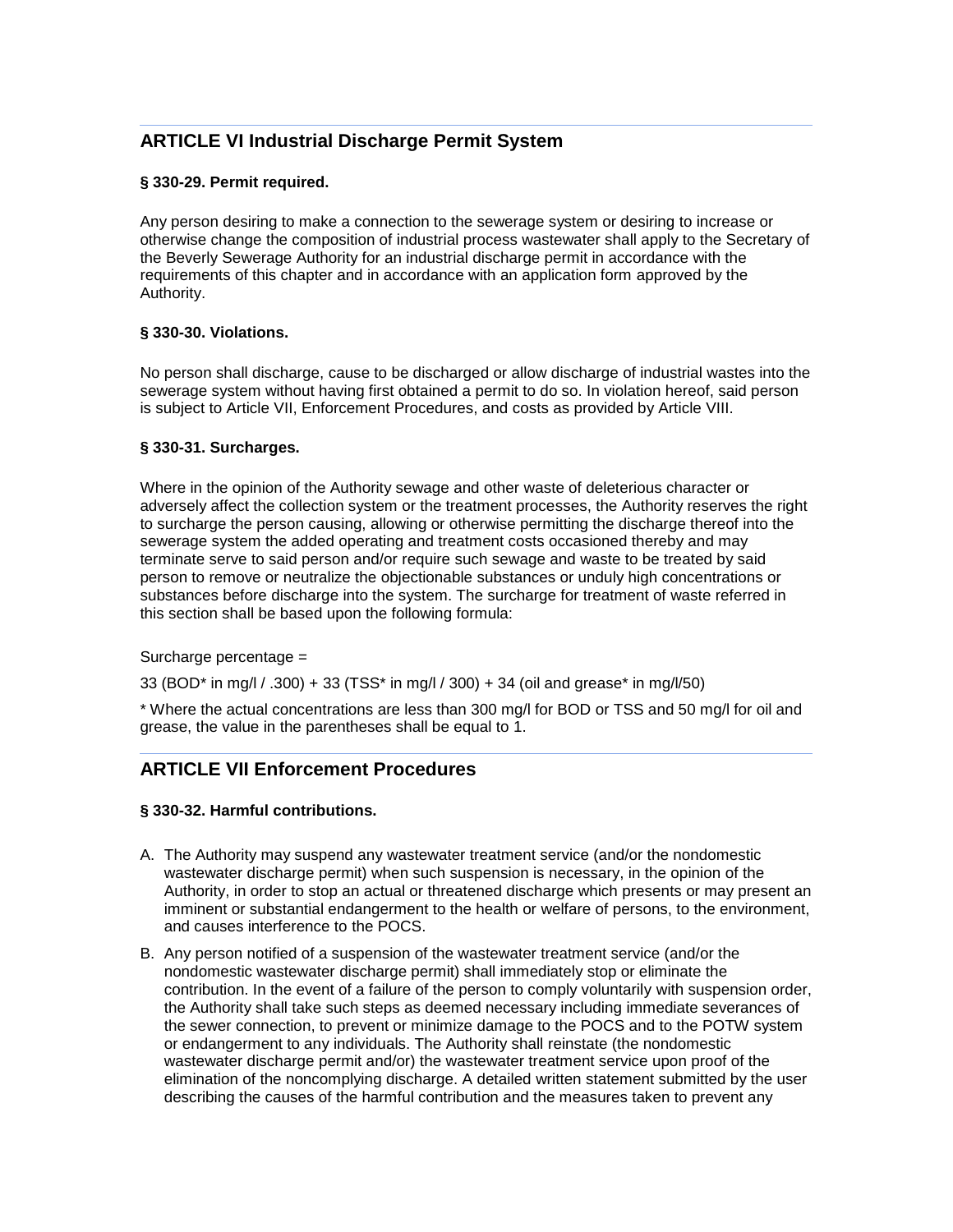# **ARTICLE VI Industrial Discharge Permit System**

# **§ 330-29. Permit required.**

Any person desiring to make a connection to the sewerage system or desiring to increase or otherwise change the composition of industrial process wastewater shall apply to the Secretary of the Beverly Sewerage Authority for an industrial discharge permit in accordance with the requirements of this chapter and in accordance with an application form approved by the Authority.

# **§ 330-30. Violations.**

No person shall discharge, cause to be discharged or allow discharge of industrial wastes into the sewerage system without having first obtained a permit to do so. In violation hereof, said person is subject to Article VII, Enforcement Procedures, and costs as provided by Article VIII.

## **§ 330-31. Surcharges.**

Where in the opinion of the Authority sewage and other waste of deleterious character or adversely affect the collection system or the treatment processes, the Authority reserves the right to surcharge the person causing, allowing or otherwise permitting the discharge thereof into the sewerage system the added operating and treatment costs occasioned thereby and may terminate serve to said person and/or require such sewage and waste to be treated by said person to remove or neutralize the objectionable substances or unduly high concentrations or substances before discharge into the system. The surcharge for treatment of waste referred in this section shall be based upon the following formula:

### Surcharge percentage =

33 (BOD\* in mg/l / .300) + 33 (TSS\* in mg/l / 300) + 34 (oil and grease\* in mg/l/50)

\* Where the actual concentrations are less than 300 mg/l for BOD or TSS and 50 mg/l for oil and grease, the value in the parentheses shall be equal to 1.

# **ARTICLE VII Enforcement Procedures**

### **§ 330-32. Harmful contributions.**

- A. The Authority may suspend any wastewater treatment service (and/or the nondomestic wastewater discharge permit) when such suspension is necessary, in the opinion of the Authority, in order to stop an actual or threatened discharge which presents or may present an imminent or substantial endangerment to the health or welfare of persons, to the environment, and causes interference to the POCS.
- B. Any person notified of a suspension of the wastewater treatment service (and/or the nondomestic wastewater discharge permit) shall immediately stop or eliminate the contribution. In the event of a failure of the person to comply voluntarily with suspension order, the Authority shall take such steps as deemed necessary including immediate severances of the sewer connection, to prevent or minimize damage to the POCS and to the POTW system or endangerment to any individuals. The Authority shall reinstate (the nondomestic wastewater discharge permit and/or) the wastewater treatment service upon proof of the elimination of the noncomplying discharge. A detailed written statement submitted by the user describing the causes of the harmful contribution and the measures taken to prevent any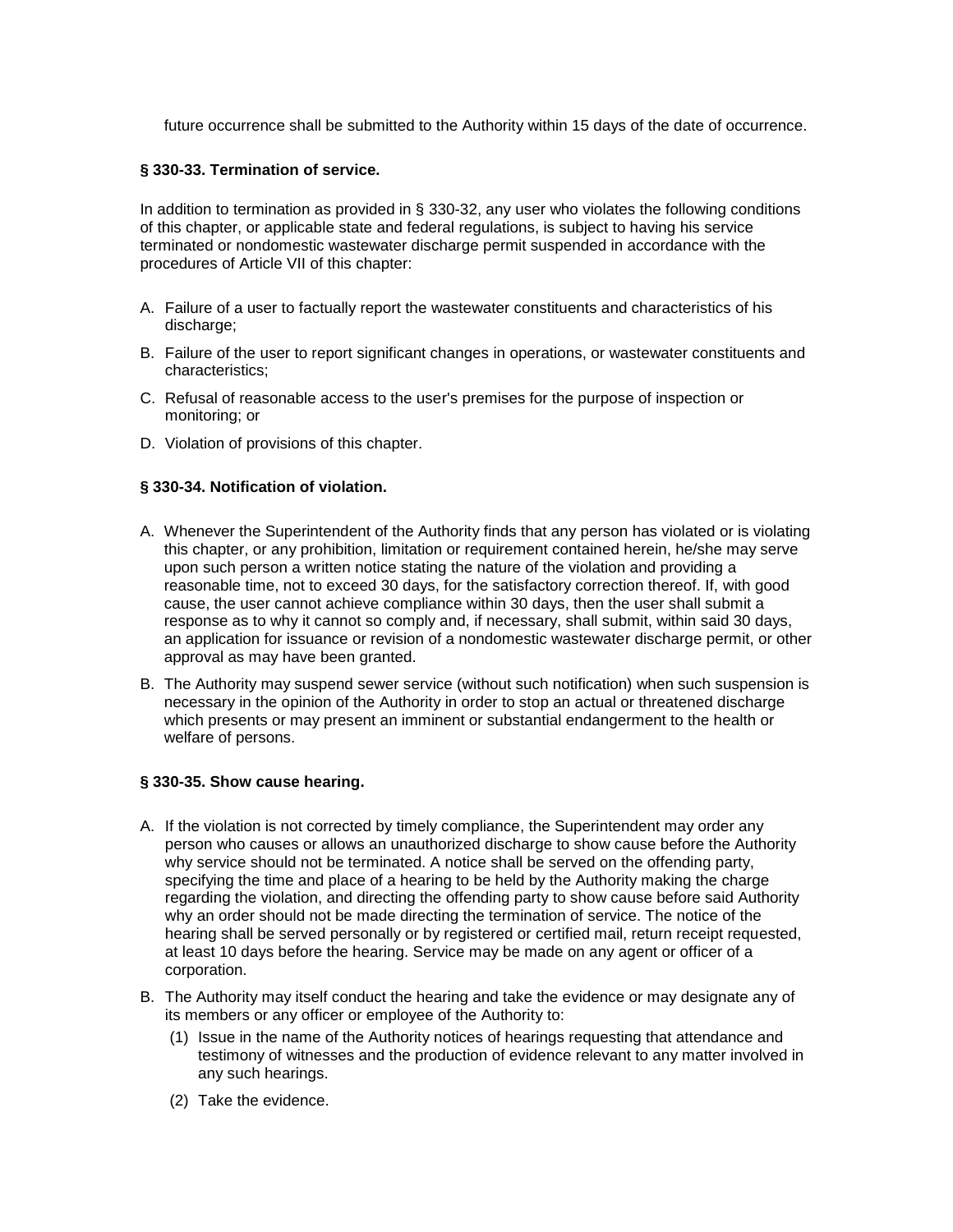future occurrence shall be submitted to the Authority within 15 days of the date of occurrence.

### **§ 330-33. Termination of service.**

In addition to termination as provided in § 330-32, any user who violates the following conditions of this chapter, or applicable state and federal regulations, is subject to having his service terminated or nondomestic wastewater discharge permit suspended in accordance with the procedures of Article VII of this chapter:

- A. Failure of a user to factually report the wastewater constituents and characteristics of his discharge;
- B. Failure of the user to report significant changes in operations, or wastewater constituents and characteristics;
- C. Refusal of reasonable access to the user's premises for the purpose of inspection or monitoring; or
- D. Violation of provisions of this chapter.

# **§ 330-34. Notification of violation.**

- A. Whenever the Superintendent of the Authority finds that any person has violated or is violating this chapter, or any prohibition, limitation or requirement contained herein, he/she may serve upon such person a written notice stating the nature of the violation and providing a reasonable time, not to exceed 30 days, for the satisfactory correction thereof. If, with good cause, the user cannot achieve compliance within 30 days, then the user shall submit a response as to why it cannot so comply and, if necessary, shall submit, within said 30 days, an application for issuance or revision of a nondomestic wastewater discharge permit, or other approval as may have been granted.
- B. The Authority may suspend sewer service (without such notification) when such suspension is necessary in the opinion of the Authority in order to stop an actual or threatened discharge which presents or may present an imminent or substantial endangerment to the health or welfare of persons.

# **§ 330-35. Show cause hearing.**

- A. If the violation is not corrected by timely compliance, the Superintendent may order any person who causes or allows an unauthorized discharge to show cause before the Authority why service should not be terminated. A notice shall be served on the offending party, specifying the time and place of a hearing to be held by the Authority making the charge regarding the violation, and directing the offending party to show cause before said Authority why an order should not be made directing the termination of service. The notice of the hearing shall be served personally or by registered or certified mail, return receipt requested, at least 10 days before the hearing. Service may be made on any agent or officer of a corporation.
- B. The Authority may itself conduct the hearing and take the evidence or may designate any of its members or any officer or employee of the Authority to:
	- (1) Issue in the name of the Authority notices of hearings requesting that attendance and testimony of witnesses and the production of evidence relevant to any matter involved in any such hearings.
	- (2) Take the evidence.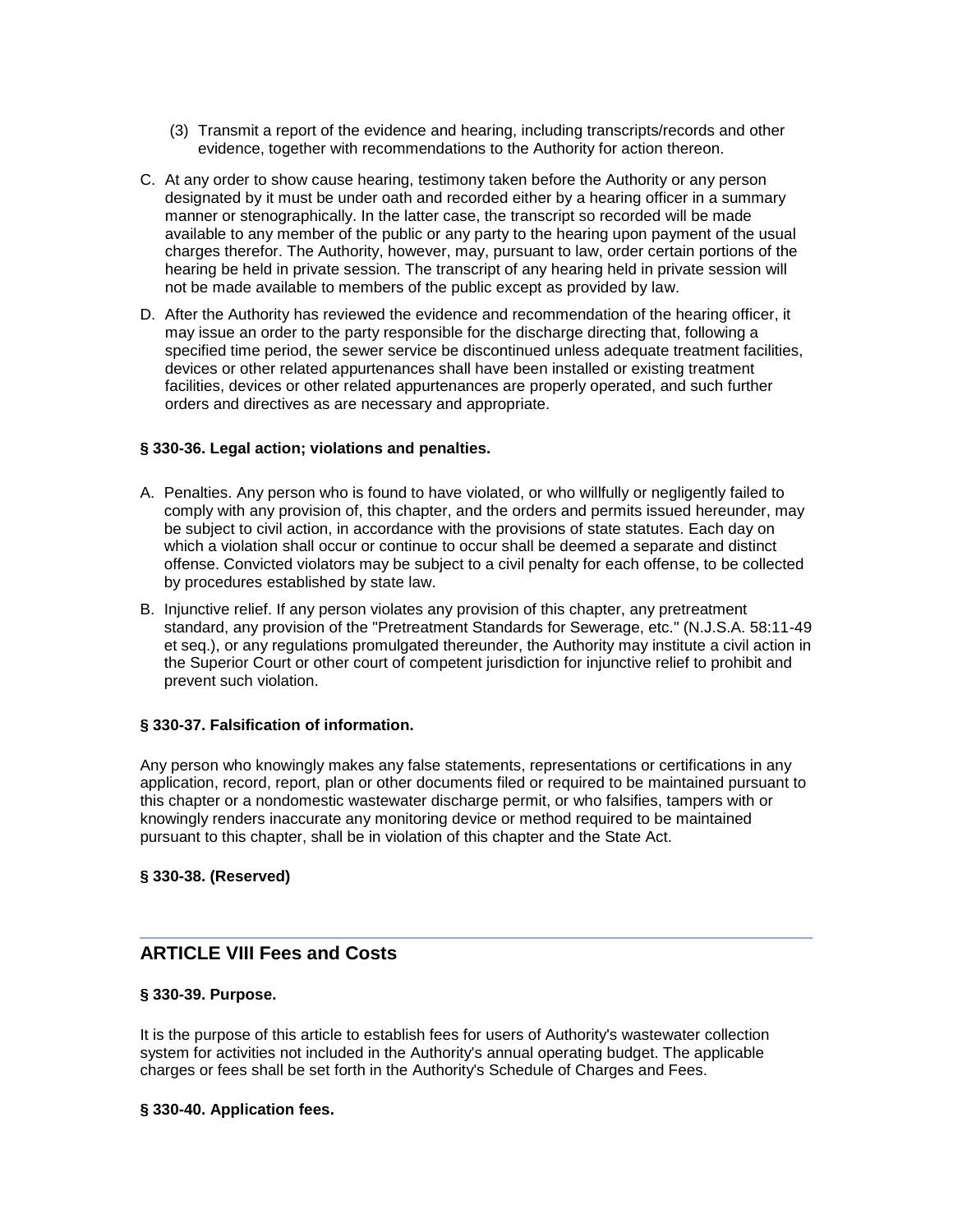- (3) Transmit a report of the evidence and hearing, including transcripts/records and other evidence, together with recommendations to the Authority for action thereon.
- C. At any order to show cause hearing, testimony taken before the Authority or any person designated by it must be under oath and recorded either by a hearing officer in a summary manner or stenographically. In the latter case, the transcript so recorded will be made available to any member of the public or any party to the hearing upon payment of the usual charges therefor. The Authority, however, may, pursuant to law, order certain portions of the hearing be held in private session. The transcript of any hearing held in private session will not be made available to members of the public except as provided by law.
- D. After the Authority has reviewed the evidence and recommendation of the hearing officer, it may issue an order to the party responsible for the discharge directing that, following a specified time period, the sewer service be discontinued unless adequate treatment facilities, devices or other related appurtenances shall have been installed or existing treatment facilities, devices or other related appurtenances are properly operated, and such further orders and directives as are necessary and appropriate.

### **§ 330-36. Legal action; violations and penalties.**

- A. Penalties. Any person who is found to have violated, or who willfully or negligently failed to comply with any provision of, this chapter, and the orders and permits issued hereunder, may be subject to civil action, in accordance with the provisions of state statutes. Each day on which a violation shall occur or continue to occur shall be deemed a separate and distinct offense. Convicted violators may be subject to a civil penalty for each offense, to be collected by procedures established by state law.
- B. Injunctive relief. If any person violates any provision of this chapter, any pretreatment standard, any provision of the "Pretreatment Standards for Sewerage, etc." (N.J.S.A. 58:11-49 et seq.), or any regulations promulgated thereunder, the Authority may institute a civil action in the Superior Court or other court of competent jurisdiction for injunctive relief to prohibit and prevent such violation.

### **§ 330-37. Falsification of information.**

Any person who knowingly makes any false statements, representations or certifications in any application, record, report, plan or other documents filed or required to be maintained pursuant to this chapter or a nondomestic wastewater discharge permit, or who falsifies, tampers with or knowingly renders inaccurate any monitoring device or method required to be maintained pursuant to this chapter, shall be in violation of this chapter and the State Act.

### **§ 330-38. (Reserved)**

# **ARTICLE VIII Fees and Costs**

### **§ 330-39. Purpose.**

It is the purpose of this article to establish fees for users of Authority's wastewater collection system for activities not included in the Authority's annual operating budget. The applicable charges or fees shall be set forth in the Authority's Schedule of Charges and Fees.

### **§ 330-40. Application fees.**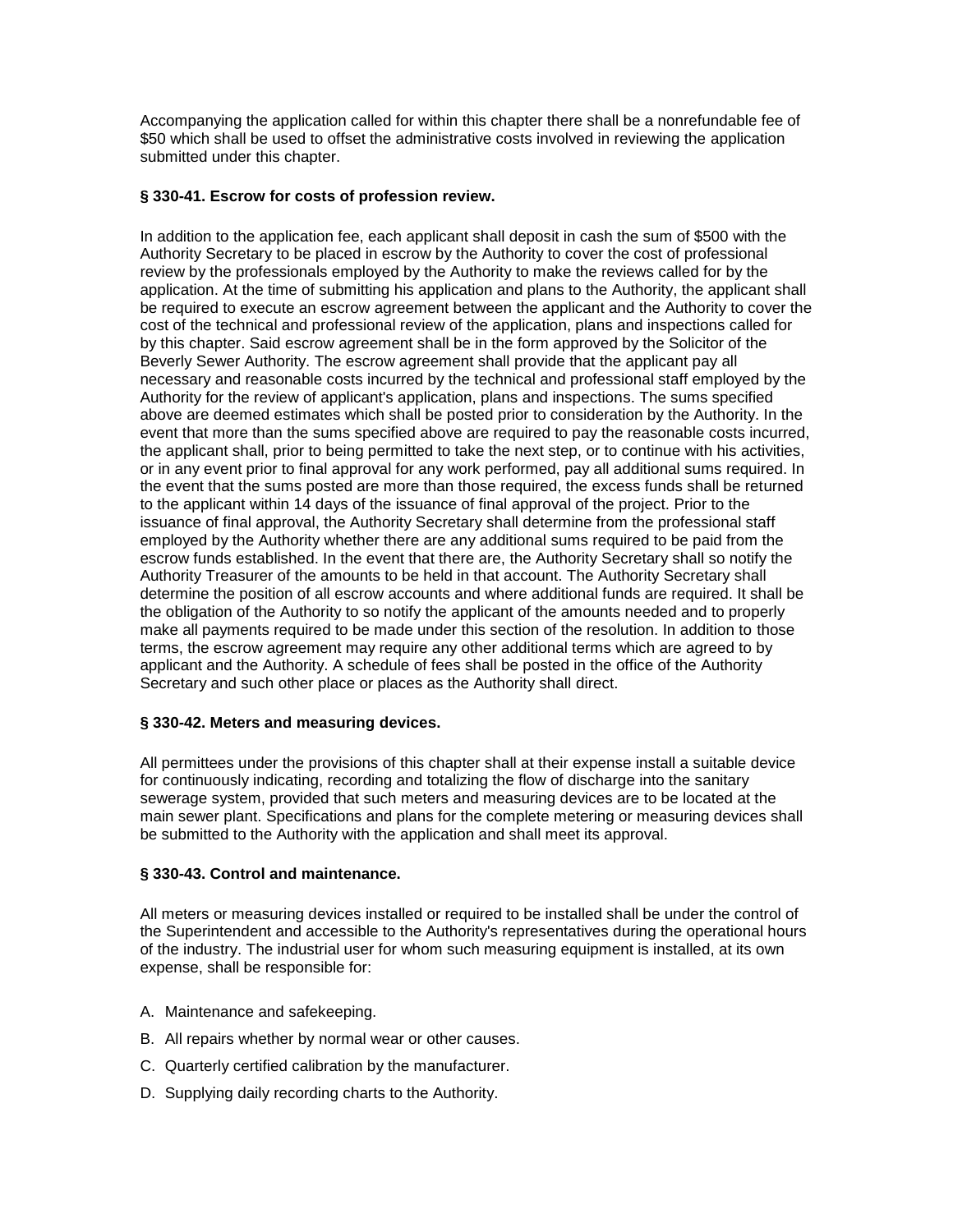Accompanying the application called for within this chapter there shall be a nonrefundable fee of \$50 which shall be used to offset the administrative costs involved in reviewing the application submitted under this chapter.

# **§ 330-41. Escrow for costs of profession review.**

In addition to the application fee, each applicant shall deposit in cash the sum of \$500 with the Authority Secretary to be placed in escrow by the Authority to cover the cost of professional review by the professionals employed by the Authority to make the reviews called for by the application. At the time of submitting his application and plans to the Authority, the applicant shall be required to execute an escrow agreement between the applicant and the Authority to cover the cost of the technical and professional review of the application, plans and inspections called for by this chapter. Said escrow agreement shall be in the form approved by the Solicitor of the Beverly Sewer Authority. The escrow agreement shall provide that the applicant pay all necessary and reasonable costs incurred by the technical and professional staff employed by the Authority for the review of applicant's application, plans and inspections. The sums specified above are deemed estimates which shall be posted prior to consideration by the Authority. In the event that more than the sums specified above are required to pay the reasonable costs incurred, the applicant shall, prior to being permitted to take the next step, or to continue with his activities, or in any event prior to final approval for any work performed, pay all additional sums required. In the event that the sums posted are more than those required, the excess funds shall be returned to the applicant within 14 days of the issuance of final approval of the project. Prior to the issuance of final approval, the Authority Secretary shall determine from the professional staff employed by the Authority whether there are any additional sums required to be paid from the escrow funds established. In the event that there are, the Authority Secretary shall so notify the Authority Treasurer of the amounts to be held in that account. The Authority Secretary shall determine the position of all escrow accounts and where additional funds are required. It shall be the obligation of the Authority to so notify the applicant of the amounts needed and to properly make all payments required to be made under this section of the resolution. In addition to those terms, the escrow agreement may require any other additional terms which are agreed to by applicant and the Authority. A schedule of fees shall be posted in the office of the Authority Secretary and such other place or places as the Authority shall direct.

### **§ 330-42. Meters and measuring devices.**

All permittees under the provisions of this chapter shall at their expense install a suitable device for continuously indicating, recording and totalizing the flow of discharge into the sanitary sewerage system, provided that such meters and measuring devices are to be located at the main sewer plant. Specifications and plans for the complete metering or measuring devices shall be submitted to the Authority with the application and shall meet its approval.

### **§ 330-43. Control and maintenance.**

All meters or measuring devices installed or required to be installed shall be under the control of the Superintendent and accessible to the Authority's representatives during the operational hours of the industry. The industrial user for whom such measuring equipment is installed, at its own expense, shall be responsible for:

- A. Maintenance and safekeeping.
- B. All repairs whether by normal wear or other causes.
- C. Quarterly certified calibration by the manufacturer.
- D. Supplying daily recording charts to the Authority.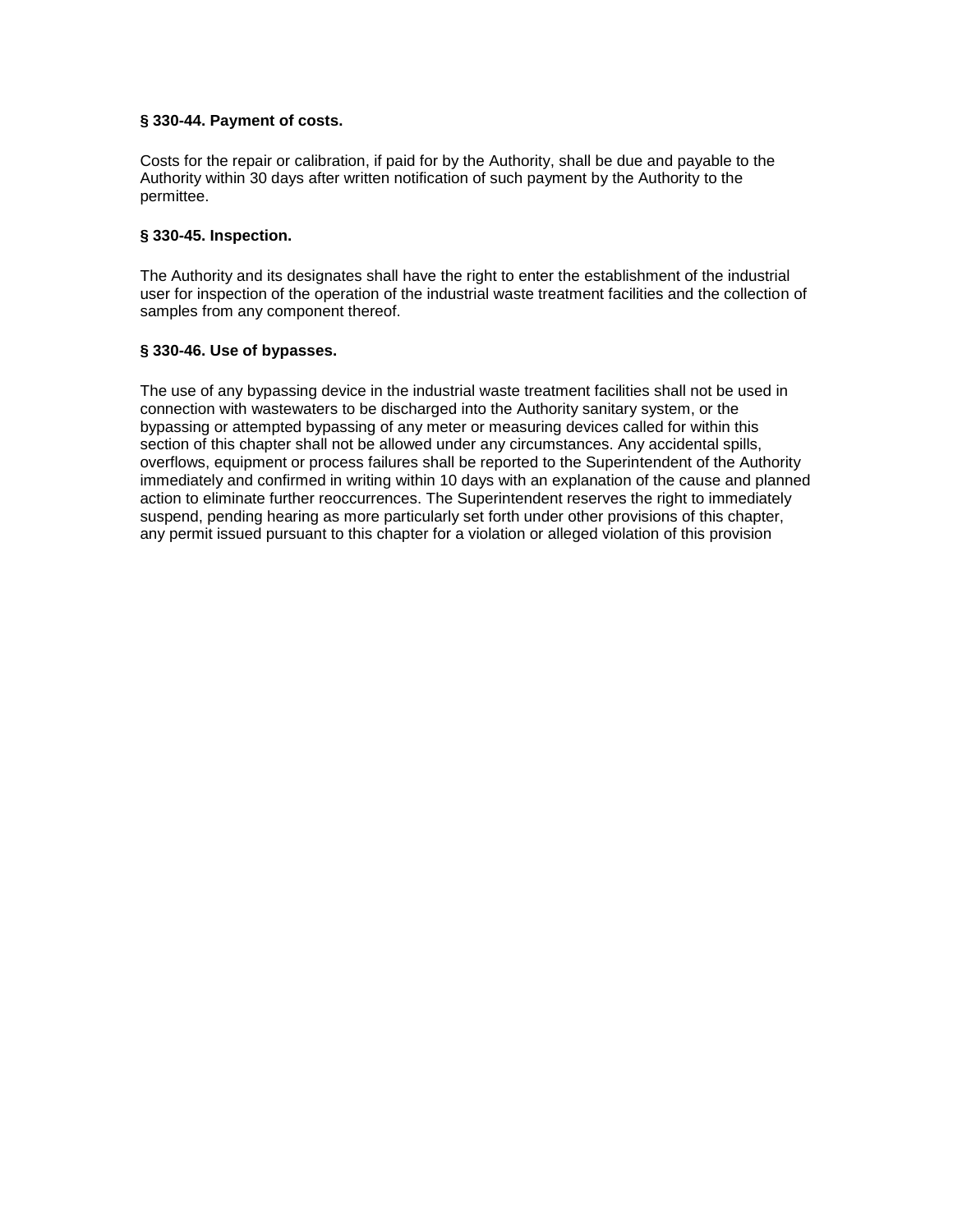## **§ 330-44. Payment of costs.**

Costs for the repair or calibration, if paid for by the Authority, shall be due and payable to the Authority within 30 days after written notification of such payment by the Authority to the permittee.

### **§ 330-45. Inspection.**

The Authority and its designates shall have the right to enter the establishment of the industrial user for inspection of the operation of the industrial waste treatment facilities and the collection of samples from any component thereof.

## **§ 330-46. Use of bypasses.**

The use of any bypassing device in the industrial waste treatment facilities shall not be used in connection with wastewaters to be discharged into the Authority sanitary system, or the bypassing or attempted bypassing of any meter or measuring devices called for within this section of this chapter shall not be allowed under any circumstances. Any accidental spills, overflows, equipment or process failures shall be reported to the Superintendent of the Authority immediately and confirmed in writing within 10 days with an explanation of the cause and planned action to eliminate further reoccurrences. The Superintendent reserves the right to immediately suspend, pending hearing as more particularly set forth under other provisions of this chapter, any permit issued pursuant to this chapter for a violation or alleged violation of this provision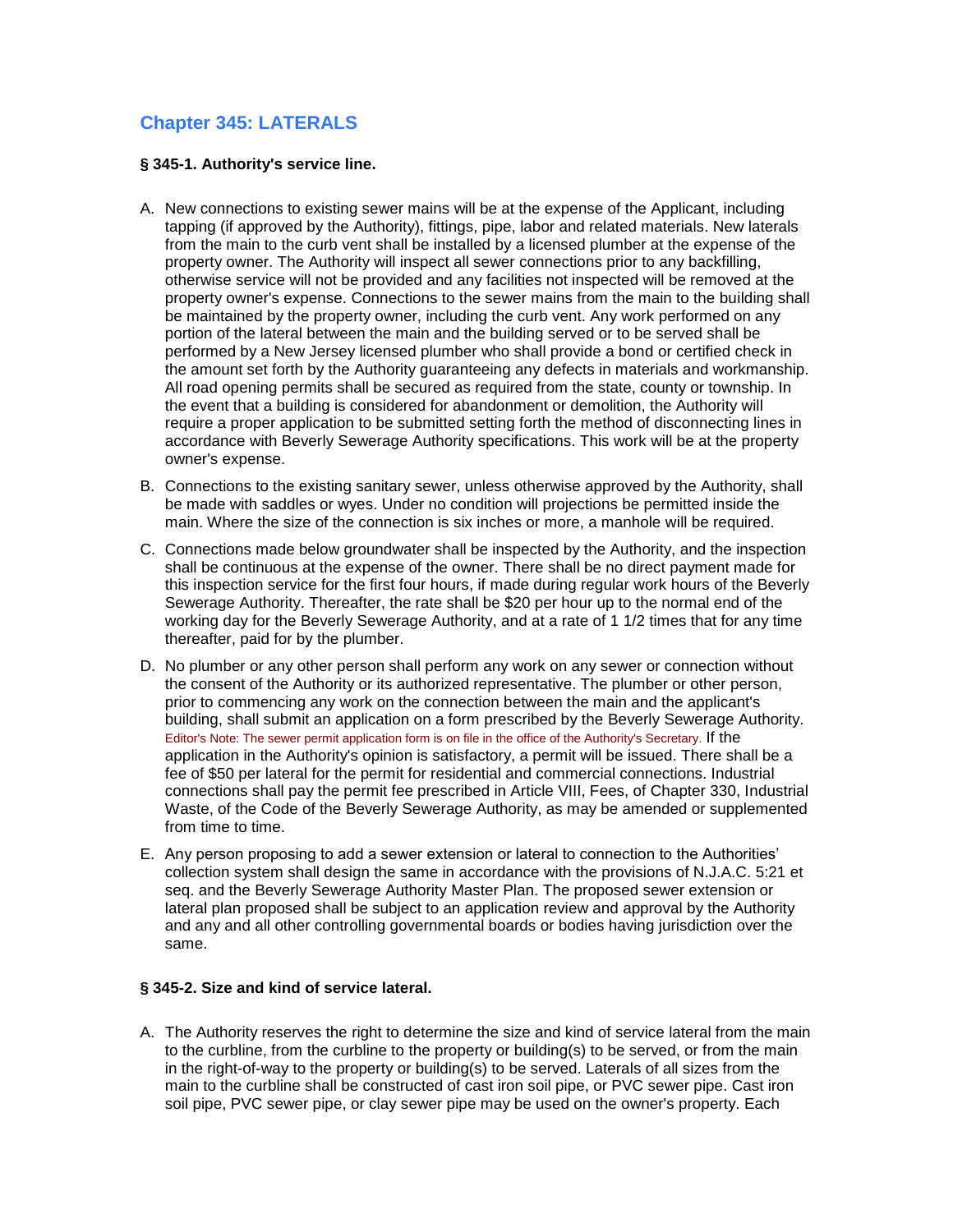# **Chapter 345: LATERALS**

## **§ 345-1. Authority's service line.**

- A. New connections to existing sewer mains will be at the expense of the Applicant, including tapping (if approved by the Authority), fittings, pipe, labor and related materials. New laterals from the main to the curb vent shall be installed by a licensed plumber at the expense of the property owner. The Authority will inspect all sewer connections prior to any backfilling, otherwise service will not be provided and any facilities not inspected will be removed at the property owner's expense. Connections to the sewer mains from the main to the building shall be maintained by the property owner, including the curb vent. Any work performed on any portion of the lateral between the main and the building served or to be served shall be performed by a New Jersey licensed plumber who shall provide a bond or certified check in the amount set forth by the Authority guaranteeing any defects in materials and workmanship. All road opening permits shall be secured as required from the state, county or township. In the event that a building is considered for abandonment or demolition, the Authority will require a proper application to be submitted setting forth the method of disconnecting lines in accordance with Beverly Sewerage Authority specifications. This work will be at the property owner's expense.
- B. Connections to the existing sanitary sewer, unless otherwise approved by the Authority, shall be made with saddles or wyes. Under no condition will projections be permitted inside the main. Where the size of the connection is six inches or more, a manhole will be required.
- C. Connections made below groundwater shall be inspected by the Authority, and the inspection shall be continuous at the expense of the owner. There shall be no direct payment made for this inspection service for the first four hours, if made during regular work hours of the Beverly Sewerage Authority. Thereafter, the rate shall be \$20 per hour up to the normal end of the working day for the Beverly Sewerage Authority, and at a rate of 1 1/2 times that for any time thereafter, paid for by the plumber.
- D. No plumber or any other person shall perform any work on any sewer or connection without the consent of the Authority or its authorized representative. The plumber or other person, prior to commencing any work on the connection between the main and the applicant's building, shall submit an application on a form prescribed by the Beverly Sewerage Authority. Editor's Note: The sewer permit application form is on file in the office of the Authority's Secretary. If the application in the Authority's opinion is satisfactory, a permit will be issued. There shall be a fee of \$50 per lateral for the permit for residential and commercial connections. Industrial connections shall pay the permit fee prescribed in Article VIII, Fees, of Chapter 330, Industrial Waste, of the Code of the Beverly Sewerage Authority, as may be amended or supplemented from time to time.
- E. Any person proposing to add a sewer extension or lateral to connection to the Authorities' collection system shall design the same in accordance with the provisions of N.J.A.C. 5:21 et seq. and the Beverly Sewerage Authority Master Plan. The proposed sewer extension or lateral plan proposed shall be subject to an application review and approval by the Authority and any and all other controlling governmental boards or bodies having jurisdiction over the same.

# **§ 345-2. Size and kind of service lateral.**

A. The Authority reserves the right to determine the size and kind of service lateral from the main to the curbline, from the curbline to the property or building(s) to be served, or from the main in the right-of-way to the property or building(s) to be served. Laterals of all sizes from the main to the curbline shall be constructed of cast iron soil pipe, or PVC sewer pipe. Cast iron soil pipe, PVC sewer pipe, or clay sewer pipe may be used on the owner's property. Each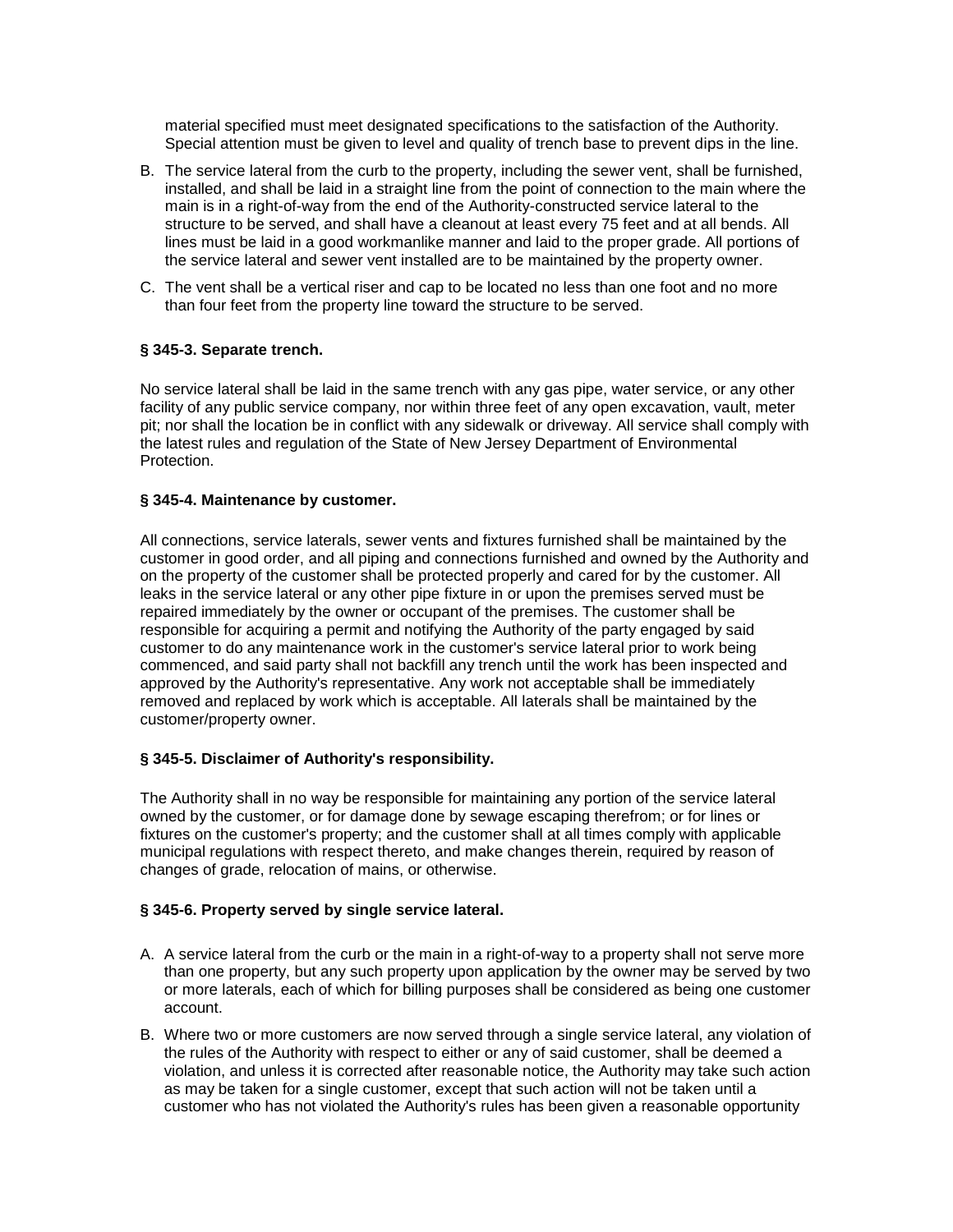material specified must meet designated specifications to the satisfaction of the Authority. Special attention must be given to level and quality of trench base to prevent dips in the line.

- B. The service lateral from the curb to the property, including the sewer vent, shall be furnished, installed, and shall be laid in a straight line from the point of connection to the main where the main is in a right-of-way from the end of the Authority-constructed service lateral to the structure to be served, and shall have a cleanout at least every 75 feet and at all bends. All lines must be laid in a good workmanlike manner and laid to the proper grade. All portions of the service lateral and sewer vent installed are to be maintained by the property owner.
- C. The vent shall be a vertical riser and cap to be located no less than one foot and no more than four feet from the property line toward the structure to be served.

#### **§ 345-3. Separate trench.**

No service lateral shall be laid in the same trench with any gas pipe, water service, or any other facility of any public service company, nor within three feet of any open excavation, vault, meter pit; nor shall the location be in conflict with any sidewalk or driveway. All service shall comply with the latest rules and regulation of the State of New Jersey Department of Environmental Protection.

#### **§ 345-4. Maintenance by customer.**

All connections, service laterals, sewer vents and fixtures furnished shall be maintained by the customer in good order, and all piping and connections furnished and owned by the Authority and on the property of the customer shall be protected properly and cared for by the customer. All leaks in the service lateral or any other pipe fixture in or upon the premises served must be repaired immediately by the owner or occupant of the premises. The customer shall be responsible for acquiring a permit and notifying the Authority of the party engaged by said customer to do any maintenance work in the customer's service lateral prior to work being commenced, and said party shall not backfill any trench until the work has been inspected and approved by the Authority's representative. Any work not acceptable shall be immediately removed and replaced by work which is acceptable. All laterals shall be maintained by the customer/property owner.

#### **§ 345-5. Disclaimer of Authority's responsibility.**

The Authority shall in no way be responsible for maintaining any portion of the service lateral owned by the customer, or for damage done by sewage escaping therefrom; or for lines or fixtures on the customer's property; and the customer shall at all times comply with applicable municipal regulations with respect thereto, and make changes therein, required by reason of changes of grade, relocation of mains, or otherwise.

#### **§ 345-6. Property served by single service lateral.**

- A. A service lateral from the curb or the main in a right-of-way to a property shall not serve more than one property, but any such property upon application by the owner may be served by two or more laterals, each of which for billing purposes shall be considered as being one customer account.
- B. Where two or more customers are now served through a single service lateral, any violation of the rules of the Authority with respect to either or any of said customer, shall be deemed a violation, and unless it is corrected after reasonable notice, the Authority may take such action as may be taken for a single customer, except that such action will not be taken until a customer who has not violated the Authority's rules has been given a reasonable opportunity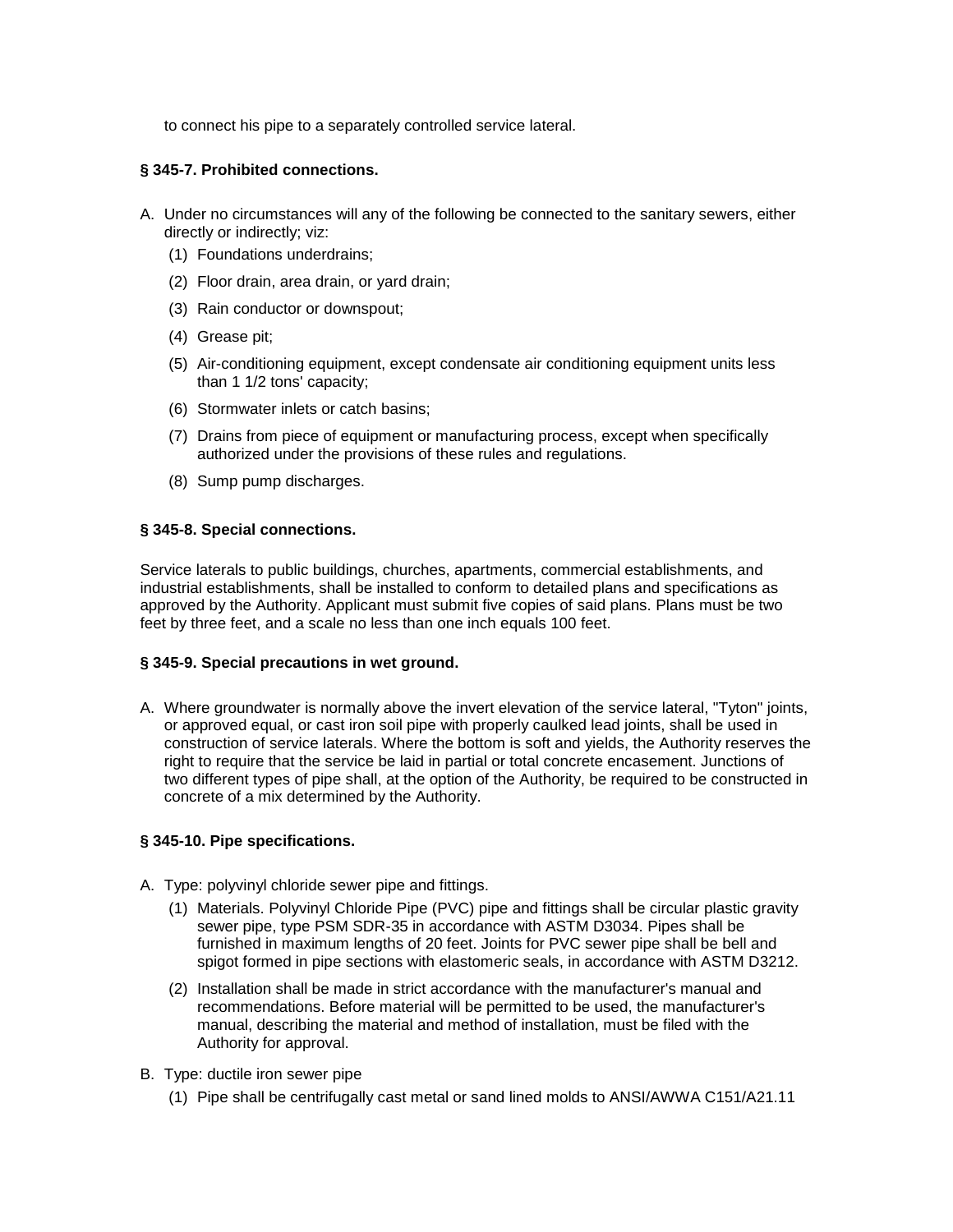to connect his pipe to a separately controlled service lateral.

### **§ 345-7. Prohibited connections.**

- A. Under no circumstances will any of the following be connected to the sanitary sewers, either directly or indirectly; viz:
	- (1) Foundations underdrains;
	- (2) Floor drain, area drain, or yard drain;
	- (3) Rain conductor or downspout;
	- (4) Grease pit;
	- (5) Air-conditioning equipment, except condensate air conditioning equipment units less than 1 1/2 tons' capacity;
	- (6) Stormwater inlets or catch basins;
	- (7) Drains from piece of equipment or manufacturing process, except when specifically authorized under the provisions of these rules and regulations.
	- (8) Sump pump discharges.

## **§ 345-8. Special connections.**

Service laterals to public buildings, churches, apartments, commercial establishments, and industrial establishments, shall be installed to conform to detailed plans and specifications as approved by the Authority. Applicant must submit five copies of said plans. Plans must be two feet by three feet, and a scale no less than one inch equals 100 feet.

### **§ 345-9. Special precautions in wet ground.**

A. Where groundwater is normally above the invert elevation of the service lateral, "Tyton" joints, or approved equal, or cast iron soil pipe with properly caulked lead joints, shall be used in construction of service laterals. Where the bottom is soft and yields, the Authority reserves the right to require that the service be laid in partial or total concrete encasement. Junctions of two different types of pipe shall, at the option of the Authority, be required to be constructed in concrete of a mix determined by the Authority.

### **§ 345-10. Pipe specifications.**

- A. Type: polyvinyl chloride sewer pipe and fittings.
	- (1) Materials. Polyvinyl Chloride Pipe (PVC) pipe and fittings shall be circular plastic gravity sewer pipe, type PSM SDR-35 in accordance with ASTM D3034. Pipes shall be furnished in maximum lengths of 20 feet. Joints for PVC sewer pipe shall be bell and spigot formed in pipe sections with elastomeric seals, in accordance with ASTM D3212.
	- (2) Installation shall be made in strict accordance with the manufacturer's manual and recommendations. Before material will be permitted to be used, the manufacturer's manual, describing the material and method of installation, must be filed with the Authority for approval.
- B. Type: ductile iron sewer pipe
	- (1) Pipe shall be centrifugally cast metal or sand lined molds to ANSI/AWWA C151/A21.11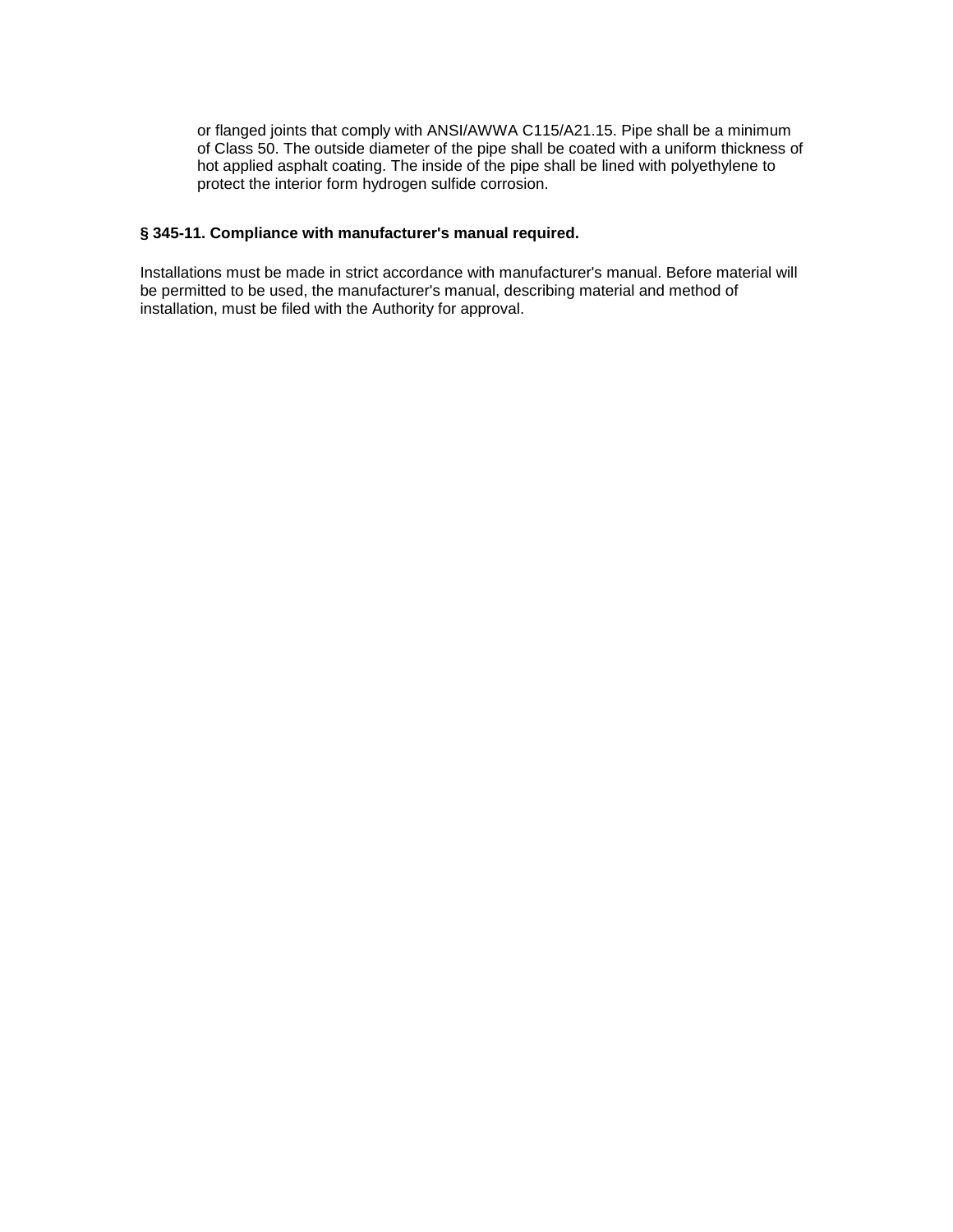or flanged joints that comply with ANSI/AWWA C115/A21.15. Pipe shall be a minimum of Class 50. The outside diameter of the pipe shall be coated with a uniform thickness of hot applied asphalt coating. The inside of the pipe shall be lined with polyethylene to protect the interior form hydrogen sulfide corrosion.

# **§ 345-11. Compliance with manufacturer's manual required.**

Installations must be made in strict accordance with manufacturer's manual. Before material will be permitted to be used, the manufacturer's manual, describing material and method of installation, must be filed with the Authority for approval.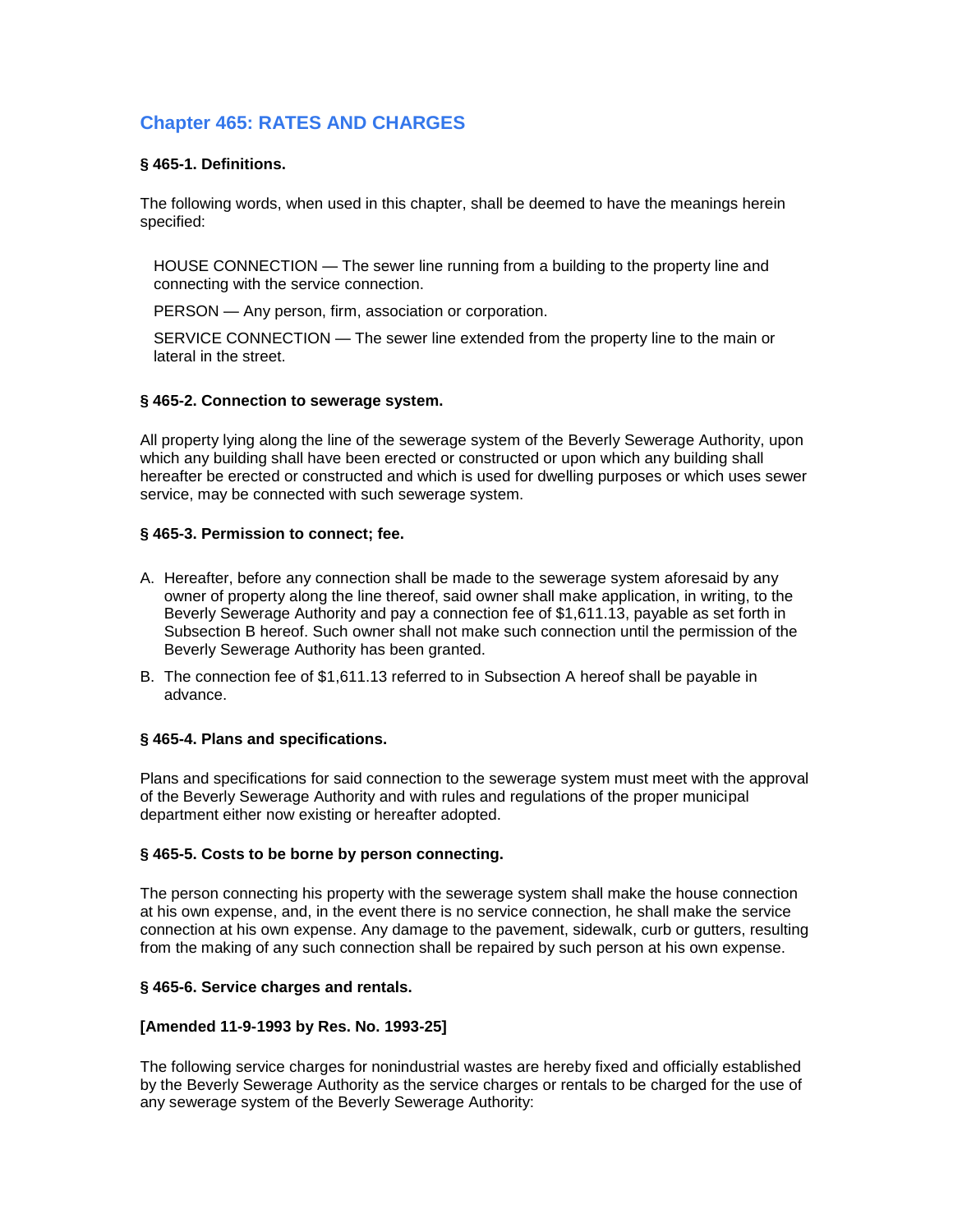# **Chapter 465: RATES AND CHARGES**

# **§ 465-1. Definitions.**

The following words, when used in this chapter, shall be deemed to have the meanings herein specified:

HOUSE CONNECTION — The sewer line running from a building to the property line and connecting with the service connection.

PERSON — Any person, firm, association or corporation.

SERVICE CONNECTION — The sewer line extended from the property line to the main or lateral in the street.

### **§ 465-2. Connection to sewerage system.**

All property lying along the line of the sewerage system of the Beverly Sewerage Authority, upon which any building shall have been erected or constructed or upon which any building shall hereafter be erected or constructed and which is used for dwelling purposes or which uses sewer service, may be connected with such sewerage system.

## **§ 465-3. Permission to connect; fee.**

- A. Hereafter, before any connection shall be made to the sewerage system aforesaid by any owner of property along the line thereof, said owner shall make application, in writing, to the Beverly Sewerage Authority and pay a connection fee of \$1,611.13, payable as set forth in Subsection B hereof. Such owner shall not make such connection until the permission of the Beverly Sewerage Authority has been granted.
- B. The connection fee of \$1,611.13 referred to in Subsection A hereof shall be payable in advance.

# **§ 465-4. Plans and specifications.**

Plans and specifications for said connection to the sewerage system must meet with the approval of the Beverly Sewerage Authority and with rules and regulations of the proper municipal department either now existing or hereafter adopted.

### **§ 465-5. Costs to be borne by person connecting.**

The person connecting his property with the sewerage system shall make the house connection at his own expense, and, in the event there is no service connection, he shall make the service connection at his own expense. Any damage to the pavement, sidewalk, curb or gutters, resulting from the making of any such connection shall be repaired by such person at his own expense.

### **§ 465-6. Service charges and rentals.**

# **[Amended 11-9-1993 by Res. No. 1993-25]**

The following service charges for nonindustrial wastes are hereby fixed and officially established by the Beverly Sewerage Authority as the service charges or rentals to be charged for the use of any sewerage system of the Beverly Sewerage Authority: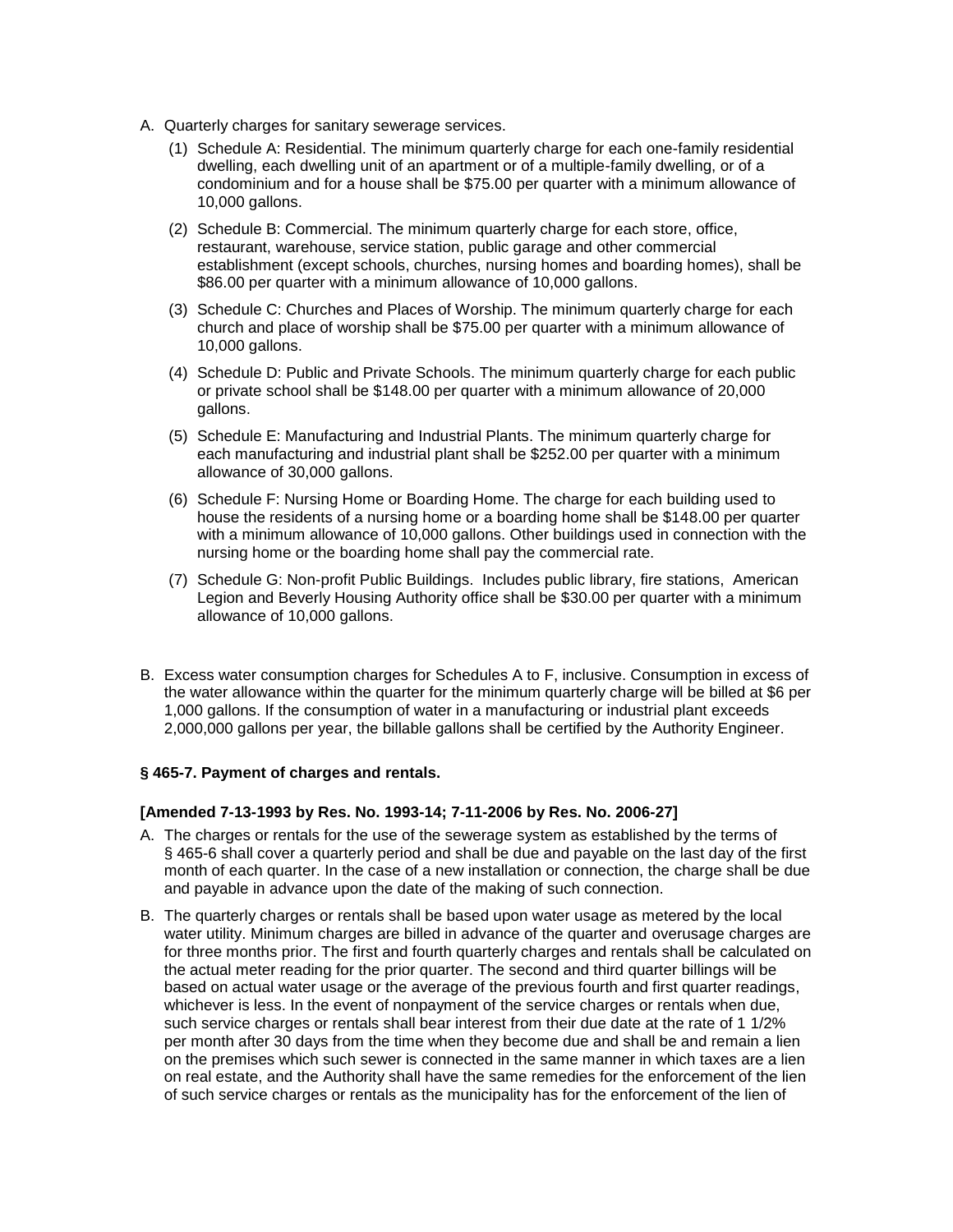- A. Quarterly charges for sanitary sewerage services.
	- (1) Schedule A: Residential. The minimum quarterly charge for each one-family residential dwelling, each dwelling unit of an apartment or of a multiple-family dwelling, or of a condominium and for a house shall be \$75.00 per quarter with a minimum allowance of 10,000 gallons.
	- (2) Schedule B: Commercial. The minimum quarterly charge for each store, office, restaurant, warehouse, service station, public garage and other commercial establishment (except schools, churches, nursing homes and boarding homes), shall be \$86.00 per quarter with a minimum allowance of 10,000 gallons.
	- (3) Schedule C: Churches and Places of Worship. The minimum quarterly charge for each church and place of worship shall be \$75.00 per quarter with a minimum allowance of 10,000 gallons.
	- (4) Schedule D: Public and Private Schools. The minimum quarterly charge for each public or private school shall be \$148.00 per quarter with a minimum allowance of 20,000 gallons.
	- (5) Schedule E: Manufacturing and Industrial Plants. The minimum quarterly charge for each manufacturing and industrial plant shall be \$252.00 per quarter with a minimum allowance of 30,000 gallons.
	- (6) Schedule F: Nursing Home or Boarding Home. The charge for each building used to house the residents of a nursing home or a boarding home shall be \$148.00 per quarter with a minimum allowance of 10,000 gallons. Other buildings used in connection with the nursing home or the boarding home shall pay the commercial rate.
	- (7) Schedule G: Non-profit Public Buildings. Includes public library, fire stations, American Legion and Beverly Housing Authority office shall be \$30.00 per quarter with a minimum allowance of 10,000 gallons.
- B. Excess water consumption charges for Schedules A to F, inclusive. Consumption in excess of the water allowance within the quarter for the minimum quarterly charge will be billed at \$6 per 1,000 gallons. If the consumption of water in a manufacturing or industrial plant exceeds 2,000,000 gallons per year, the billable gallons shall be certified by the Authority Engineer.

### **§ 465-7. Payment of charges and rentals.**

### **[Amended 7-13-1993 by Res. No. 1993-14; 7-11-2006 by Res. No. 2006-27]**

- A. The charges or rentals for the use of the sewerage system as established by the terms of § 465-6 shall cover a quarterly period and shall be due and payable on the last day of the first month of each quarter. In the case of a new installation or connection, the charge shall be due and payable in advance upon the date of the making of such connection.
- B. The quarterly charges or rentals shall be based upon water usage as metered by the local water utility. Minimum charges are billed in advance of the quarter and overusage charges are for three months prior. The first and fourth quarterly charges and rentals shall be calculated on the actual meter reading for the prior quarter. The second and third quarter billings will be based on actual water usage or the average of the previous fourth and first quarter readings, whichever is less. In the event of nonpayment of the service charges or rentals when due, such service charges or rentals shall bear interest from their due date at the rate of 1 1/2% per month after 30 days from the time when they become due and shall be and remain a lien on the premises which such sewer is connected in the same manner in which taxes are a lien on real estate, and the Authority shall have the same remedies for the enforcement of the lien of such service charges or rentals as the municipality has for the enforcement of the lien of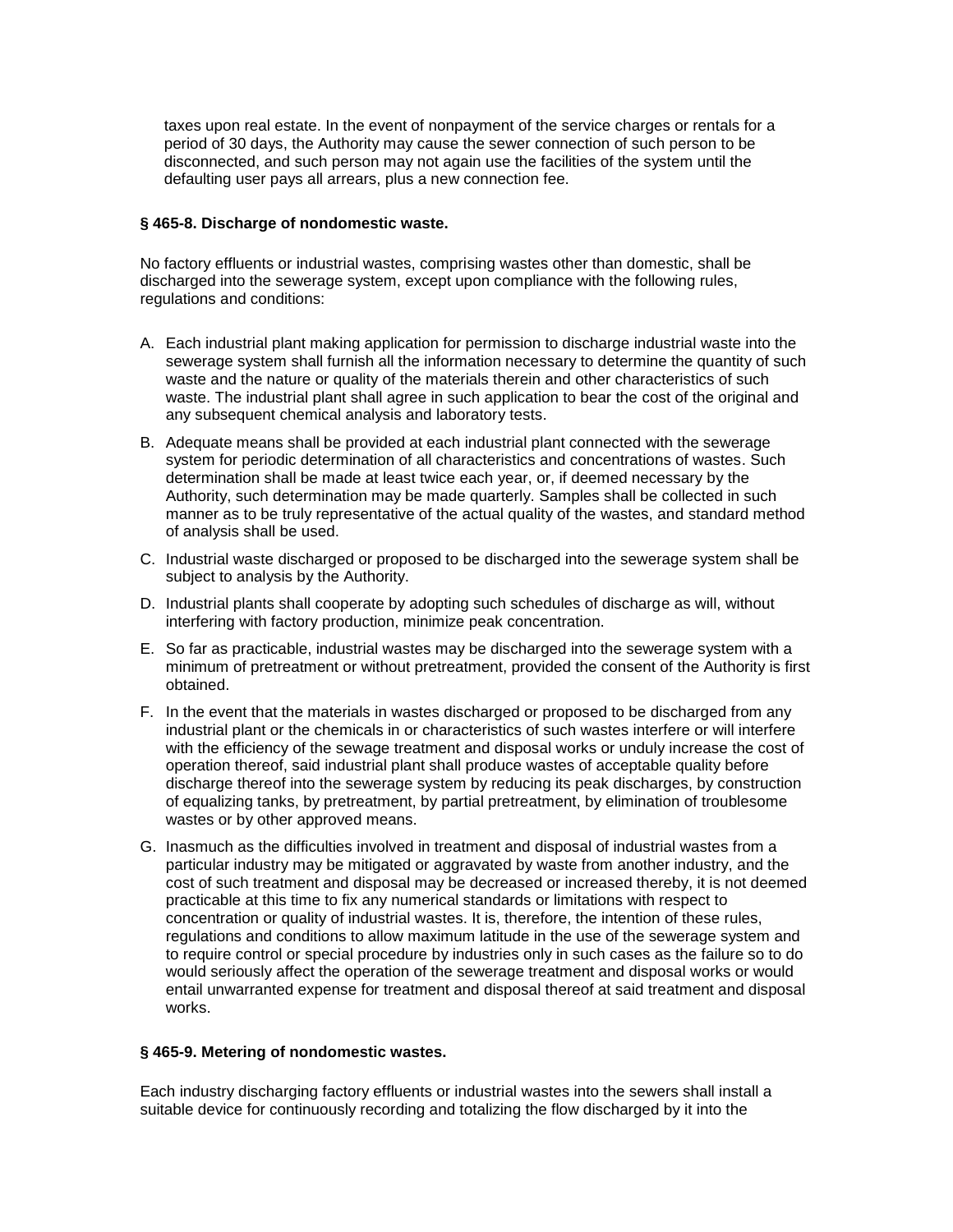taxes upon real estate. In the event of nonpayment of the service charges or rentals for a period of 30 days, the Authority may cause the sewer connection of such person to be disconnected, and such person may not again use the facilities of the system until the defaulting user pays all arrears, plus a new connection fee.

### **§ 465-8. Discharge of nondomestic waste.**

No factory effluents or industrial wastes, comprising wastes other than domestic, shall be discharged into the sewerage system, except upon compliance with the following rules, regulations and conditions:

- A. Each industrial plant making application for permission to discharge industrial waste into the sewerage system shall furnish all the information necessary to determine the quantity of such waste and the nature or quality of the materials therein and other characteristics of such waste. The industrial plant shall agree in such application to bear the cost of the original and any subsequent chemical analysis and laboratory tests.
- B. Adequate means shall be provided at each industrial plant connected with the sewerage system for periodic determination of all characteristics and concentrations of wastes. Such determination shall be made at least twice each year, or, if deemed necessary by the Authority, such determination may be made quarterly. Samples shall be collected in such manner as to be truly representative of the actual quality of the wastes, and standard method of analysis shall be used.
- C. Industrial waste discharged or proposed to be discharged into the sewerage system shall be subject to analysis by the Authority.
- D. Industrial plants shall cooperate by adopting such schedules of discharge as will, without interfering with factory production, minimize peak concentration.
- E. So far as practicable, industrial wastes may be discharged into the sewerage system with a minimum of pretreatment or without pretreatment, provided the consent of the Authority is first obtained.
- F. In the event that the materials in wastes discharged or proposed to be discharged from any industrial plant or the chemicals in or characteristics of such wastes interfere or will interfere with the efficiency of the sewage treatment and disposal works or unduly increase the cost of operation thereof, said industrial plant shall produce wastes of acceptable quality before discharge thereof into the sewerage system by reducing its peak discharges, by construction of equalizing tanks, by pretreatment, by partial pretreatment, by elimination of troublesome wastes or by other approved means.
- G. Inasmuch as the difficulties involved in treatment and disposal of industrial wastes from a particular industry may be mitigated or aggravated by waste from another industry, and the cost of such treatment and disposal may be decreased or increased thereby, it is not deemed practicable at this time to fix any numerical standards or limitations with respect to concentration or quality of industrial wastes. It is, therefore, the intention of these rules, regulations and conditions to allow maximum latitude in the use of the sewerage system and to require control or special procedure by industries only in such cases as the failure so to do would seriously affect the operation of the sewerage treatment and disposal works or would entail unwarranted expense for treatment and disposal thereof at said treatment and disposal works.

### **§ 465-9. Metering of nondomestic wastes.**

Each industry discharging factory effluents or industrial wastes into the sewers shall install a suitable device for continuously recording and totalizing the flow discharged by it into the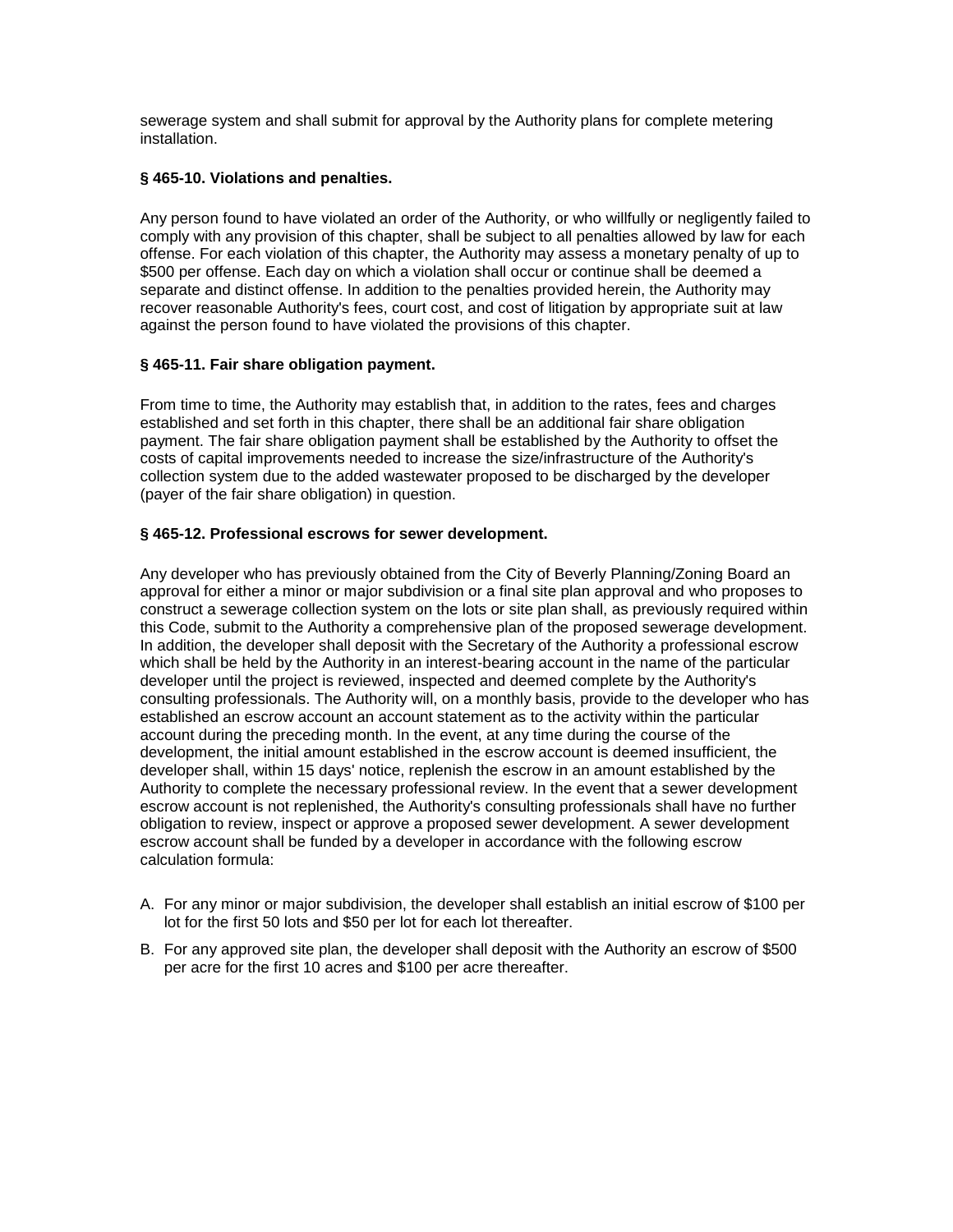sewerage system and shall submit for approval by the Authority plans for complete metering installation.

# **§ 465-10. Violations and penalties.**

Any person found to have violated an order of the Authority, or who willfully or negligently failed to comply with any provision of this chapter, shall be subject to all penalties allowed by law for each offense. For each violation of this chapter, the Authority may assess a monetary penalty of up to \$500 per offense. Each day on which a violation shall occur or continue shall be deemed a separate and distinct offense. In addition to the penalties provided herein, the Authority may recover reasonable Authority's fees, court cost, and cost of litigation by appropriate suit at law against the person found to have violated the provisions of this chapter.

# **§ 465-11. Fair share obligation payment.**

From time to time, the Authority may establish that, in addition to the rates, fees and charges established and set forth in this chapter, there shall be an additional fair share obligation payment. The fair share obligation payment shall be established by the Authority to offset the costs of capital improvements needed to increase the size/infrastructure of the Authority's collection system due to the added wastewater proposed to be discharged by the developer (payer of the fair share obligation) in question.

## **§ 465-12. Professional escrows for sewer development.**

Any developer who has previously obtained from the City of Beverly Planning/Zoning Board an approval for either a minor or major subdivision or a final site plan approval and who proposes to construct a sewerage collection system on the lots or site plan shall, as previously required within this Code, submit to the Authority a comprehensive plan of the proposed sewerage development. In addition, the developer shall deposit with the Secretary of the Authority a professional escrow which shall be held by the Authority in an interest-bearing account in the name of the particular developer until the project is reviewed, inspected and deemed complete by the Authority's consulting professionals. The Authority will, on a monthly basis, provide to the developer who has established an escrow account an account statement as to the activity within the particular account during the preceding month. In the event, at any time during the course of the development, the initial amount established in the escrow account is deemed insufficient, the developer shall, within 15 days' notice, replenish the escrow in an amount established by the Authority to complete the necessary professional review. In the event that a sewer development escrow account is not replenished, the Authority's consulting professionals shall have no further obligation to review, inspect or approve a proposed sewer development. A sewer development escrow account shall be funded by a developer in accordance with the following escrow calculation formula:

- A. For any minor or major subdivision, the developer shall establish an initial escrow of \$100 per lot for the first 50 lots and \$50 per lot for each lot thereafter.
- B. For any approved site plan, the developer shall deposit with the Authority an escrow of \$500 per acre for the first 10 acres and \$100 per acre thereafter.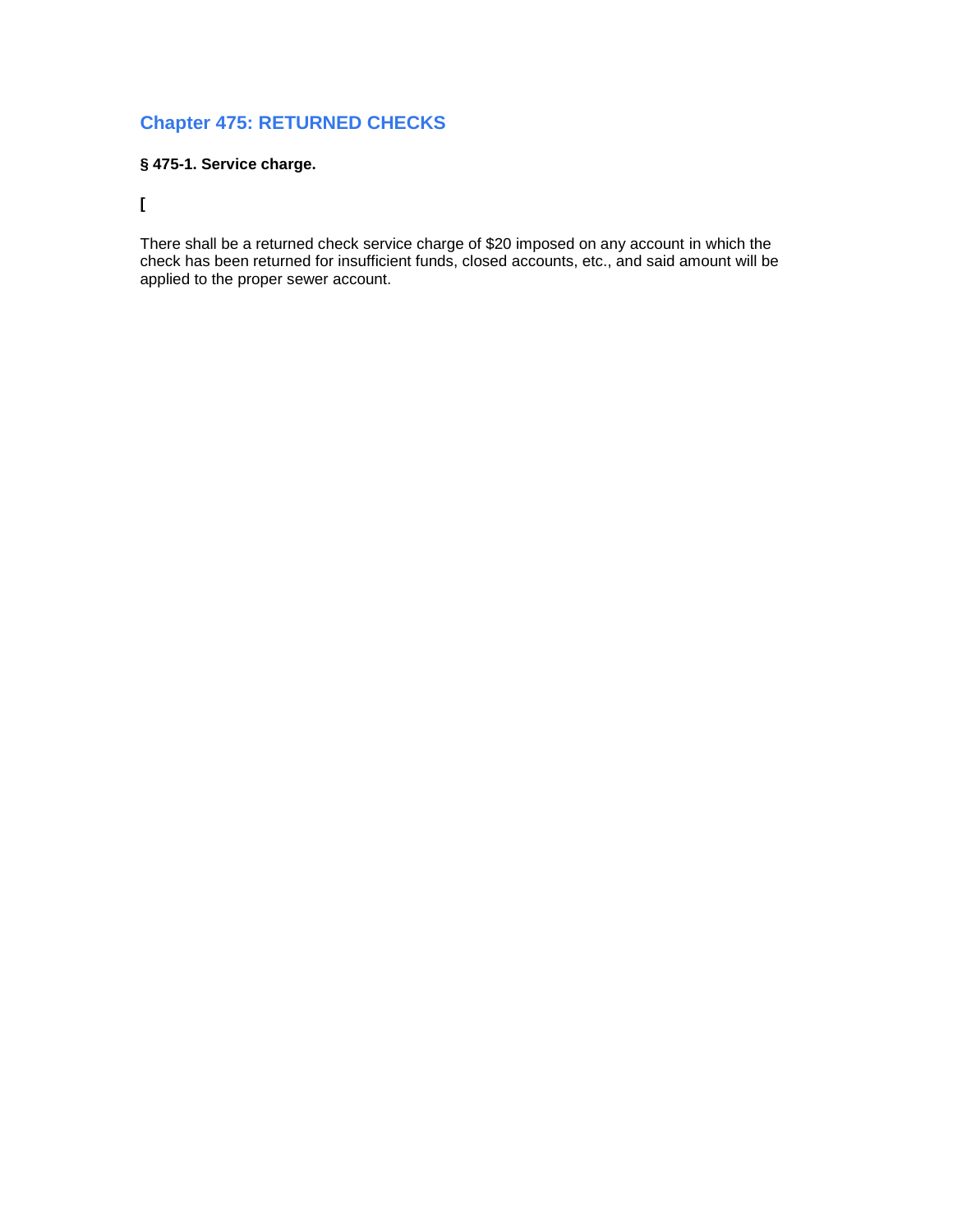# **Chapter 475: RETURNED CHECKS**

# **§ 475-1. Service charge.**

**[**

There shall be a returned check service charge of \$20 imposed on any account in which the check has been returned for insufficient funds, closed accounts, etc., and said amount will be applied to the proper sewer account.